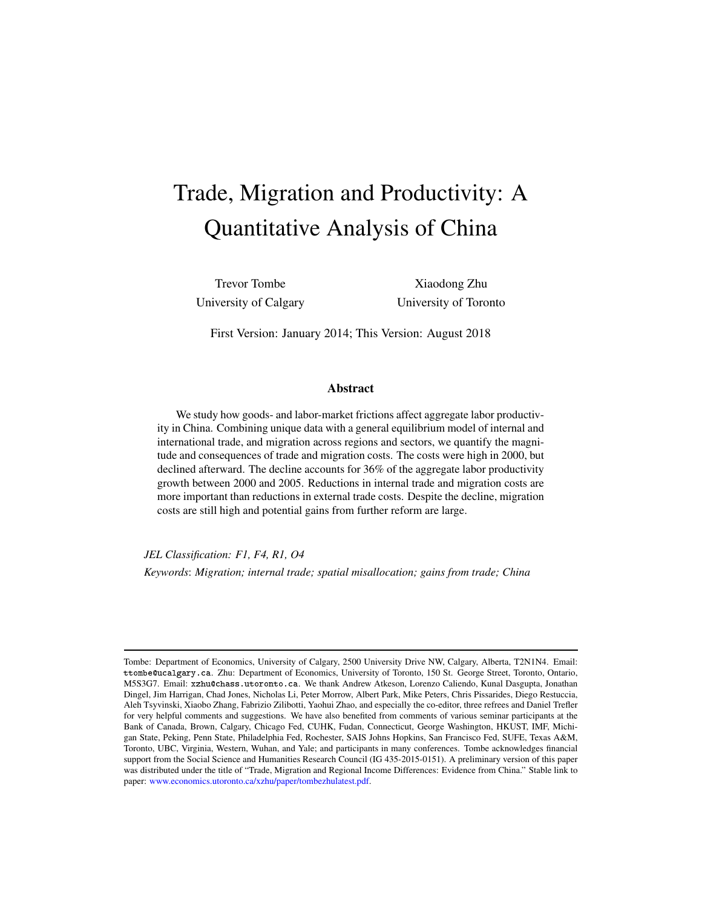# <span id="page-0-0"></span>Trade, Migration and Productivity: A Quantitative Analysis of China

Trevor Tombe Xiaodong Zhu University of Calgary University of Toronto

First Version: January 2014; This Version: August 2018

#### Abstract

We study how goods- and labor-market frictions affect aggregate labor productivity in China. Combining unique data with a general equilibrium model of internal and international trade, and migration across regions and sectors, we quantify the magnitude and consequences of trade and migration costs. The costs were high in 2000, but declined afterward. The decline accounts for 36% of the aggregate labor productivity growth between 2000 and 2005. Reductions in internal trade and migration costs are more important than reductions in external trade costs. Despite the decline, migration costs are still high and potential gains from further reform are large.

*JEL Classification: F1, F4, R1, O4 Keywords*: *Migration; internal trade; spatial misallocation; gains from trade; China*

Tombe: Department of Economics, University of Calgary, 2500 University Drive NW, Calgary, Alberta, T2N1N4. Email: ttombe@ucalgary.ca. Zhu: Department of Economics, University of Toronto, 150 St. George Street, Toronto, Ontario, M5S3G7. Email: xzhu@chass.utoronto.ca. We thank Andrew Atkeson, Lorenzo Caliendo, Kunal Dasgupta, Jonathan Dingel, Jim Harrigan, Chad Jones, Nicholas Li, Peter Morrow, Albert Park, Mike Peters, Chris Pissarides, Diego Restuccia, Aleh Tsyvinski, Xiaobo Zhang, Fabrizio Zilibotti, Yaohui Zhao, and especially the co-editor, three refrees and Daniel Trefler for very helpful comments and suggestions. We have also benefited from comments of various seminar participants at the Bank of Canada, Brown, Calgary, Chicago Fed, CUHK, Fudan, Connecticut, George Washington, HKUST, IMF, Michigan State, Peking, Penn State, Philadelphia Fed, Rochester, SAIS Johns Hopkins, San Francisco Fed, SUFE, Texas A&M, Toronto, UBC, Virginia, Western, Wuhan, and Yale; and participants in many conferences. Tombe acknowledges financial support from the Social Science and Humanities Research Council (IG 435-2015-0151). A preliminary version of this paper was distributed under the title of "Trade, Migration and Regional Income Differences: Evidence from China." Stable link to paper: [www.economics.utoronto.ca/xzhu/paper/tombezhulatest.pdf.](http://www.economics.utoronto.ca/xzhu/paper/tombezhulatest.pdf)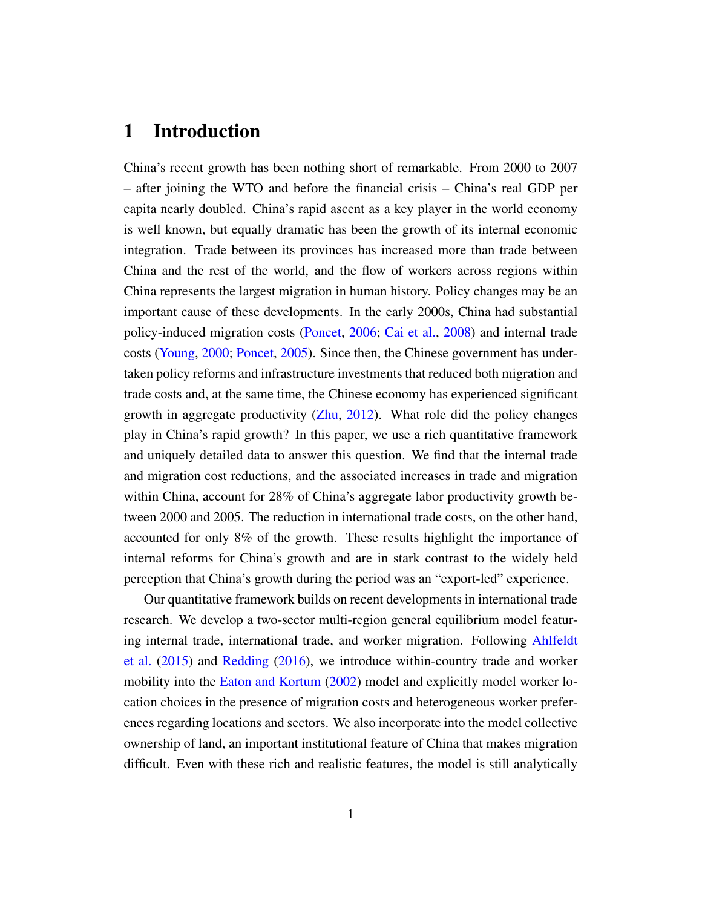# 1 Introduction

China's recent growth has been nothing short of remarkable. From 2000 to 2007 – after joining the WTO and before the financial crisis – China's real GDP per capita nearly doubled. China's rapid ascent as a key player in the world economy is well known, but equally dramatic has been the growth of its internal economic integration. Trade between its provinces has increased more than trade between China and the rest of the world, and the flow of workers across regions within China represents the largest migration in human history. Policy changes may be an important cause of these developments. In the early 2000s, China had substantial policy-induced migration costs [\(Poncet,](#page-40-0) [2006;](#page-40-0) [Cai et al.,](#page-38-0) [2008\)](#page-38-0) and internal trade costs [\(Young,](#page-40-1) [2000;](#page-40-1) [Poncet,](#page-40-2) [2005\)](#page-40-2). Since then, the Chinese government has undertaken policy reforms and infrastructure investments that reduced both migration and trade costs and, at the same time, the Chinese economy has experienced significant growth in aggregate productivity [\(Zhu,](#page-40-3) [2012\)](#page-40-3). What role did the policy changes play in China's rapid growth? In this paper, we use a rich quantitative framework and uniquely detailed data to answer this question. We find that the internal trade and migration cost reductions, and the associated increases in trade and migration within China, account for 28% of China's aggregate labor productivity growth between 2000 and 2005. The reduction in international trade costs, on the other hand, accounted for only 8% of the growth. These results highlight the importance of internal reforms for China's growth and are in stark contrast to the widely held perception that China's growth during the period was an "export-led" experience.

Our quantitative framework builds on recent developments in international trade research. We develop a two-sector multi-region general equilibrium model featuring internal trade, international trade, and worker migration. Following [Ahlfeldt](#page-38-1) [et al.](#page-38-1) [\(2015\)](#page-38-1) and [Redding](#page-40-4) [\(2016\)](#page-40-4), we introduce within-country trade and worker mobility into the [Eaton and Kortum](#page-39-0) [\(2002\)](#page-39-0) model and explicitly model worker location choices in the presence of migration costs and heterogeneous worker preferences regarding locations and sectors. We also incorporate into the model collective ownership of land, an important institutional feature of China that makes migration difficult. Even with these rich and realistic features, the model is still analytically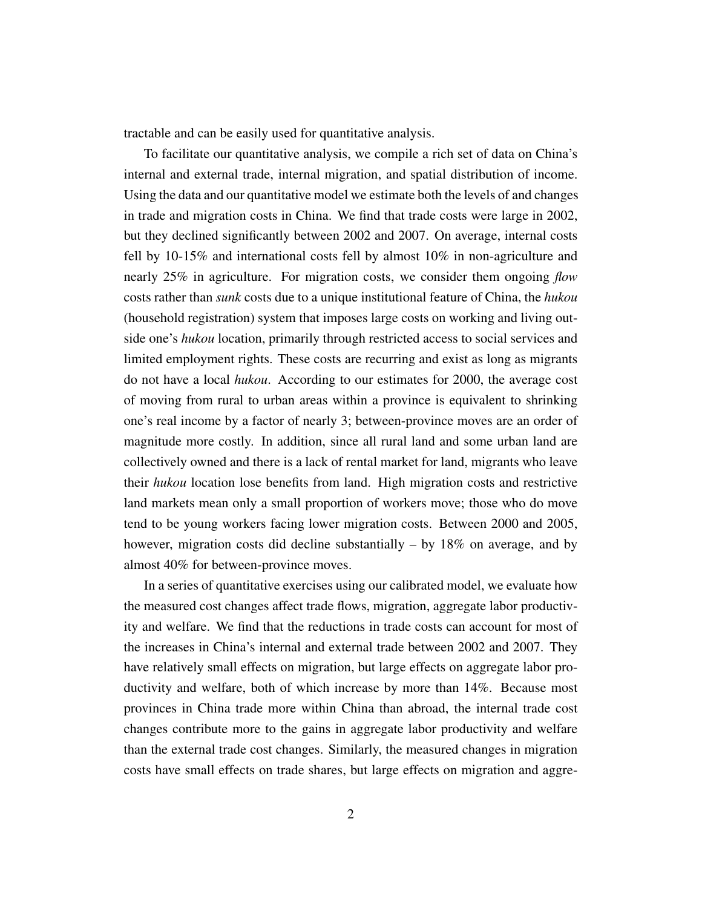tractable and can be easily used for quantitative analysis.

To facilitate our quantitative analysis, we compile a rich set of data on China's internal and external trade, internal migration, and spatial distribution of income. Using the data and our quantitative model we estimate both the levels of and changes in trade and migration costs in China. We find that trade costs were large in 2002, but they declined significantly between 2002 and 2007. On average, internal costs fell by 10-15% and international costs fell by almost 10% in non-agriculture and nearly 25% in agriculture. For migration costs, we consider them ongoing *flow* costs rather than *sunk* costs due to a unique institutional feature of China, the *hukou* (household registration) system that imposes large costs on working and living outside one's *hukou* location, primarily through restricted access to social services and limited employment rights. These costs are recurring and exist as long as migrants do not have a local *hukou*. According to our estimates for 2000, the average cost of moving from rural to urban areas within a province is equivalent to shrinking one's real income by a factor of nearly 3; between-province moves are an order of magnitude more costly. In addition, since all rural land and some urban land are collectively owned and there is a lack of rental market for land, migrants who leave their *hukou* location lose benefits from land. High migration costs and restrictive land markets mean only a small proportion of workers move; those who do move tend to be young workers facing lower migration costs. Between 2000 and 2005, however, migration costs did decline substantially – by 18% on average, and by almost 40% for between-province moves.

In a series of quantitative exercises using our calibrated model, we evaluate how the measured cost changes affect trade flows, migration, aggregate labor productivity and welfare. We find that the reductions in trade costs can account for most of the increases in China's internal and external trade between 2002 and 2007. They have relatively small effects on migration, but large effects on aggregate labor productivity and welfare, both of which increase by more than 14%. Because most provinces in China trade more within China than abroad, the internal trade cost changes contribute more to the gains in aggregate labor productivity and welfare than the external trade cost changes. Similarly, the measured changes in migration costs have small effects on trade shares, but large effects on migration and aggre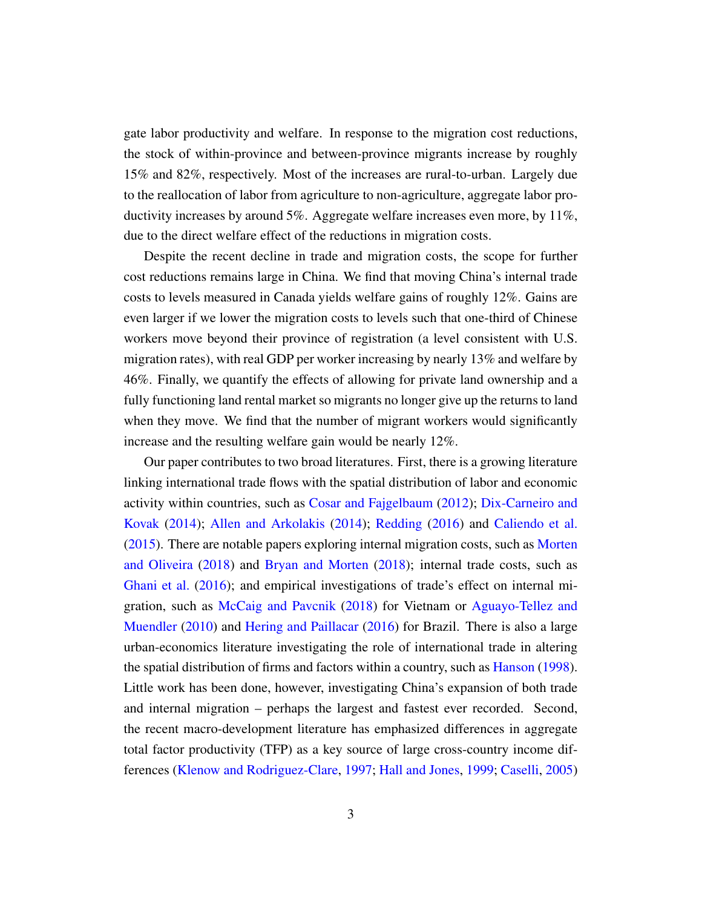gate labor productivity and welfare. In response to the migration cost reductions, the stock of within-province and between-province migrants increase by roughly 15% and 82%, respectively. Most of the increases are rural-to-urban. Largely due to the reallocation of labor from agriculture to non-agriculture, aggregate labor productivity increases by around  $5\%$ . Aggregate welfare increases even more, by  $11\%$ , due to the direct welfare effect of the reductions in migration costs.

Despite the recent decline in trade and migration costs, the scope for further cost reductions remains large in China. We find that moving China's internal trade costs to levels measured in Canada yields welfare gains of roughly 12%. Gains are even larger if we lower the migration costs to levels such that one-third of Chinese workers move beyond their province of registration (a level consistent with U.S. migration rates), with real GDP per worker increasing by nearly 13% and welfare by 46%. Finally, we quantify the effects of allowing for private land ownership and a fully functioning land rental market so migrants no longer give up the returns to land when they move. We find that the number of migrant workers would significantly increase and the resulting welfare gain would be nearly 12%.

Our paper contributes to two broad literatures. First, there is a growing literature linking international trade flows with the spatial distribution of labor and economic activity within countries, such as [Cosar and Fajgelbaum](#page-39-1) [\(2012\)](#page-39-1); [Dix-Carneiro and](#page-39-2) [Kovak](#page-39-2) [\(2014\)](#page-39-2); [Allen and Arkolakis](#page-38-2) [\(2014\)](#page-38-2); [Redding](#page-40-4) [\(2016\)](#page-40-4) and [Caliendo et al.](#page-38-3) [\(2015\)](#page-38-3). There are notable papers exploring internal migration costs, such as [Morten](#page-40-5) [and Oliveira](#page-40-5) [\(2018\)](#page-40-5) and [Bryan and Morten](#page-38-4) [\(2018\)](#page-38-4); internal trade costs, such as [Ghani et al.](#page-39-3) [\(2016\)](#page-39-3); and empirical investigations of trade's effect on internal migration, such as [McCaig and Pavcnik](#page-40-6) [\(2018\)](#page-40-6) for Vietnam or [Aguayo-Tellez and](#page-37-0) [Muendler](#page-37-0) [\(2010\)](#page-37-0) and [Hering and Paillacar](#page-39-4) [\(2016\)](#page-39-4) for Brazil. There is also a large urban-economics literature investigating the role of international trade in altering the spatial distribution of firms and factors within a country, such as [Hanson](#page-39-5) [\(1998\)](#page-39-5). Little work has been done, however, investigating China's expansion of both trade and internal migration – perhaps the largest and fastest ever recorded. Second, the recent macro-development literature has emphasized differences in aggregate total factor productivity (TFP) as a key source of large cross-country income differences [\(Klenow and Rodriguez-Clare,](#page-40-7) [1997;](#page-40-7) [Hall and Jones,](#page-39-6) [1999;](#page-39-6) [Caselli,](#page-38-5) [2005\)](#page-38-5)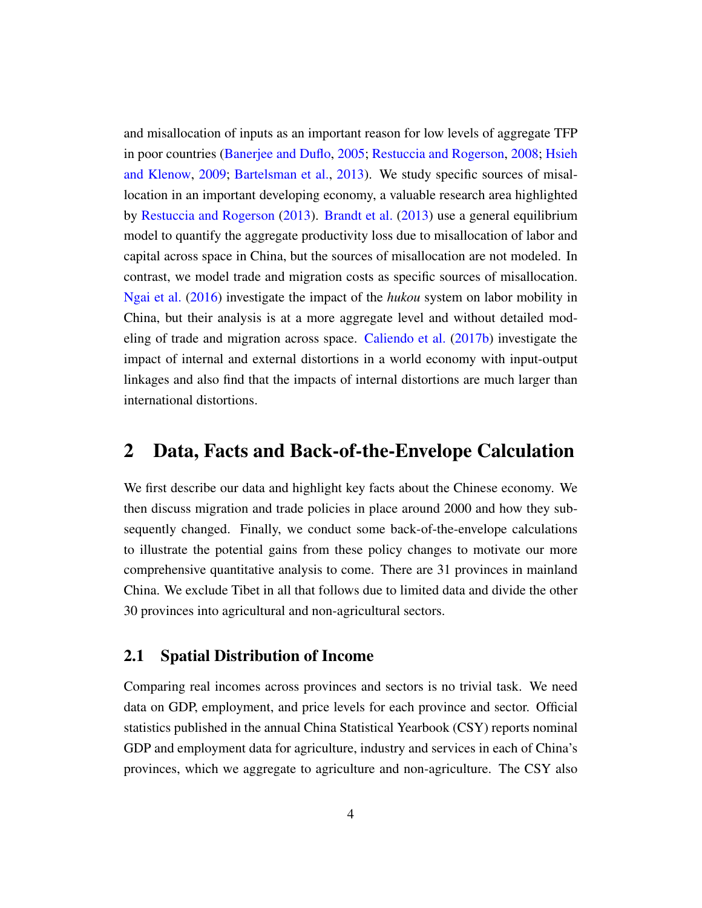and misallocation of inputs as an important reason for low levels of aggregate TFP in poor countries [\(Banerjee and Duflo,](#page-38-6) [2005;](#page-38-6) [Restuccia and Rogerson,](#page-40-8) [2008;](#page-40-8) [Hsieh](#page-39-7) [and Klenow,](#page-39-7) [2009;](#page-39-7) [Bartelsman et al.,](#page-38-7) [2013\)](#page-38-7). We study specific sources of misallocation in an important developing economy, a valuable research area highlighted by [Restuccia and Rogerson](#page-40-9) [\(2013\)](#page-40-9). [Brandt et al.](#page-38-8) [\(2013\)](#page-38-8) use a general equilibrium model to quantify the aggregate productivity loss due to misallocation of labor and capital across space in China, but the sources of misallocation are not modeled. In contrast, we model trade and migration costs as specific sources of misallocation. [Ngai et al.](#page-40-10) [\(2016\)](#page-40-10) investigate the impact of the *hukou* system on labor mobility in China, but their analysis is at a more aggregate level and without detailed modeling of trade and migration across space. [Caliendo et al.](#page-38-9) [\(2017b\)](#page-38-9) investigate the impact of internal and external distortions in a world economy with input-output linkages and also find that the impacts of internal distortions are much larger than international distortions.

## 2 Data, Facts and Back-of-the-Envelope Calculation

We first describe our data and highlight key facts about the Chinese economy. We then discuss migration and trade policies in place around 2000 and how they subsequently changed. Finally, we conduct some back-of-the-envelope calculations to illustrate the potential gains from these policy changes to motivate our more comprehensive quantitative analysis to come. There are 31 provinces in mainland China. We exclude Tibet in all that follows due to limited data and divide the other 30 provinces into agricultural and non-agricultural sectors.

### 2.1 Spatial Distribution of Income

Comparing real incomes across provinces and sectors is no trivial task. We need data on GDP, employment, and price levels for each province and sector. Official statistics published in the annual China Statistical Yearbook (CSY) reports nominal GDP and employment data for agriculture, industry and services in each of China's provinces, which we aggregate to agriculture and non-agriculture. The CSY also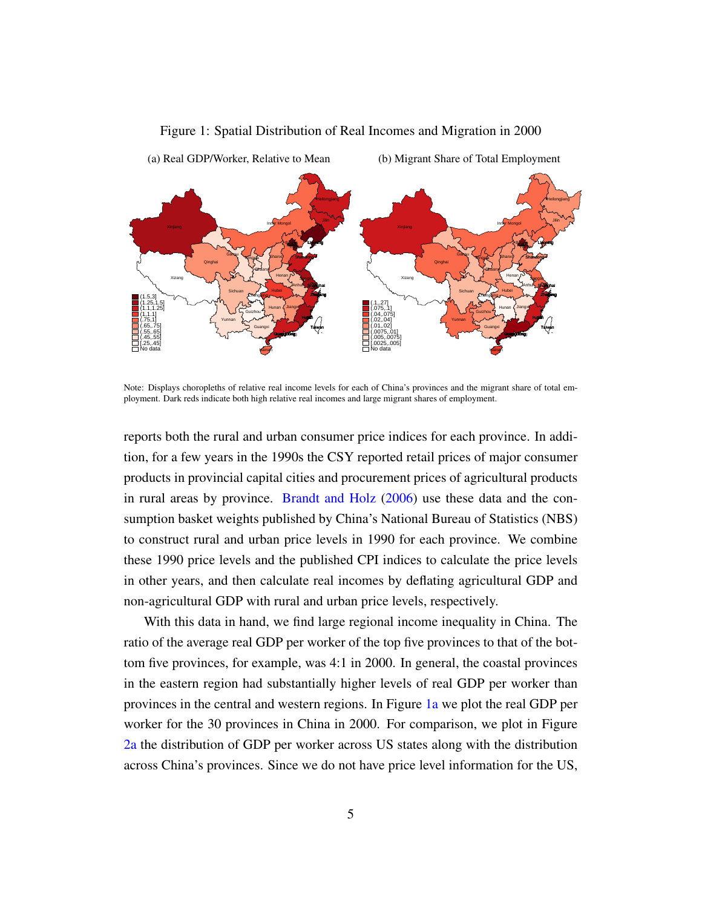<span id="page-5-0"></span>

#### <span id="page-5-1"></span>Figure 1: Spatial Distribution of Real Incomes and Migration in 2000

Note: Displays choropleths of relative real income levels for each of China's provinces and the migrant share of total employment. Dark reds indicate both high relative real incomes and large migrant shares of employment.

reports both the rural and urban consumer price indices for each province. In addition, for a few years in the 1990s the CSY reported retail prices of major consumer products in provincial capital cities and procurement prices of agricultural products in rural areas by province. [Brandt and Holz](#page-38-10) [\(2006\)](#page-38-10) use these data and the consumption basket weights published by China's National Bureau of Statistics (NBS) to construct rural and urban price levels in 1990 for each province. We combine these 1990 price levels and the published CPI indices to calculate the price levels in other years, and then calculate real incomes by deflating agricultural GDP and non-agricultural GDP with rural and urban price levels, respectively.

With this data in hand, we find large regional income inequality in China. The ratio of the average real GDP per worker of the top five provinces to that of the bottom five provinces, for example, was 4:1 in 2000. In general, the coastal provinces in the eastern region had substantially higher levels of real GDP per worker than provinces in the central and western regions. In Figure [1a](#page-5-0) we plot the real GDP per worker for the 30 provinces in China in 2000. For comparison, we plot in Figure [2a](#page-6-0) the distribution of GDP per worker across US states along with the distribution across China's provinces. Since we do not have price level information for the US,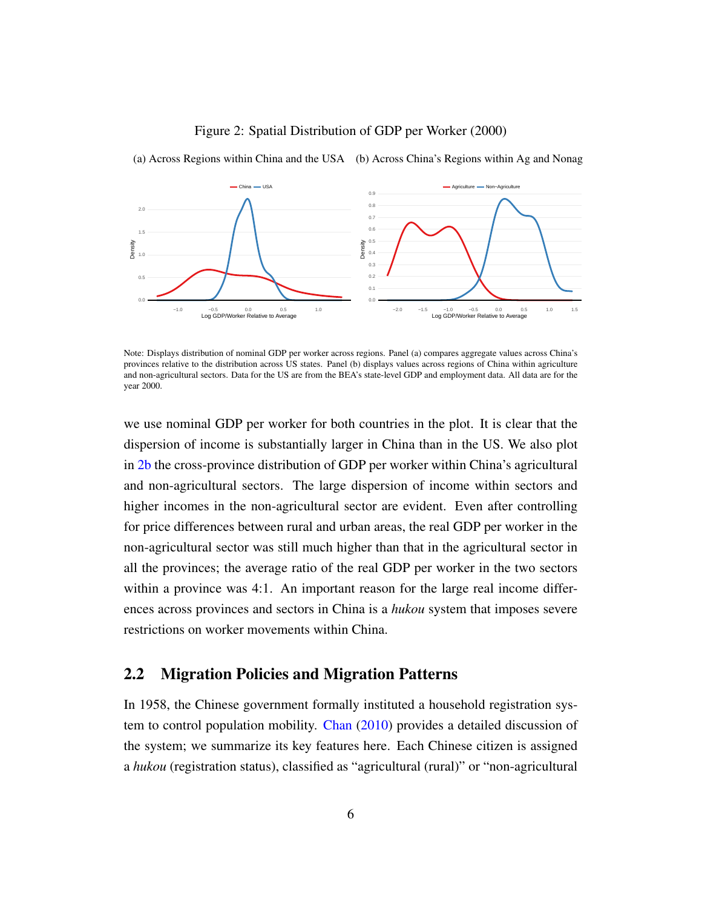

#### <span id="page-6-1"></span>Figure 2: Spatial Distribution of GDP per Worker (2000)

<span id="page-6-0"></span>(a) Across Regions within China and the USA (b) Across China's Regions within Ag and Nonag

Note: Displays distribution of nominal GDP per worker across regions. Panel (a) compares aggregate values across China's provinces relative to the distribution across US states. Panel (b) displays values across regions of China within agriculture and non-agricultural sectors. Data for the US are from the BEA's state-level GDP and employment data. All data are for the year 2000.

we use nominal GDP per worker for both countries in the plot. It is clear that the dispersion of income is substantially larger in China than in the US. We also plot in [2b](#page-6-1) the cross-province distribution of GDP per worker within China's agricultural and non-agricultural sectors. The large dispersion of income within sectors and higher incomes in the non-agricultural sector are evident. Even after controlling for price differences between rural and urban areas, the real GDP per worker in the non-agricultural sector was still much higher than that in the agricultural sector in all the provinces; the average ratio of the real GDP per worker in the two sectors within a province was 4:1. An important reason for the large real income differences across provinces and sectors in China is a *hukou* system that imposes severe restrictions on worker movements within China.

## 2.2 Migration Policies and Migration Patterns

In 1958, the Chinese government formally instituted a household registration system to control population mobility. [Chan](#page-39-8) [\(2010\)](#page-39-8) provides a detailed discussion of the system; we summarize its key features here. Each Chinese citizen is assigned a *hukou* (registration status), classified as "agricultural (rural)" or "non-agricultural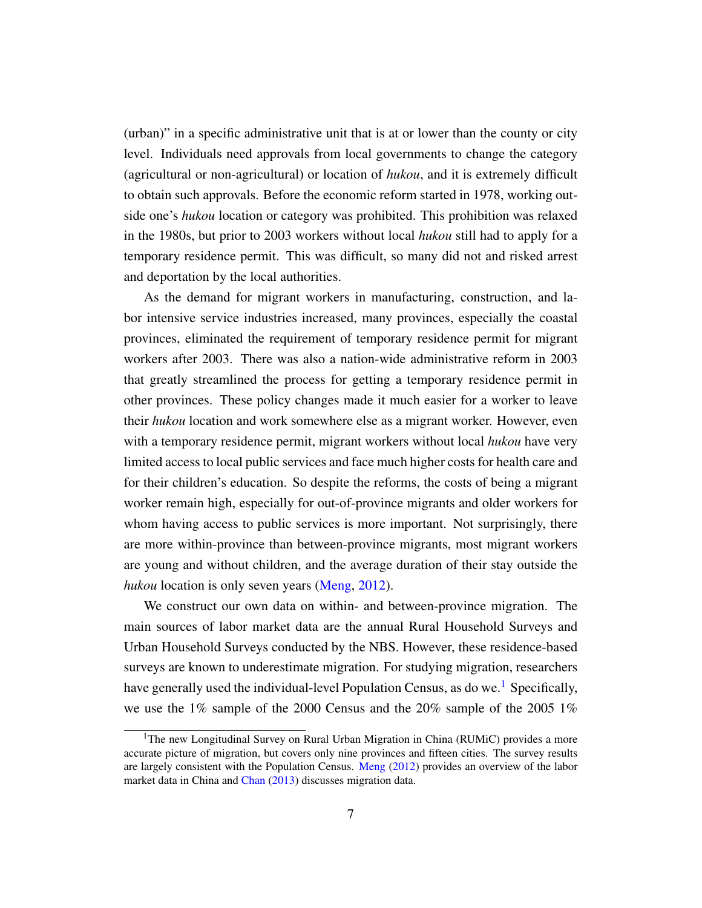(urban)" in a specific administrative unit that is at or lower than the county or city level. Individuals need approvals from local governments to change the category (agricultural or non-agricultural) or location of *hukou*, and it is extremely difficult to obtain such approvals. Before the economic reform started in 1978, working outside one's *hukou* location or category was prohibited. This prohibition was relaxed in the 1980s, but prior to 2003 workers without local *hukou* still had to apply for a temporary residence permit. This was difficult, so many did not and risked arrest and deportation by the local authorities.

As the demand for migrant workers in manufacturing, construction, and labor intensive service industries increased, many provinces, especially the coastal provinces, eliminated the requirement of temporary residence permit for migrant workers after 2003. There was also a nation-wide administrative reform in 2003 that greatly streamlined the process for getting a temporary residence permit in other provinces. These policy changes made it much easier for a worker to leave their *hukou* location and work somewhere else as a migrant worker. However, even with a temporary residence permit, migrant workers without local *hukou* have very limited access to local public services and face much higher costs for health care and for their children's education. So despite the reforms, the costs of being a migrant worker remain high, especially for out-of-province migrants and older workers for whom having access to public services is more important. Not surprisingly, there are more within-province than between-province migrants, most migrant workers are young and without children, and the average duration of their stay outside the *hukou* location is only seven years [\(Meng,](#page-40-11) [2012\)](#page-40-11).

We construct our own data on within- and between-province migration. The main sources of labor market data are the annual Rural Household Surveys and Urban Household Surveys conducted by the NBS. However, these residence-based surveys are known to underestimate migration. For studying migration, researchers have generally used the individual-level Population Census, as do we.<sup>[1](#page-0-0)</sup> Specifically, we use the 1% sample of the 2000 Census and the 20% sample of the 2005 1%

<sup>&</sup>lt;sup>1</sup>The new Longitudinal Survey on Rural Urban Migration in China (RUMiC) provides a more accurate picture of migration, but covers only nine provinces and fifteen cities. The survey results are largely consistent with the Population Census. [Meng](#page-40-11) [\(2012\)](#page-40-11) provides an overview of the labor market data in China and [Chan](#page-39-9) [\(2013\)](#page-39-9) discusses migration data.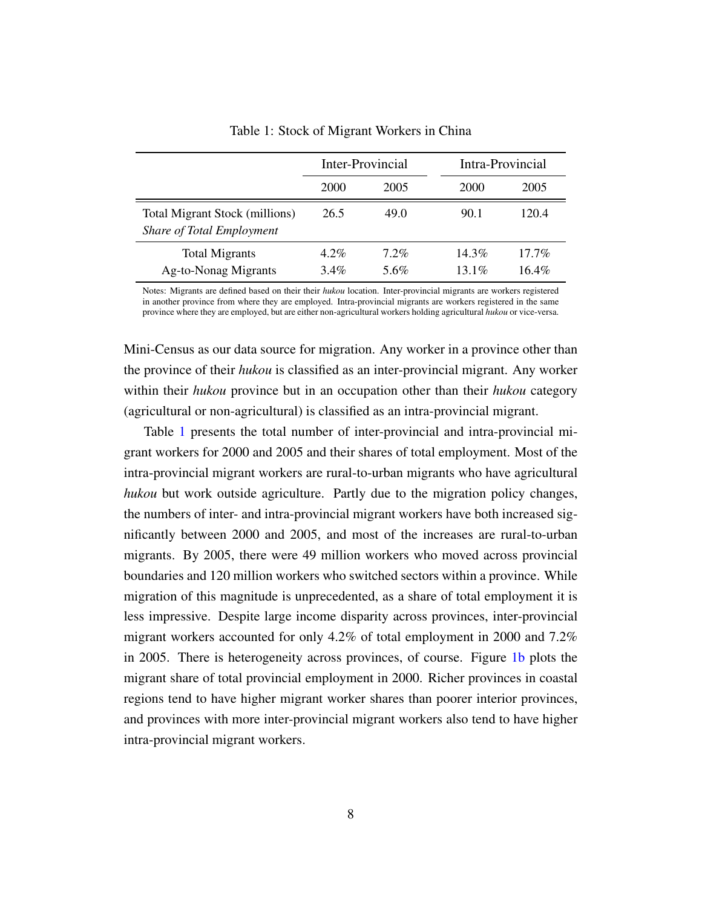<span id="page-8-0"></span>

|                                                             |                    | Inter-Provincial |                    | Intra-Provincial     |
|-------------------------------------------------------------|--------------------|------------------|--------------------|----------------------|
|                                                             | <b>2000</b>        | 2005             | 2000               | 2005                 |
| Total Migrant Stock (millions)<br>Share of Total Employment | 26.5               | 49.0             | 90.1               | 120.4                |
| <b>Total Migrants</b><br>Ag-to-Nonag Migrants               | $4.2\%$<br>$3.4\%$ | $7.2\%$<br>5.6%  | $14.3\%$<br>13 1\% | $17.7\%$<br>$16.4\%$ |

Table 1: Stock of Migrant Workers in China

Notes: Migrants are defined based on their their *hukou* location. Inter-provincial migrants are workers registered in another province from where they are employed. Intra-provincial migrants are workers registered in the same province where they are employed, but are either non-agricultural workers holding agricultural *hukou* or vice-versa.

Mini-Census as our data source for migration. Any worker in a province other than the province of their *hukou* is classified as an inter-provincial migrant. Any worker within their *hukou* province but in an occupation other than their *hukou* category (agricultural or non-agricultural) is classified as an intra-provincial migrant.

Table [1](#page-8-0) presents the total number of inter-provincial and intra-provincial migrant workers for 2000 and 2005 and their shares of total employment. Most of the intra-provincial migrant workers are rural-to-urban migrants who have agricultural *hukou* but work outside agriculture. Partly due to the migration policy changes, the numbers of inter- and intra-provincial migrant workers have both increased significantly between 2000 and 2005, and most of the increases are rural-to-urban migrants. By 2005, there were 49 million workers who moved across provincial boundaries and 120 million workers who switched sectors within a province. While migration of this magnitude is unprecedented, as a share of total employment it is less impressive. Despite large income disparity across provinces, inter-provincial migrant workers accounted for only 4.2% of total employment in 2000 and 7.2% in 2005. There is heterogeneity across provinces, of course. Figure [1b](#page-5-1) plots the migrant share of total provincial employment in 2000. Richer provinces in coastal regions tend to have higher migrant worker shares than poorer interior provinces, and provinces with more inter-provincial migrant workers also tend to have higher intra-provincial migrant workers.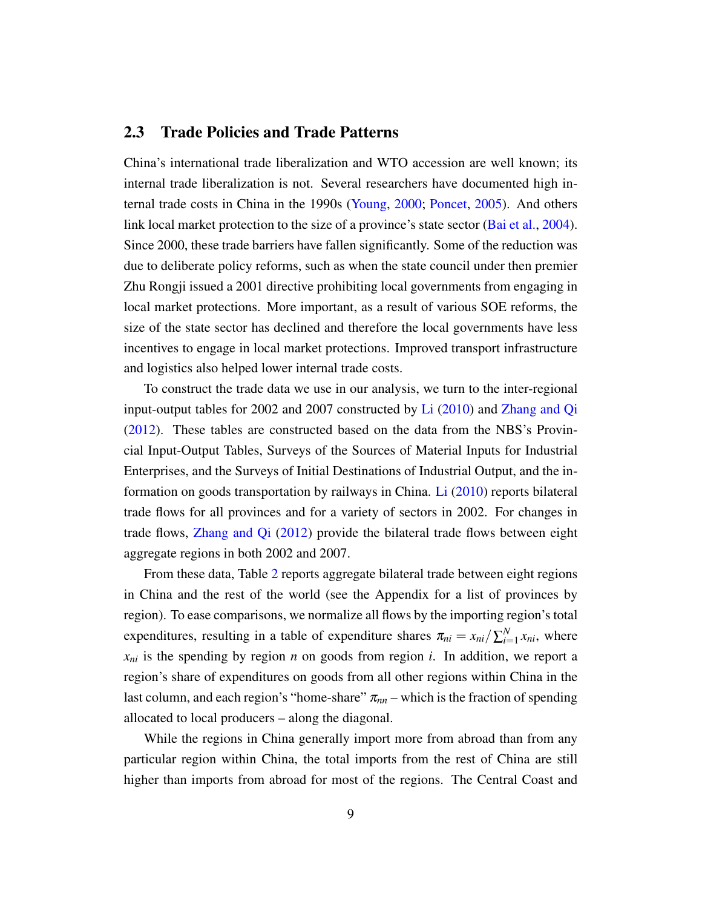## 2.3 Trade Policies and Trade Patterns

China's international trade liberalization and WTO accession are well known; its internal trade liberalization is not. Several researchers have documented high internal trade costs in China in the 1990s [\(Young,](#page-40-1) [2000;](#page-40-1) [Poncet,](#page-40-2) [2005\)](#page-40-2). And others link local market protection to the size of a province's state sector [\(Bai et al.,](#page-38-11) [2004\)](#page-38-11). Since 2000, these trade barriers have fallen significantly. Some of the reduction was due to deliberate policy reforms, such as when the state council under then premier Zhu Rongji issued a 2001 directive prohibiting local governments from engaging in local market protections. More important, as a result of various SOE reforms, the size of the state sector has declined and therefore the local governments have less incentives to engage in local market protections. Improved transport infrastructure and logistics also helped lower internal trade costs.

To construct the trade data we use in our analysis, we turn to the inter-regional input-output tables for 2002 and 2007 constructed by [Li](#page-40-12) [\(2010\)](#page-40-12) and [Zhang and Qi](#page-40-13) [\(2012\)](#page-40-13). These tables are constructed based on the data from the NBS's Provincial Input-Output Tables, Surveys of the Sources of Material Inputs for Industrial Enterprises, and the Surveys of Initial Destinations of Industrial Output, and the information on goods transportation by railways in China. [Li](#page-40-12) [\(2010\)](#page-40-12) reports bilateral trade flows for all provinces and for a variety of sectors in 2002. For changes in trade flows, [Zhang and Qi](#page-40-13) [\(2012\)](#page-40-13) provide the bilateral trade flows between eight aggregate regions in both 2002 and 2007.

From these data, Table [2](#page-10-0) reports aggregate bilateral trade between eight regions in China and the rest of the world (see the Appendix for a list of provinces by region). To ease comparisons, we normalize all flows by the importing region's total expenditures, resulting in a table of expenditure shares  $\pi_{ni} = x_{ni}/\sum_{i=1}^{N}$  $\sum_{i=1}^{N} x_{ni}$ , where *xni* is the spending by region *n* on goods from region *i*. In addition, we report a region's share of expenditures on goods from all other regions within China in the last column, and each region's "home-share"  $\pi_{nn}$  – which is the fraction of spending allocated to local producers – along the diagonal.

While the regions in China generally import more from abroad than from any particular region within China, the total imports from the rest of China are still higher than imports from abroad for most of the regions. The Central Coast and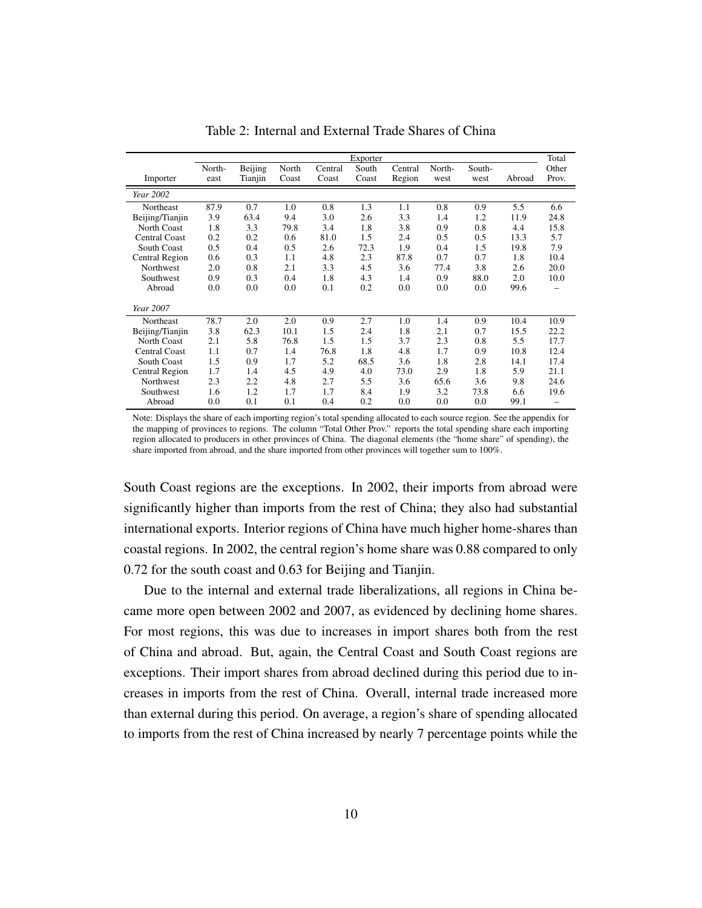<span id="page-10-0"></span>

|                       |                |                    |                |                  | Exporter       |                   |                |                |        | Total          |
|-----------------------|----------------|--------------------|----------------|------------------|----------------|-------------------|----------------|----------------|--------|----------------|
| Importer              | North-<br>east | Beijing<br>Tianjin | North<br>Coast | Central<br>Coast | South<br>Coast | Central<br>Region | North-<br>west | South-<br>west | Abroad | Other<br>Prov. |
| Year 2002             |                |                    |                |                  |                |                   |                |                |        |                |
| Northeast             | 87.9           | 0.7                | 1.0            | 0.8              | 1.3            | 1.1               | 0.8            | 0.9            | 5.5    | 6.6            |
| Beijing/Tianjin       | 3.9            | 63.4               | 9.4            | 3.0              | 2.6            | 3.3               | 1.4            | 1.2            | 11.9   | 24.8           |
| North Coast           | 1.8            | 3.3                | 79.8           | 3.4              | 1.8            | 3.8               | 0.9            | 0.8            | 4.4    | 15.8           |
| <b>Central Coast</b>  | 0.2            | 0.2                | 0.6            | 81.0             | 1.5            | 2.4               | 0.5            | 0.5            | 13.3   | 5.7            |
| <b>South Coast</b>    | 0.5            | 0.4                | 0.5            | 2.6              | 72.3           | 1.9               | 0.4            | 1.5            | 19.8   | 7.9            |
| <b>Central Region</b> | 0.6            | 0.3                | 1.1            | 4.8              | 2.3            | 87.8              | 0.7            | 0.7            | 1.8    | 10.4           |
| <b>Northwest</b>      | 2.0            | 0.8                | 2.1            | 3.3              | 4.5            | 3.6               | 77.4           | 3.8            | 2.6    | 20.0           |
| Southwest             | 0.9            | 0.3                | 0.4            | 1.8              | 4.3            | 1.4               | 0.9            | 88.0           | 2.0    | 10.0           |
| Abroad                | 0.0            | 0.0                | 0.0            | 0.1              | 0.2            | 0.0               | 0.0            | 0.0            | 99.6   |                |
| Year 2007             |                |                    |                |                  |                |                   |                |                |        |                |
| Northeast             | 78.7           | 2.0                | 2.0            | 0.9              | 2.7            | 1.0               | 1.4            | 0.9            | 10.4   | 10.9           |
| Beijing/Tianjin       | 3.8            | 62.3               | 10.1           | 1.5              | 2.4            | 1.8               | 2.1            | 0.7            | 15.5   | 22.2           |
| North Coast           | 2.1            | 5.8                | 76.8           | 1.5              | 1.5            | 3.7               | 2.3            | 0.8            | 5.5    | 17.7           |
| <b>Central Coast</b>  | 1.1            | 0.7                | 1.4            | 76.8             | 1.8            | 4.8               | 1.7            | 0.9            | 10.8   | 12.4           |
| South Coast           | 1.5            | 0.9                | 1.7            | 5.2              | 68.5           | 3.6               | 1.8            | 2.8            | 14.1   | 17.4           |
| <b>Central Region</b> | 1.7            | 1.4                | 4.5            | 4.9              | 4.0            | 73.0              | 2.9            | 1.8            | 5.9    | 21.1           |
| Northwest             | 2.3            | 2.2                | 4.8            | 2.7              | 5.5            | 3.6               | 65.6           | 3.6            | 9.8    | 24.6           |
| Southwest             | 1.6            | 1.2                | 1.7            | 1.7              | 8.4            | 1.9               | 3.2            | 73.8           | 6.6    | 19.6           |
| Abroad                | 0.0            | 0.1                | 0.1            | 0.4              | 0.2            | 0.0               | 0.0            | 0.0            | 99.1   |                |

Table 2: Internal and External Trade Shares of China

Note: Displays the share of each importing region's total spending allocated to each source region. See the appendix for the mapping of provinces to regions. The column "Total Other Prov." reports the total spending share each importing region allocated to producers in other provinces of China. The diagonal elements (the "home share" of spending), the share imported from abroad, and the share imported from other provinces will together sum to 100%.

South Coast regions are the exceptions. In 2002, their imports from abroad were significantly higher than imports from the rest of China; they also had substantial international exports. Interior regions of China have much higher home-shares than coastal regions. In 2002, the central region's home share was 0.88 compared to only 0.72 for the south coast and 0.63 for Beijing and Tianjin.

Due to the internal and external trade liberalizations, all regions in China became more open between 2002 and 2007, as evidenced by declining home shares. For most regions, this was due to increases in import shares both from the rest of China and abroad. But, again, the Central Coast and South Coast regions are exceptions. Their import shares from abroad declined during this period due to increases in imports from the rest of China. Overall, internal trade increased more than external during this period. On average, a region's share of spending allocated to imports from the rest of China increased by nearly 7 percentage points while the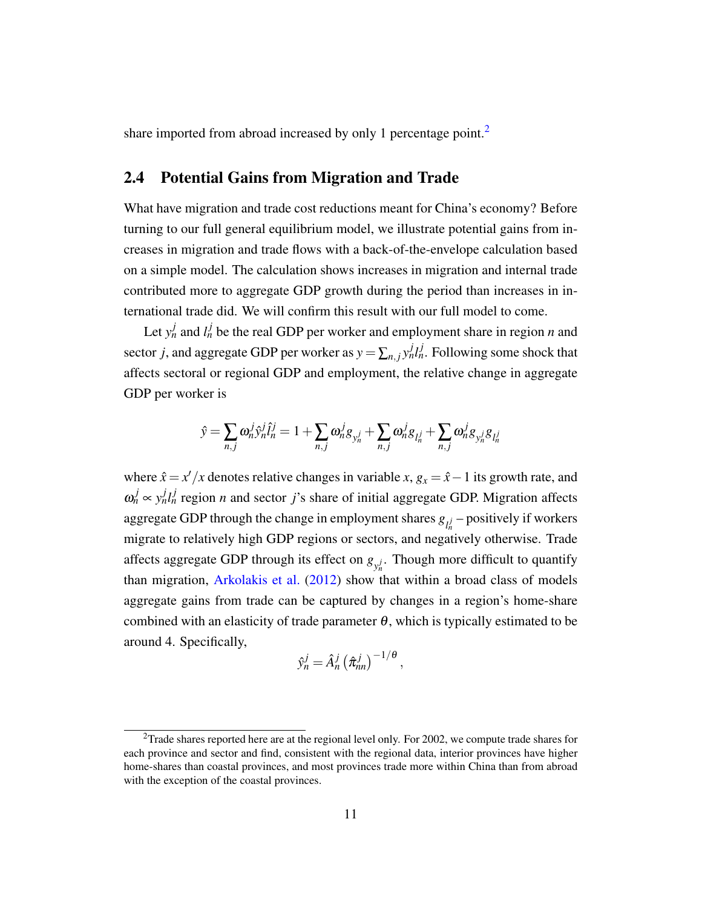share imported from abroad increased by only 1 percentage point.<sup>[2](#page-0-0)</sup>

## 2.4 Potential Gains from Migration and Trade

What have migration and trade cost reductions meant for China's economy? Before turning to our full general equilibrium model, we illustrate potential gains from increases in migration and trade flows with a back-of-the-envelope calculation based on a simple model. The calculation shows increases in migration and internal trade contributed more to aggregate GDP growth during the period than increases in international trade did. We will confirm this result with our full model to come.

Let  $y_n^j$  and  $l_n^j$  be the real GDP per worker and employment share in region *n* and sector *j*, and aggregate GDP per worker as  $y = \sum_{n,j} y_n^j l_n^j$ . Following some shock that affects sectoral or regional GDP and employment, the relative change in aggregate GDP per worker is

$$
\hat{y} = \sum_{n,j} \omega_n^j \hat{y}_n^j \hat{l}_n^j = 1 + \sum_{n,j} \omega_n^j g_{y_n^j} + \sum_{n,j} \omega_n^j g_{l_n^j} + \sum_{n,j} \omega_n^j g_{y_n^j} g_{l_n^j}
$$

where  $\hat{x} = x'/x$  denotes relative changes in variable *x*,  $g_x = \hat{x} - 1$  its growth rate, and  $\omega_n^j \sim y_n^j l_n^j$  region *n* and sector *j*'s share of initial aggregate GDP. Migration affects aggregate GDP through the change in employment shares  $g_{l_n^j}$  – positively if workers migrate to relatively high GDP regions or sectors, and negatively otherwise. Trade affects aggregate GDP through its effect on  $g_{y_n^j}$ . Though more difficult to quantify than migration, [Arkolakis et al.](#page-38-12) [\(2012\)](#page-38-12) show that within a broad class of models aggregate gains from trade can be captured by changes in a region's home-share combined with an elasticity of trade parameter  $\theta$ , which is typically estimated to be around 4. Specifically,

$$
\hat{y}_n^j = \hat{A}_n^j \left( \hat{\pi}_{nn}^j \right)^{-1/\theta},
$$

<sup>2</sup>Trade shares reported here are at the regional level only. For 2002, we compute trade shares for each province and sector and find, consistent with the regional data, interior provinces have higher home-shares than coastal provinces, and most provinces trade more within China than from abroad with the exception of the coastal provinces.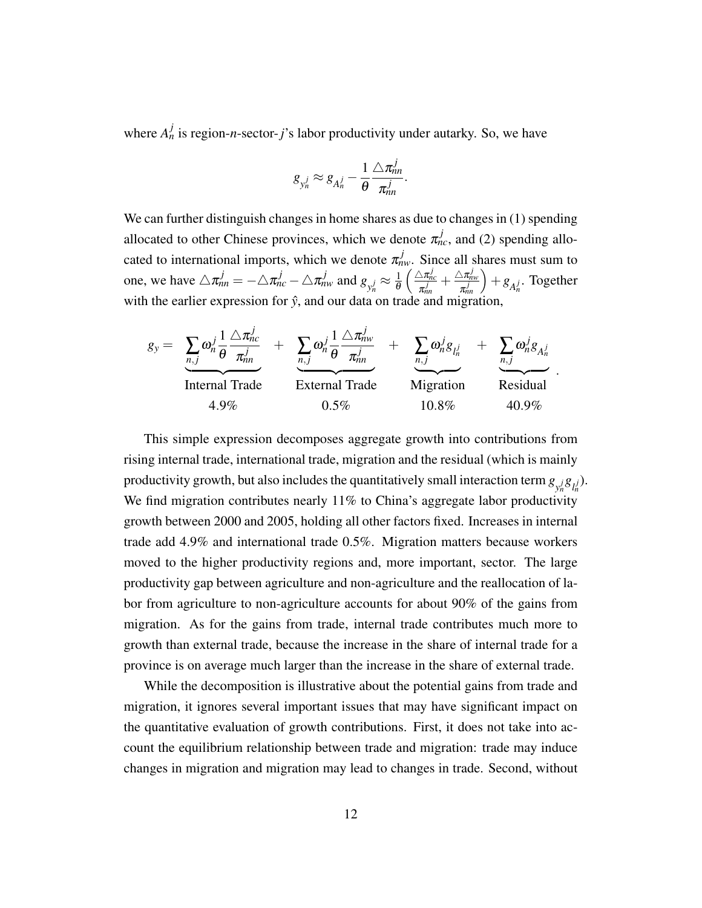where  $A_n^j$  is region-*n*-sector-*j*'s labor productivity under autarky. So, we have

$$
g_{y_n^j} \approx g_{A_n^j} - \frac{1}{\theta} \frac{\triangle \pi_{nn}^j}{\pi_{nn}^j}.
$$

We can further distinguish changes in home shares as due to changes in (1) spending allocated to other Chinese provinces, which we denote  $\pi_{nc}^{j}$ , and (2) spending allocated to international imports, which we denote  $\pi_{nw}^{j}$ . Since all shares must sum to one, we have  $\triangle \pi_{nn}^j = -\triangle \pi_{nc}^j - \triangle \pi_{nw}^j$  and  $g_{y_n^j} \approx \frac{1}{\theta}$ θ  $\int \triangle \pi_{nc}^j$  $\frac{\Delta \pi_{nc}^j}{\pi_{nn}^j} + \frac{\Delta \pi_{nw}^j}{\pi_{nn}^j}$  $\overline{\pi_m^j}$  $+g_{A_n^j}$ . Together with the earlier expression for  $\hat{y}$ , and our data on trade and migration,

$$
g_{y} = \sum_{n,j} \omega_{n}^{j} \frac{1}{\theta} \frac{\Delta \pi_{nc}^{j}}{\pi_{nn}^{j}} + \sum_{n,j} \omega_{n}^{j} \frac{1}{\theta} \frac{\Delta \pi_{nw}^{j}}{\pi_{nn}^{j}} + \sum_{n,j} \omega_{n}^{j} g_{l_{n}^{j}} + \sum_{n,j} \omega_{n}^{j} g_{A_{n}^{j}} + \sum_{n,j} \omega_{n}^{j} g_{A_{n}^{j}} + \sum_{n,j} \omega_{n}^{j} g_{A_{n}^{j}} + \sum_{n,j} \omega_{n}^{j} g_{A_{n}^{j}} + \sum_{n,j} \omega_{n}^{j} g_{A_{n}^{j}} + \sum_{n,j} \omega_{n}^{j} g_{A_{n}^{j}} + \sum_{n,j} \omega_{n}^{j} g_{A_{n}^{j}} + \sum_{n,j} \omega_{n}^{j} g_{A_{n}^{j}} + \sum_{n,j} \omega_{n}^{j} g_{A_{n}^{j}} + \sum_{n,j} \omega_{n}^{j} g_{A_{n}^{j}} + \sum_{n,j} \omega_{n}^{j} g_{A_{n}^{j}} + \sum_{n,j} \omega_{n}^{j} g_{A_{n}^{j}} + \sum_{n,j} \omega_{n}^{j} g_{A_{n}^{j}} + \sum_{n,j} \omega_{n}^{j} g_{A_{n}^{j}} + \sum_{n,j} \omega_{n}^{j} g_{A_{n}^{j}} + \sum_{n,j} \omega_{n}^{j} g_{A_{n}^{j}} + \sum_{n,j} \omega_{n}^{j} g_{A_{n}^{j}} + \sum_{n,j} \omega_{n}^{j} g_{A_{n}^{j}} + \sum_{n,j} \omega_{n}^{j} g_{A_{n}^{j}} + \sum_{n,j} \omega_{n}^{j} g_{A_{n}^{j}} + \sum_{n,j} \omega_{n}^{j} g_{A_{n}^{j}} + \sum_{n,j} \omega_{n}^{j} g_{A_{n}^{j}} + \sum_{n,j} \omega_{n}^{j} g_{A_{n}^{j}} + \sum_{n,j} \omega_{n}^{j} g_{A_{n}^{j}} + \sum_{n,j} \omega_{n}^{j} g_{A_{n}^{j}} + \sum_{n,j} \omega_{n}^{j} g_{A_{n}^{j}} + \sum_{n,j} \omega_{n}^{j} g_{A_{n}
$$

.

This simple expression decomposes aggregate growth into contributions from rising internal trade, international trade, migration and the residual (which is mainly productivity growth, but also includes the quantitatively small interaction term  $g_{y_n^j}g_{l_n^j}$ . We find migration contributes nearly 11% to China's aggregate labor productivity growth between 2000 and 2005, holding all other factors fixed. Increases in internal trade add 4.9% and international trade 0.5%. Migration matters because workers moved to the higher productivity regions and, more important, sector. The large productivity gap between agriculture and non-agriculture and the reallocation of labor from agriculture to non-agriculture accounts for about 90% of the gains from migration. As for the gains from trade, internal trade contributes much more to growth than external trade, because the increase in the share of internal trade for a province is on average much larger than the increase in the share of external trade.

While the decomposition is illustrative about the potential gains from trade and migration, it ignores several important issues that may have significant impact on the quantitative evaluation of growth contributions. First, it does not take into account the equilibrium relationship between trade and migration: trade may induce changes in migration and migration may lead to changes in trade. Second, without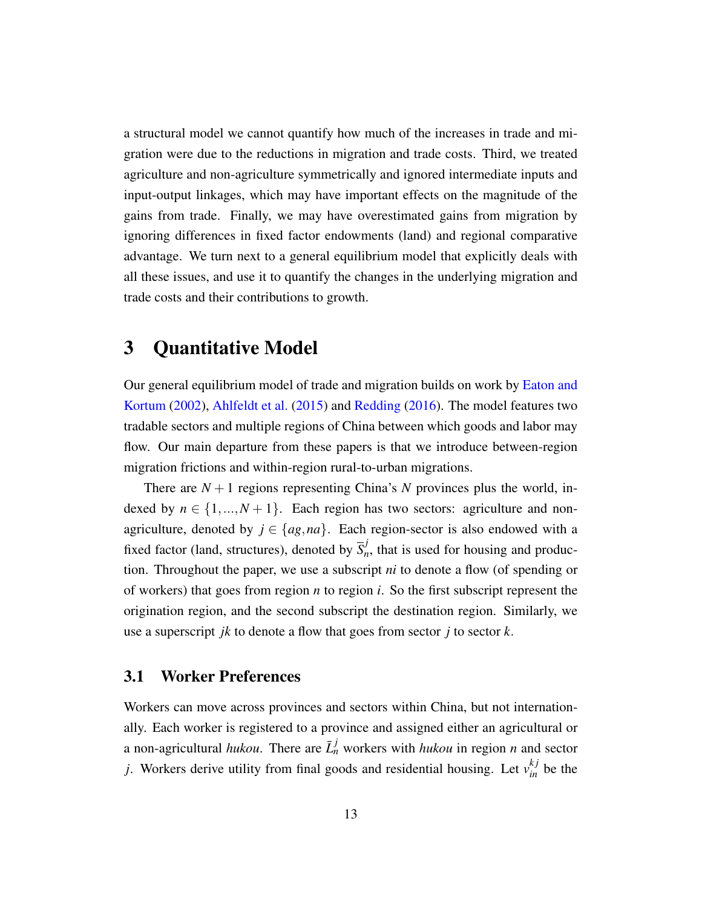a structural model we cannot quantify how much of the increases in trade and migration were due to the reductions in migration and trade costs. Third, we treated agriculture and non-agriculture symmetrically and ignored intermediate inputs and input-output linkages, which may have important effects on the magnitude of the gains from trade. Finally, we may have overestimated gains from migration by ignoring differences in fixed factor endowments (land) and regional comparative advantage. We turn next to a general equilibrium model that explicitly deals with all these issues, and use it to quantify the changes in the underlying migration and trade costs and their contributions to growth.

# 3 Quantitative Model

Our general equilibrium model of trade and migration builds on work by [Eaton and](#page-39-0) [Kortum](#page-39-0) [\(2002\)](#page-39-0), [Ahlfeldt et al.](#page-38-1) [\(2015\)](#page-38-1) and [Redding](#page-40-4) [\(2016\)](#page-40-4). The model features two tradable sectors and multiple regions of China between which goods and labor may flow. Our main departure from these papers is that we introduce between-region migration frictions and within-region rural-to-urban migrations.

There are  $N + 1$  regions representing China's N provinces plus the world, indexed by  $n \in \{1, ..., N+1\}$ . Each region has two sectors: agriculture and nonagriculture, denoted by  $j \in \{ag, na\}$ . Each region-sector is also endowed with a fixed factor (land, structures), denoted by  $\overline{S}_{n}^{j}$  $n_n$ , that is used for housing and production. Throughout the paper, we use a subscript *ni* to denote a flow (of spending or of workers) that goes from region *n* to region *i*. So the first subscript represent the origination region, and the second subscript the destination region. Similarly, we use a superscript *jk* to denote a flow that goes from sector *j* to sector *k*.

## 3.1 Worker Preferences

Workers can move across provinces and sectors within China, but not internationally. Each worker is registered to a province and assigned either an agricultural or a non-agricultural *hukou*. There are  $\bar{L}_n^j$  workers with *hukou* in region *n* and sector *j*. Workers derive utility from final goods and residential housing. Let  $v_{in}^{kj}$  be the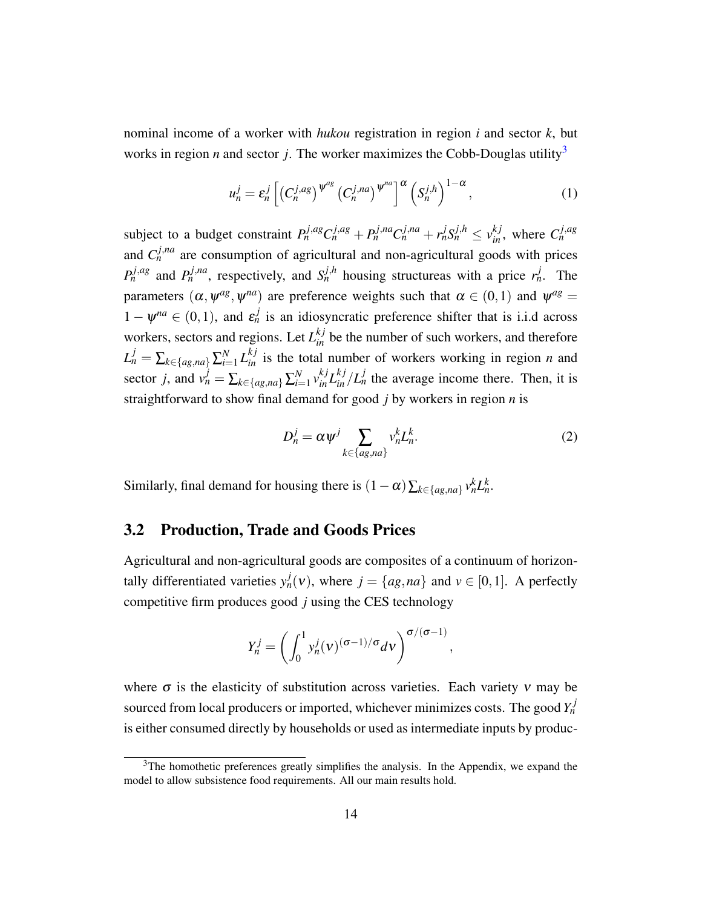nominal income of a worker with *hukou* registration in region *i* and sector *k*, but works in region *n* and sector *j*. The worker maximizes the Cobb-Douglas utility<sup>[3](#page-0-0)</sup>

$$
u_n^j = \varepsilon_n^j \left[ \left( C_n^{j,ag} \right)^{\psi^{ag}} \left( C_n^{j,na} \right)^{\psi^{na}} \right]^\alpha \left( S_n^{j,h} \right)^{1-\alpha}, \tag{1}
$$

subject to a budget constraint  $P_n^{j,ag}C_n^{j,ag}+P_n^{j,na}C_n^{j,na}+r_n^jS_n^{j,h} \leq v_{in}^{kj}$ , where  $C_n^{j,ag}$ and  $C_n^{j,na}$  are consumption of agricultural and non-agricultural goods with prices  $P_n^{j,ag}$  and  $P_n^{j,na}$ , respectively, and  $S_n^{j,h}$  housing structureas with a price  $r_n^j$ . The parameters  $(\alpha, \psi^{ag}, \psi^{na})$  are preference weights such that  $\alpha \in (0,1)$  and  $\psi^{ag} =$  $1 - \psi^{na} \in (0, 1)$ , and  $\varepsilon_n^j$  is an idiosyncratic preference shifter that is i.i.d across workers, sectors and regions. Let  $L_{in}^{kj}$  be the number of such workers, and therefore  $L_n^j = \sum_{k \in \{ag,na\}} \sum_{i=1}^N$  $\sum_{i=1}^{N} L_{in}^{kj}$  is the total number of workers working in region *n* and sector *j*, and  $v_n^j = \sum_{k \in \{ag, na\}} \sum_{i=1}^N$  $\int_{i=1}^{N} v_{in}^{kj} L_{in}^{kj} / L_{n}^{j}$  the average income there. Then, it is straightforward to show final demand for good *j* by workers in region *n* is

<span id="page-14-0"></span>
$$
D_n^j = \alpha \psi^j \sum_{k \in \{ag, na\}} v_n^k L_n^k. \tag{2}
$$

,

Similarly, final demand for housing there is  $(1 - \alpha) \sum_{k \in \{ag, na\}} v_n^k L_n^k$ .

### 3.2 Production, Trade and Goods Prices

Agricultural and non-agricultural goods are composites of a continuum of horizontally differentiated varieties  $y_n^j(v)$ , where  $j = \{ag, na\}$  and  $v \in [0,1]$ . A perfectly competitive firm produces good *j* using the CES technology

$$
Y_n^j = \left(\int_0^1 y_n^j(v)^{(\sigma-1)/\sigma} dv\right)^{\sigma/(\sigma-1)}
$$

where  $\sigma$  is the elasticity of substitution across varieties. Each variety  $v$  may be sourced from local producers or imported, whichever minimizes costs. The good  $Y_n^j$ is either consumed directly by households or used as intermediate inputs by produc-

<sup>&</sup>lt;sup>3</sup>The homothetic preferences greatly simplifies the analysis. In the Appendix, we expand the model to allow subsistence food requirements. All our main results hold.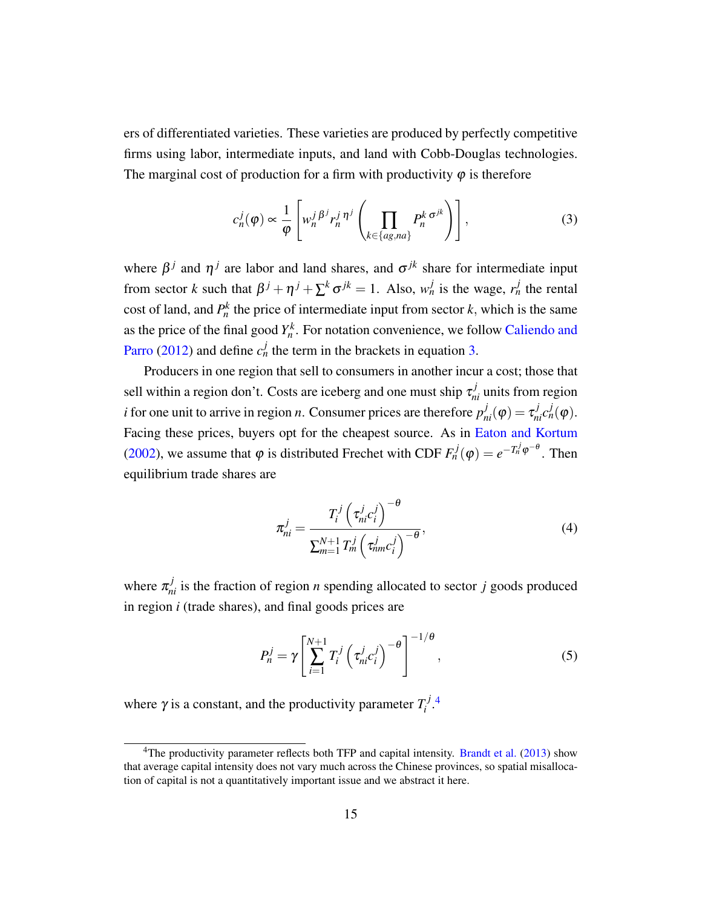ers of differentiated varieties. These varieties are produced by perfectly competitive firms using labor, intermediate inputs, and land with Cobb-Douglas technologies. The marginal cost of production for a firm with productivity  $\varphi$  is therefore

<span id="page-15-0"></span>
$$
c_n^j(\varphi) \propto \frac{1}{\varphi} \left[ w_n^j \frac{\beta^j r_n^j \eta^j}{\left( \prod_{k \in \{ag, na\}} P_n^k \sigma^{jk} \right)} \right],
$$
 (3)

where  $\beta^j$  and  $\eta^j$  are labor and land shares, and  $\sigma^{jk}$  share for intermediate input from sector *k* such that  $\beta^{j} + \eta^{j} + \sum^{k} \sigma^{jk} = 1$ . Also,  $w_n^{j}$  is the wage,  $r_n^{j}$  the rental cost of land, and  $P_n^k$  the price of intermediate input from sector  $k$ , which is the same as the price of the final good  $Y_n^k$ . For notation convenience, we follow [Caliendo and](#page-38-13) [Parro](#page-38-13) [\(2012\)](#page-38-13) and define  $c_n^j$  the term in the brackets in equation [3.](#page-15-0)

Producers in one region that sell to consumers in another incur a cost; those that sell within a region don't. Costs are iceberg and one must ship  $\tau_{ni}^j$  units from region *i* for one unit to arrive in region *n*. Consumer prices are therefore  $p_{ni}^j(\varphi) = \tau_{ni}^j c_n^j(\varphi)$ . Facing these prices, buyers opt for the cheapest source. As in [Eaton and Kortum](#page-39-0) [\(2002\)](#page-39-0), we assume that  $\varphi$  is distributed Frechet with CDF  $F_n^j(\varphi) = e^{-T_n^j \varphi^{-\theta}}$ . Then equilibrium trade shares are

<span id="page-15-1"></span>
$$
\pi_{ni}^j = \frac{T_i^j \left(\tau_{ni}^j c_i^j\right)^{-\theta}}{\sum_{m=1}^{N+1} T_m^j \left(\tau_{nm}^j c_i^j\right)^{-\theta}},\tag{4}
$$

where  $\pi_{ni}^{j}$  is the fraction of region *n* spending allocated to sector *j* goods produced in region *i* (trade shares), and final goods prices are

<span id="page-15-2"></span>
$$
P_n^j = \gamma \left[ \sum_{i=1}^{N+1} T_i^j \left( \tau_{ni}^j c_i^j \right)^{-\theta} \right]^{-1/\theta}, \tag{5}
$$

where  $\gamma$  is a constant, and the productivity parameter  $T_i^j$ *i* . [4](#page-0-0)

<sup>&</sup>lt;sup>4</sup>The productivity parameter reflects both TFP and capital intensity. [Brandt et al.](#page-38-8) [\(2013\)](#page-38-8) show that average capital intensity does not vary much across the Chinese provinces, so spatial misallocation of capital is not a quantitatively important issue and we abstract it here.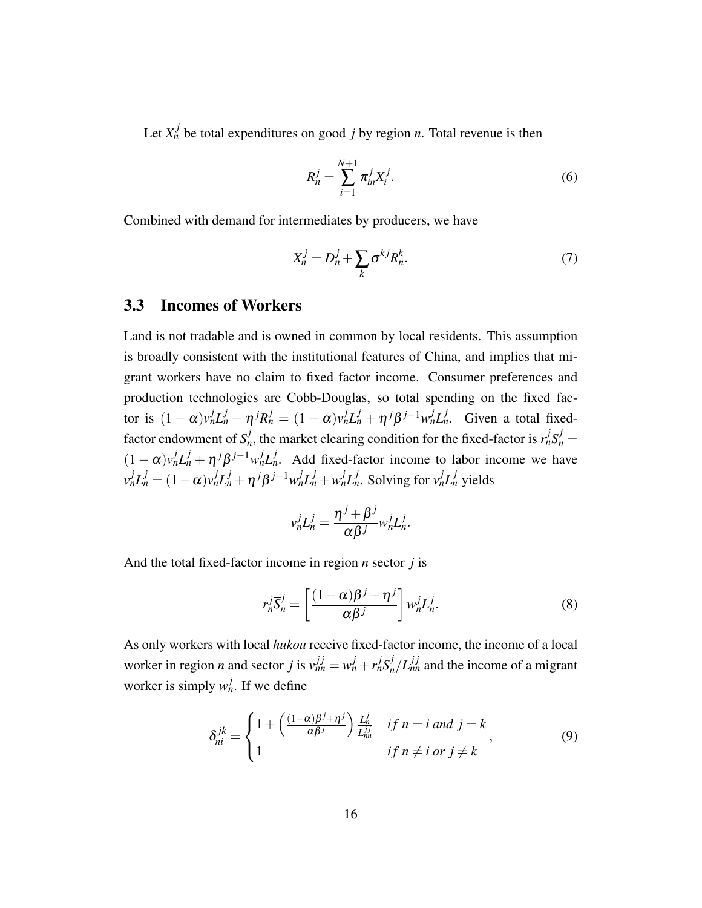Let  $X_n^j$  be total expenditures on good *j* by region *n*. Total revenue is then

<span id="page-16-2"></span>
$$
R_n^j = \sum_{i=1}^{N+1} \pi_{in}^j X_i^j.
$$
 (6)

Combined with demand for intermediates by producers, we have

<span id="page-16-3"></span>
$$
X_n^j = D_n^j + \sum_k \sigma^{kj} R_n^k. \tag{7}
$$

## <span id="page-16-1"></span>3.3 Incomes of Workers

Land is not tradable and is owned in common by local residents. This assumption is broadly consistent with the institutional features of China, and implies that migrant workers have no claim to fixed factor income. Consumer preferences and production technologies are Cobb-Douglas, so total spending on the fixed factor is  $(1-\alpha)v_n^j L_n^j + \eta^j R_n^j = (1-\alpha)v_n^j L_n^j + \eta^j \beta^{j-1} w_n^j L_n^j$ . Given a total fixedfactor endowment of  $\overline{S}_{n}^{j}$ *n*<sup>*j*</sup>, the market clearing condition for the fixed-factor is  $r_n^j \overline{S}_n^j = 0$  $(1 - \alpha)v_n^j L_n^j + \eta^j \beta^{j-1} w_n^j L_n^j$ . Add fixed-factor income to labor income we have  $v_n^j L_n^j = (1 - \alpha)v_n^j L_n^j + \eta^j \beta^{j-1} w_n^j L_n^j + w_n^j L_n^j$ . Solving for  $v_n^j L_n^j$  yields

$$
v_n^j L_n^j = \frac{\eta^j + \beta^j}{\alpha \beta^j} w_n^j L_n^j.
$$

And the total fixed-factor income in region *n* sector *j* is

$$
r_n^j \overline{S}_n^j = \left[ \frac{(1 - \alpha)\beta^j + \eta^j}{\alpha \beta^j} \right] w_n^j L_n^j. \tag{8}
$$

As only workers with local *hukou* receive fixed-factor income, the income of a local worker in region *n* and sector *j* is  $v_{nn}^{j j} = w_n^j + r_n^j \overline{S}_n^j / L_{nn}^{j j}$  and the income of a migrant worker is simply  $w_n^j$ . If we define

<span id="page-16-0"></span>
$$
\delta_{ni}^{jk} = \begin{cases} 1 + \left(\frac{(1-\alpha)\beta^j + \eta^j}{\alpha \beta^j}\right) \frac{L_n^j}{L_{nn}^{jj}} & \text{if } n = i \text{ and } j = k \\ 1 & \text{if } n \neq i \text{ or } j \neq k \end{cases}
$$
(9)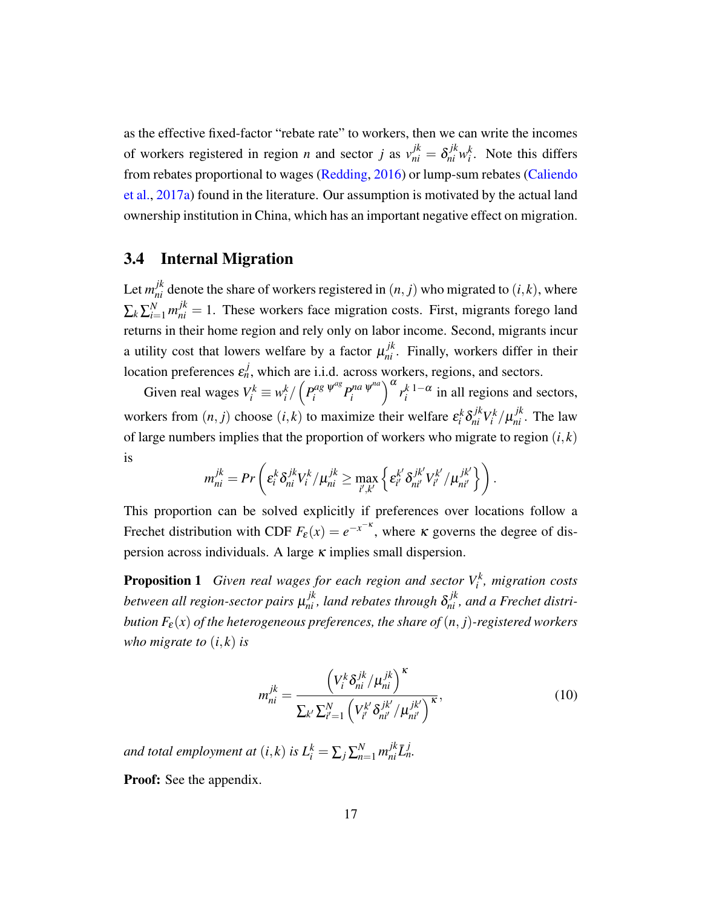as the effective fixed-factor "rebate rate" to workers, then we can write the incomes of workers registered in region *n* and sector *j* as  $v_{ni}^{jk} = \delta_{ni}^{jk} w_i^k$ . Note this differs from rebates proportional to wages [\(Redding,](#page-40-4) [2016\)](#page-40-4) or lump-sum rebates [\(Caliendo](#page-38-14) [et al.,](#page-38-14) [2017a\)](#page-38-14) found in the literature. Our assumption is motivated by the actual land ownership institution in China, which has an important negative effect on migration.

## 3.4 Internal Migration

Let  $m_{ni}^{jk}$  denote the share of workers registered in  $(n, j)$  who migrated to  $(i, k)$ , where  $\sum_{k} \sum_{i=1}^{N} m_{ni}^{jk} = 1$ . These workers face migration costs. First, migrants forego land returns in their home region and rely only on labor income. Second, migrants incur a utility cost that lowers welfare by a factor  $\mu_{ni}^{jk}$ . Finally, workers differ in their location preferences  $\varepsilon_n^j$ , which are i.i.d. across workers, regions, and sectors.

Given real wages  $V_i^k \equiv w_i^k / \left( P_i^{ag} \Psi^{ag} P_i^{na} \Psi^{na} \right)$  $\int_{i}^{na} \frac{\psi^{na}}{\psi^{na}} \int_{i}^{k} \frac{1-\alpha}{i}$  in all regions and sectors, workers from  $(n, j)$  choose  $(i, k)$  to maximize their welfare  $\varepsilon_i^k \delta_{ni}^{jk} V_i^k / \mu_{ni}^{jk}$ . The law of large numbers implies that the proportion of workers who migrate to region  $(i, k)$ is

$$
m_{ni}^{jk} = Pr\left(\varepsilon_i^k \delta_{ni}^{jk} V_i^k / \mu_{ni}^{jk} \geq \max_{i',k'} \left\{\varepsilon_{i'}^{k'} \delta_{ni'}^{jk'} V_{i'}^{k'} / \mu_{ni'}^{jk'} \right\}\right).
$$

This proportion can be solved explicitly if preferences over locations follow a Frechet distribution with CDF  $F_{\varepsilon}(x) = e^{-x^{-\kappa}}$ , where  $\kappa$  governs the degree of dispersion across individuals. A large  $\kappa$  implies small dispersion.

<span id="page-17-1"></span>**Proposition 1** Given real wages for each region and sector  $V_i^k$ , migration costs between all region-sector pairs  $\mu^{jk}_{ni}$ , land rebates through  $\delta^{jk}_{ni}$ , and a Frechet distri*bution*  $F_{\varepsilon}(x)$  *of the heterogeneous preferences, the share of*  $(n, j)$ *-registered workers who migrate to*  $(i, k)$  *is* 

<span id="page-17-0"></span>
$$
m_{ni}^{jk} = \frac{\left(V_i^k \delta_{ni}^{jk}/\mu_{ni}^{jk}\right)^{\kappa}}{\sum_{k'} \sum_{i'=1}^N \left(V_{i'}^{k'} \delta_{ni'}^{jk'}/\mu_{ni'}^{jk'}\right)^{\kappa}},\tag{10}
$$

*and total employment at*  $(i, k)$  *is*  $L_i^k = \sum_j \sum_{n=1}^N m_{ni}^{jk} \overline{L}_n^j$ .

**Proof:** See the appendix.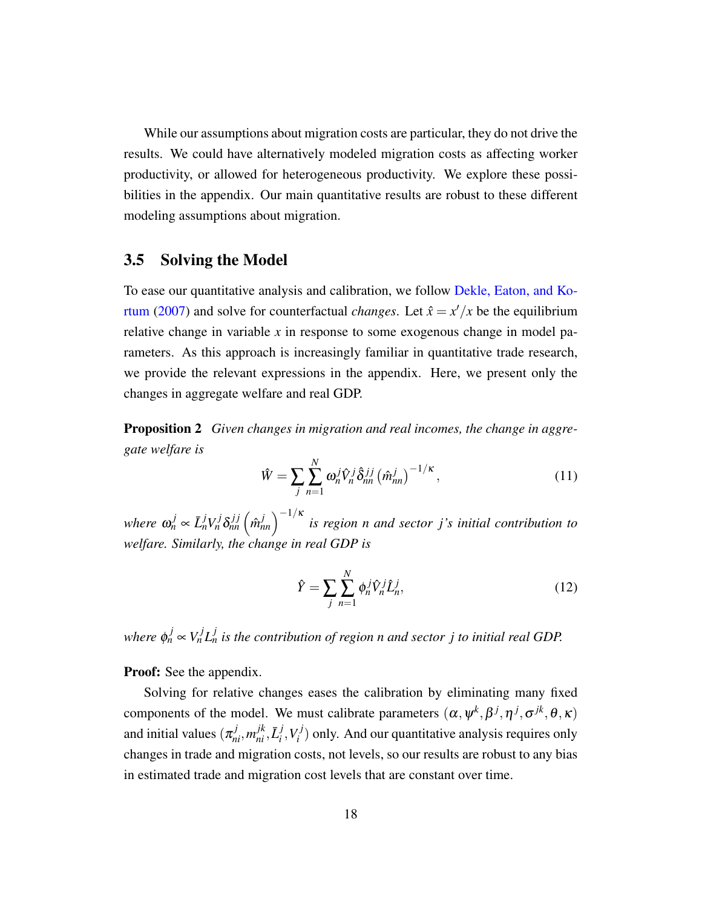While our assumptions about migration costs are particular, they do not drive the results. We could have alternatively modeled migration costs as affecting worker productivity, or allowed for heterogeneous productivity. We explore these possibilities in the appendix. Our main quantitative results are robust to these different modeling assumptions about migration.

## 3.5 Solving the Model

To ease our quantitative analysis and calibration, we follow [Dekle, Eaton, and Ko](#page-39-10)[rtum](#page-39-10) [\(2007\)](#page-39-10) and solve for counterfactual *changes*. Let  $\hat{x} = x'/x$  be the equilibrium relative change in variable *x* in response to some exogenous change in model parameters. As this approach is increasingly familiar in quantitative trade research, we provide the relevant expressions in the appendix. Here, we present only the changes in aggregate welfare and real GDP.

<span id="page-18-0"></span>Proposition 2 *Given changes in migration and real incomes, the change in aggregate welfare is*

$$
\hat{W} = \sum_{j} \sum_{n=1}^{N} \omega_n^j \hat{V}_n^j \hat{\delta}_{nn}^{jj} \left(\hat{m}_{nn}^j\right)^{-1/\kappa},\tag{11}
$$

 $w$ *here*  $\omega_n^j \propto \bar{L}_n^j V_n^j \delta_{nn}^{j,j} \left(\hat{m}_{nn}^j\right)^{-1/\kappa}$  is region n and sector j's initial contribution to *welfare. Similarly, the change in real GDP is*

$$
\hat{Y} = \sum_{j} \sum_{n=1}^{N} \phi_n^j \hat{V}_n^j \hat{L}_n^j,
$$
\n(12)

*where*  $\phi_n^j \propto V_n^j L_n^j$  is the contribution of region n and sector j to initial real GDP.

**Proof:** See the appendix.

Solving for relative changes eases the calibration by eliminating many fixed components of the model. We must calibrate parameters  $(\alpha, \psi^k, \beta^j, \eta^j, \sigma^{jk}, \theta, \kappa)$ and initial values  $(\pi_{ni}^j, m_{ni}^{jk}, \bar{L}_i^j)$  $i<sup>j</sup>$ ,  $V_i<sup>j</sup>$  $I_i^{(1)}$ ) only. And our quantitative analysis requires only changes in trade and migration costs, not levels, so our results are robust to any bias in estimated trade and migration cost levels that are constant over time.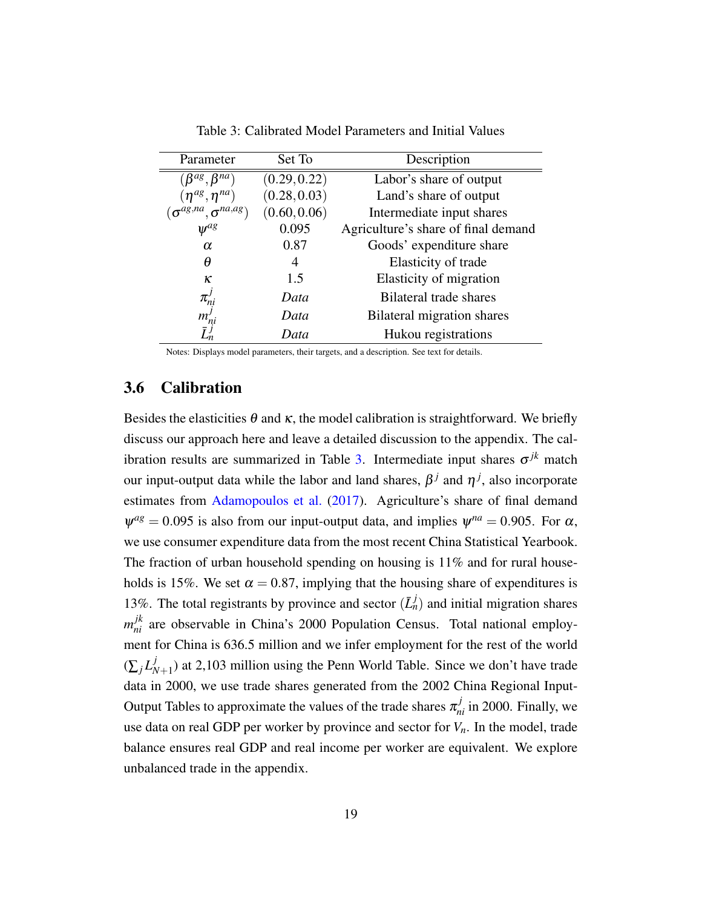<span id="page-19-0"></span>

| Parameter                          | Set To       | Description                         |
|------------------------------------|--------------|-------------------------------------|
| $(\beta^{ag}, \beta^{na})$         | (0.29, 0.22) | Labor's share of output             |
| $(\eta^{ag}, \eta^{na})$           | (0.28, 0.03) | Land's share of output              |
| $(\sigma^{ag,na}, \sigma^{na,ag})$ | (0.60, 0.06) | Intermediate input shares           |
| $\psi^{ag}$                        | 0.095        | Agriculture's share of final demand |
| $\alpha$                           | 0.87         | Goods' expenditure share            |
| θ                                  | 4            | Elasticity of trade                 |
| ĸ                                  | 1.5          | Elasticity of migration             |
|                                    | Data         | Bilateral trade shares              |
| $m^{\prime}$<br>n                  | Data         | Bilateral migration shares          |
|                                    | Data         | Hukou registrations                 |

Table 3: Calibrated Model Parameters and Initial Values

Notes: Displays model parameters, their targets, and a description. See text for details.

## 3.6 Calibration

Besides the elasticities  $\theta$  and  $\kappa$ , the model calibration is straightforward. We briefly discuss our approach here and leave a detailed discussion to the appendix. The cal-ibration results are summarized in Table [3.](#page-19-0) Intermediate input shares  $\sigma^{jk}$  match our input-output data while the labor and land shares,  $\beta^j$  and  $\eta^j$ , also incorporate estimates from [Adamopoulos et al.](#page-37-1) [\(2017\)](#page-37-1). Agriculture's share of final demand  $\psi^{ag} = 0.095$  is also from our input-output data, and implies  $\psi^{na} = 0.905$ . For  $\alpha$ , we use consumer expenditure data from the most recent China Statistical Yearbook. The fraction of urban household spending on housing is  $11\%$  and for rural households is 15%. We set  $\alpha = 0.87$ , implying that the housing share of expenditures is 13%. The total registrants by province and sector  $(\bar{L}_n^j)$  and initial migration shares  $m_{ni}^{jk}$  are observable in China's 2000 Population Census. Total national employment for China is 636.5 million and we infer employment for the rest of the world  $(\sum_j L^j_N)$  $N_{N+1}$ ) at 2,103 million using the Penn World Table. Since we don't have trade data in 2000, we use trade shares generated from the 2002 China Regional Input-Output Tables to approximate the values of the trade shares  $\pi_{ni}^j$  in 2000. Finally, we use data on real GDP per worker by province and sector for  $V<sub>n</sub>$ . In the model, trade balance ensures real GDP and real income per worker are equivalent. We explore unbalanced trade in the appendix.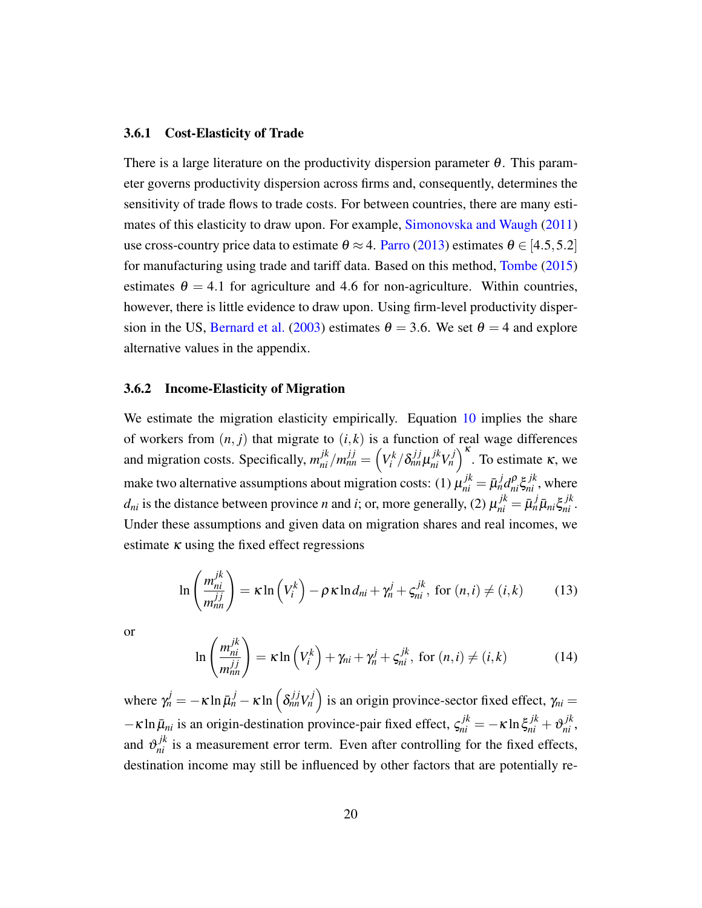#### 3.6.1 Cost-Elasticity of Trade

There is a large literature on the productivity dispersion parameter  $\theta$ . This parameter governs productivity dispersion across firms and, consequently, determines the sensitivity of trade flows to trade costs. For between countries, there are many estimates of this elasticity to draw upon. For example, [Simonovska and Waugh](#page-40-14) [\(2011\)](#page-40-14) use cross-country price data to estimate  $\theta \approx 4$ . [Parro](#page-40-15) [\(2013\)](#page-40-15) estimates  $\theta \in [4.5, 5.2]$ for manufacturing using trade and tariff data. Based on this method, [Tombe](#page-40-16) [\(2015\)](#page-40-16) estimates  $\theta = 4.1$  for agriculture and 4.6 for non-agriculture. Within countries, however, there is little evidence to draw upon. Using firm-level productivity disper-sion in the US, [Bernard et al.](#page-38-15) [\(2003\)](#page-38-15) estimates  $\theta = 3.6$ . We set  $\theta = 4$  and explore alternative values in the appendix.

#### <span id="page-20-1"></span>3.6.2 Income-Elasticity of Migration

We estimate the migration elasticity empirically. Equation [10](#page-17-0) implies the share of workers from  $(n, j)$  that migrate to  $(i, k)$  is a function of real wage differences and migration costs. Specifically,  $m_{ni}^{jk}/m_{nn}^{jj} = \left(V_i^k/\delta_{nn}^{jj}\mu_{ni}^{jk}V_n^j\right)^k$ . To estimate  $\kappa$ , we make two alternative assumptions about migration costs: (1)  $\mu_{ni}^{jk} = \bar{\mu}_n^j d_{ni}^\rho \xi_{ni}^{jk}$ , where *d*<sub>ni</sub> is the distance between province *n* and *i*; or, more generally, (2)  $\mu_{ni}^{jk} = \bar{\mu}_n^j \bar{\mu}_{ni} \xi_{ni}^{jk}$ . Under these assumptions and given data on migration shares and real incomes, we estimate  $\kappa$  using the fixed effect regressions

$$
\ln\left(\frac{m_{ni}^{jk}}{m_{nn}^{jj}}\right) = \kappa \ln\left(V_i^k\right) - \rho \kappa \ln d_{ni} + \gamma_n^j + \varsigma_{ni}^{jk}, \text{ for } (n,i) \neq (i,k) \tag{13}
$$

or

<span id="page-20-0"></span>
$$
\ln\left(\frac{m_{ni}^{jk}}{m_{nn}^{jj}}\right) = \kappa \ln\left(V_i^k\right) + \gamma_{ni} + \gamma_n^j + \zeta_{ni}^{jk}, \text{ for } (n,i) \neq (i,k) \tag{14}
$$

where  $\gamma_n^j = -\kappa \ln \bar{\mu}_n^j - \kappa \ln \left( \delta_{nn}^{jj} V_n^j \right)$  is an origin province-sector fixed effect,  $\gamma_{ni} =$  $-\kappa \ln \bar{\mu}_{ni}$  is an origin-destination province-pair fixed effect,  $\zeta_{ni}^{jk} = -\kappa \ln \zeta_{ni}^{jk} + \vartheta_{ni}^{jk}$ , and  $\theta_{ni}^{j,k}$  is a measurement error term. Even after controlling for the fixed effects, destination income may still be influenced by other factors that are potentially re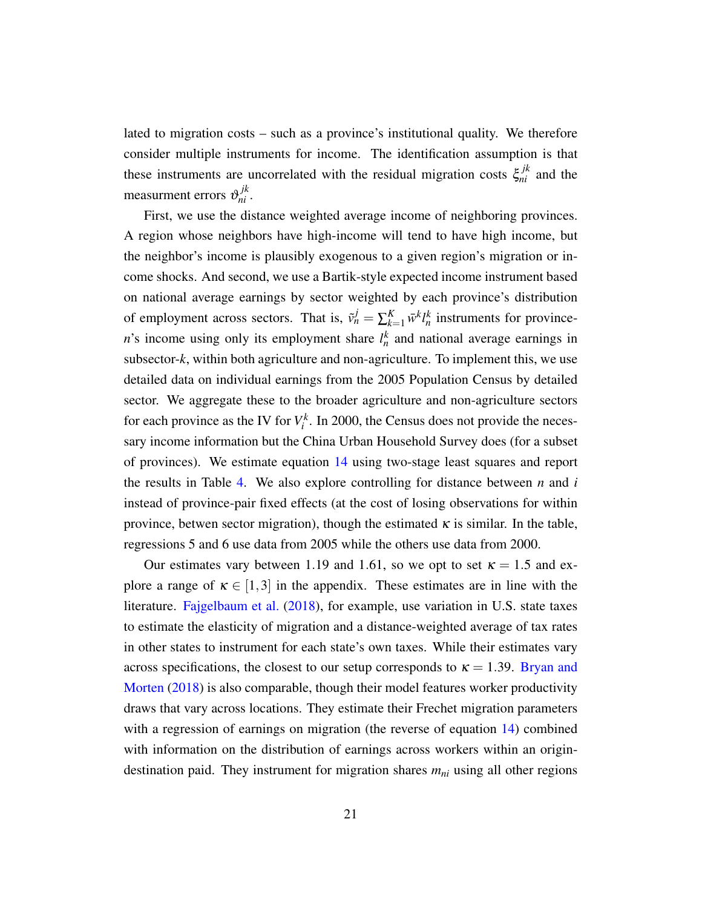lated to migration costs – such as a province's institutional quality. We therefore consider multiple instruments for income. The identification assumption is that these instruments are uncorrelated with the residual migration costs  $\xi_{ni}^{jk}$  and the measurment errors  $\mathfrak{v}_{ni}^{jk}$ .

First, we use the distance weighted average income of neighboring provinces. A region whose neighbors have high-income will tend to have high income, but the neighbor's income is plausibly exogenous to a given region's migration or income shocks. And second, we use a Bartik-style expected income instrument based on national average earnings by sector weighted by each province's distribution of employment across sectors. That is,  $\tilde{v}_n^j = \sum_{k=1}^K \bar{w}^k l_n^k$  instruments for province*n*'s income using only its employment share  $l_n^k$  and national average earnings in subsector-*k*, within both agriculture and non-agriculture. To implement this, we use detailed data on individual earnings from the 2005 Population Census by detailed sector. We aggregate these to the broader agriculture and non-agriculture sectors for each province as the IV for  $V_i^k$ . In 2000, the Census does not provide the necessary income information but the China Urban Household Survey does (for a subset of provinces). We estimate equation [14](#page-20-0) using two-stage least squares and report the results in Table [4.](#page-22-0) We also explore controlling for distance between *n* and *i* instead of province-pair fixed effects (at the cost of losing observations for within province, betwen sector migration), though the estimated  $\kappa$  is similar. In the table, regressions 5 and 6 use data from 2005 while the others use data from 2000.

Our estimates vary between 1.19 and 1.61, so we opt to set  $\kappa = 1.5$  and explore a range of  $\kappa \in [1,3]$  in the appendix. These estimates are in line with the literature. [Fajgelbaum et al.](#page-39-11) [\(2018\)](#page-39-11), for example, use variation in U.S. state taxes to estimate the elasticity of migration and a distance-weighted average of tax rates in other states to instrument for each state's own taxes. While their estimates vary across specifications, the closest to our setup corresponds to  $\kappa = 1.39$ . [Bryan and](#page-38-4) [Morten](#page-38-4) [\(2018\)](#page-38-4) is also comparable, though their model features worker productivity draws that vary across locations. They estimate their Frechet migration parameters with a regression of earnings on migration (the reverse of equation [14\)](#page-20-0) combined with information on the distribution of earnings across workers within an origindestination paid. They instrument for migration shares *mni* using all other regions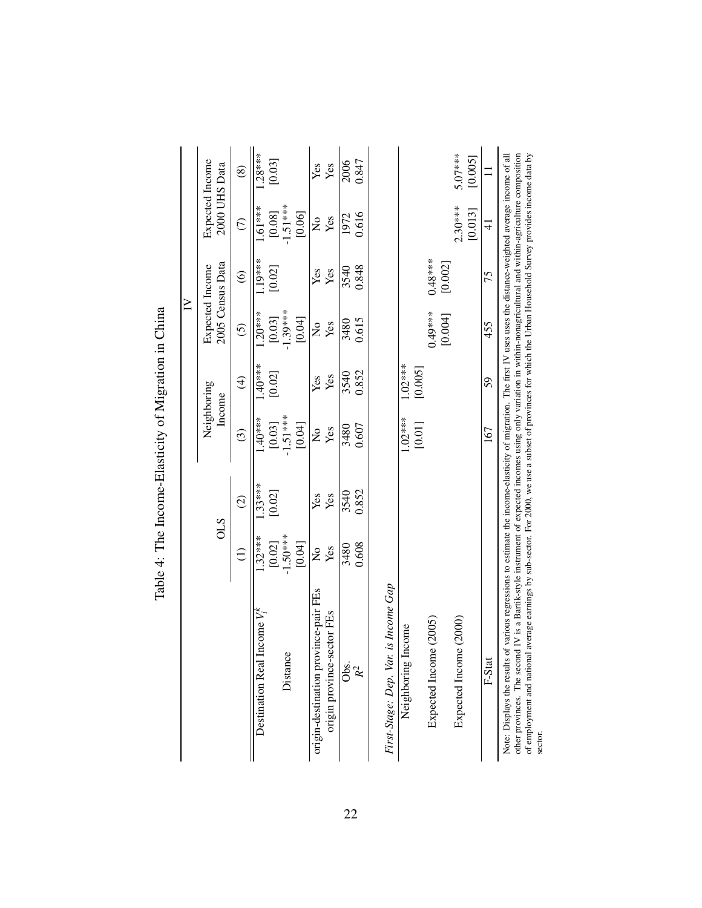<span id="page-22-0"></span>

|                                                                                                                                                                                                                                                                                                                                                                                                                                                                                                                        |                           |               |                           |                         | $\geq$                         |                        |                                  |                     |
|------------------------------------------------------------------------------------------------------------------------------------------------------------------------------------------------------------------------------------------------------------------------------------------------------------------------------------------------------------------------------------------------------------------------------------------------------------------------------------------------------------------------|---------------------------|---------------|---------------------------|-------------------------|--------------------------------|------------------------|----------------------------------|---------------------|
|                                                                                                                                                                                                                                                                                                                                                                                                                                                                                                                        | <b>OLS</b>                |               | Neighboring<br>Income     |                         | <b>Expected</b> Income         | 2005 Census Data       | Expected Income<br>2000 UHS Data |                     |
|                                                                                                                                                                                                                                                                                                                                                                                                                                                                                                                        | $\widehat{\Xi}$           | $\widehat{c}$ | $\widehat{c}$             | $\widehat{\mathcal{F}}$ | $\overline{6}$                 | $\widehat{\mathbf{e}}$ | $\widehat{C}$                    | $\circledS$         |
| Destination Real Income $V_i^k$                                                                                                                                                                                                                                                                                                                                                                                                                                                                                        | $.32***$                  | $.33***$      | $1.40***$                 | $1.40***$               | $1.20***$                      | 1.19***                | $1.61***$                        | $.28***$            |
|                                                                                                                                                                                                                                                                                                                                                                                                                                                                                                                        | [0.02]                    | [0.02]        | [0.03]                    | [0.02]                  | [0.03]                         | [0.02]                 | [0.08]                           | [0.03]              |
| Distance                                                                                                                                                                                                                                                                                                                                                                                                                                                                                                               | $-1.50***$                |               | $-1.51***$                |                         | $-1.39***$                     |                        | $-1.51***$                       |                     |
|                                                                                                                                                                                                                                                                                                                                                                                                                                                                                                                        | [0.04]                    |               | [0.04]                    |                         | [0.04]                         |                        | [0.06]                           |                     |
| origin-destination province-pair FEs                                                                                                                                                                                                                                                                                                                                                                                                                                                                                   | $\mathsf{S}^{\mathsf{o}}$ | Yes           | $\mathsf{S}^{\mathsf{O}}$ | Yes                     | $\mathop{\mathsf{S}}\nolimits$ | Yes                    | $\frac{1}{2}$                    | Yes                 |
| origin province-sector FEs                                                                                                                                                                                                                                                                                                                                                                                                                                                                                             | Yes                       | Yes           | Yes                       | Yes                     | Yes                            | Yes                    | Yes                              | Yes                 |
| Obs.                                                                                                                                                                                                                                                                                                                                                                                                                                                                                                                   | 3480                      | 3540          | 3480                      | 3540                    | 3480                           | 3540                   | 1972                             | 2006                |
| $R^2$                                                                                                                                                                                                                                                                                                                                                                                                                                                                                                                  | 0.608                     | 0.852         | 0.607                     | 0.852                   | 0.615                          | 0.848                  | 0.616                            | 0.847               |
|                                                                                                                                                                                                                                                                                                                                                                                                                                                                                                                        |                           |               |                           |                         |                                |                        |                                  |                     |
| First-Stage: Dep. Var. is Income Gap                                                                                                                                                                                                                                                                                                                                                                                                                                                                                   |                           |               |                           |                         |                                |                        |                                  |                     |
| Neighboring Income                                                                                                                                                                                                                                                                                                                                                                                                                                                                                                     |                           |               | $1.02***$                 | $1.02***$               |                                |                        |                                  |                     |
| Expected Income (2005)                                                                                                                                                                                                                                                                                                                                                                                                                                                                                                 |                           |               | [0.01]                    | [0.005]                 | $0.49***$                      | $0.48***$              |                                  |                     |
|                                                                                                                                                                                                                                                                                                                                                                                                                                                                                                                        |                           |               |                           |                         | [0.004]                        | [0.002]                |                                  |                     |
| Expected Income (2000)                                                                                                                                                                                                                                                                                                                                                                                                                                                                                                 |                           |               |                           |                         |                                |                        | $2.30***$<br>[0.013]             | 5.07****<br>[0.005] |
|                                                                                                                                                                                                                                                                                                                                                                                                                                                                                                                        |                           |               |                           |                         |                                |                        |                                  |                     |
| F-Stat                                                                                                                                                                                                                                                                                                                                                                                                                                                                                                                 |                           |               | 167                       | 59                      | 455                            | 75                     | $\pm$                            |                     |
| other provinces. The second IV is a Bartik-style instrument of expected incomes using only variation in within-nonagricultural and within-agriculture composition<br>of employment and national average earnings by sub-sector. For 2000, we use a subset of provinces for which the Urban Household Survey provides income data by<br>Note: Displays the results of various regressions to estimate the income-elasticity of migration. The first IV uses uses the distance-weighted average income of all<br>sector. |                           |               |                           |                         |                                |                        |                                  |                     |

Table 4: The Income-Elasticity of Migration in China Table 4: The Income-Elasticity of Migration in China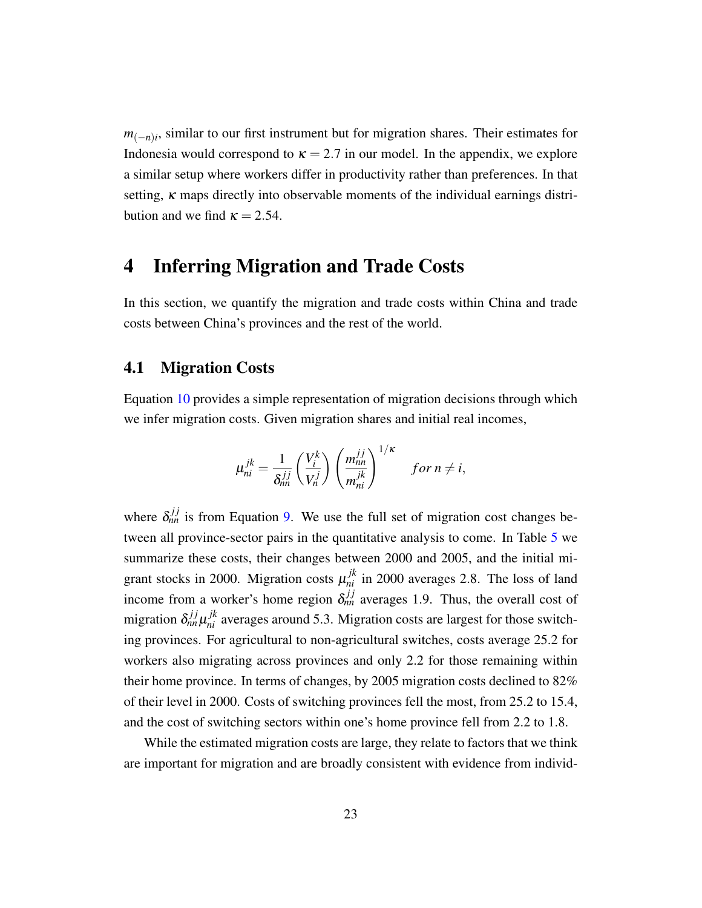*m*<sub>(−*n*)*i*</sub>, similar to our first instrument but for migration shares. Their estimates for Indonesia would correspond to  $\kappa = 2.7$  in our model. In the appendix, we explore a similar setup where workers differ in productivity rather than preferences. In that setting,  $\kappa$  maps directly into observable moments of the individual earnings distribution and we find  $\kappa = 2.54$ .

# 4 Inferring Migration and Trade Costs

In this section, we quantify the migration and trade costs within China and trade costs between China's provinces and the rest of the world.

### <span id="page-23-0"></span>4.1 Migration Costs

Equation [10](#page-17-0) provides a simple representation of migration decisions through which we infer migration costs. Given migration shares and initial real incomes,

$$
\mu_{ni}^{jk} = \frac{1}{\delta_{nn}^{jj}} \left(\frac{V_i^k}{V_n^j}\right) \left(\frac{m_{nn}^{jj}}{m_{ni}^{jk}}\right)^{1/\kappa} \quad \text{for } n \neq i,
$$

where  $\delta_{nn}^{jj}$  is from Equation [9.](#page-16-0) We use the full set of migration cost changes between all province-sector pairs in the quantitative analysis to come. In Table [5](#page-25-0) we summarize these costs, their changes between 2000 and 2005, and the initial migrant stocks in 2000. Migration costs  $\mu_{ni}^{jk}$  in 2000 averages 2.8. The loss of land income from a worker's home region  $\delta_{nn}^{jj}$  averages 1.9. Thus, the overall cost of migration  $\delta_{nn}^{jj} \mu_{ni}^{jk}$  averages around 5.3. Migration costs are largest for those switching provinces. For agricultural to non-agricultural switches, costs average 25.2 for workers also migrating across provinces and only 2.2 for those remaining within their home province. In terms of changes, by 2005 migration costs declined to 82% of their level in 2000. Costs of switching provinces fell the most, from 25.2 to 15.4, and the cost of switching sectors within one's home province fell from 2.2 to 1.8.

While the estimated migration costs are large, they relate to factors that we think are important for migration and are broadly consistent with evidence from individ-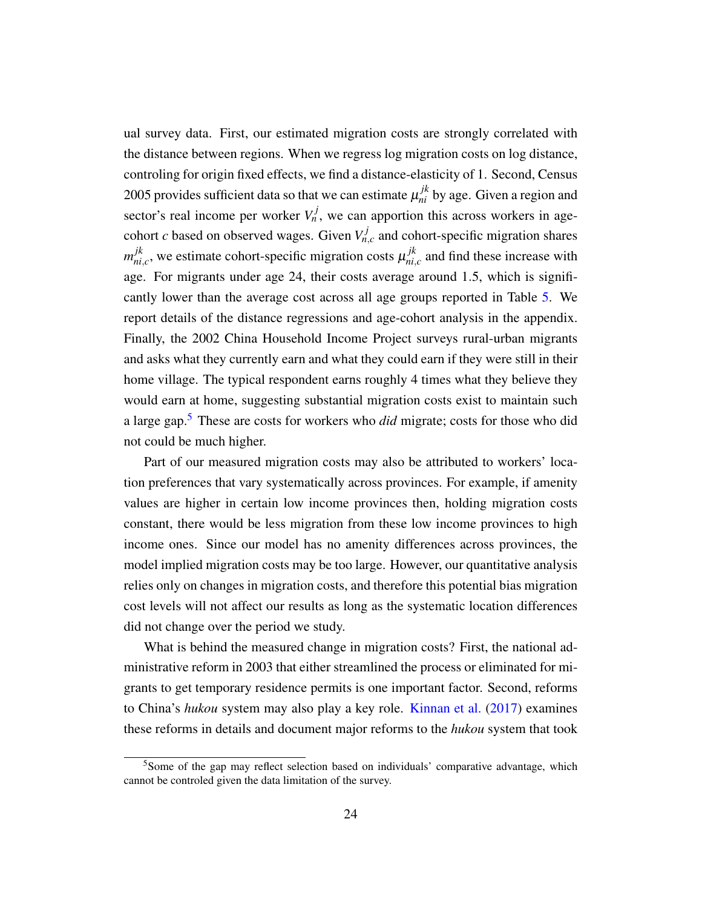ual survey data. First, our estimated migration costs are strongly correlated with the distance between regions. When we regress log migration costs on log distance, controling for origin fixed effects, we find a distance-elasticity of 1. Second, Census 2005 provides sufficient data so that we can estimate  $\mu_{ni}^{jk}$  by age. Given a region and sector's real income per worker  $V_n^j$ , we can apportion this across workers in agecohort *c* based on observed wages. Given  $V_{n,c}^{j}$  and cohort-specific migration shares *m jk*  $j_{ni,c}^k$ , we estimate cohort-specific migration costs  $\mu_{ni,c}^{jk}$  $\int_{ni,c}^{jk}$  and find these increase with age. For migrants under age 24, their costs average around 1.5, which is significantly lower than the average cost across all age groups reported in Table [5.](#page-25-0) We report details of the distance regressions and age-cohort analysis in the appendix. Finally, the 2002 China Household Income Project surveys rural-urban migrants and asks what they currently earn and what they could earn if they were still in their home village. The typical respondent earns roughly 4 times what they believe they would earn at home, suggesting substantial migration costs exist to maintain such a large gap.[5](#page-0-0) These are costs for workers who *did* migrate; costs for those who did not could be much higher.

Part of our measured migration costs may also be attributed to workers' location preferences that vary systematically across provinces. For example, if amenity values are higher in certain low income provinces then, holding migration costs constant, there would be less migration from these low income provinces to high income ones. Since our model has no amenity differences across provinces, the model implied migration costs may be too large. However, our quantitative analysis relies only on changes in migration costs, and therefore this potential bias migration cost levels will not affect our results as long as the systematic location differences did not change over the period we study.

What is behind the measured change in migration costs? First, the national administrative reform in 2003 that either streamlined the process or eliminated for migrants to get temporary residence permits is one important factor. Second, reforms to China's *hukou* system may also play a key role. [Kinnan et al.](#page-40-17) [\(2017\)](#page-40-17) examines these reforms in details and document major reforms to the *hukou* system that took

<sup>&</sup>lt;sup>5</sup>Some of the gap may reflect selection based on individuals' comparative advantage, which cannot be controled given the data limitation of the survey.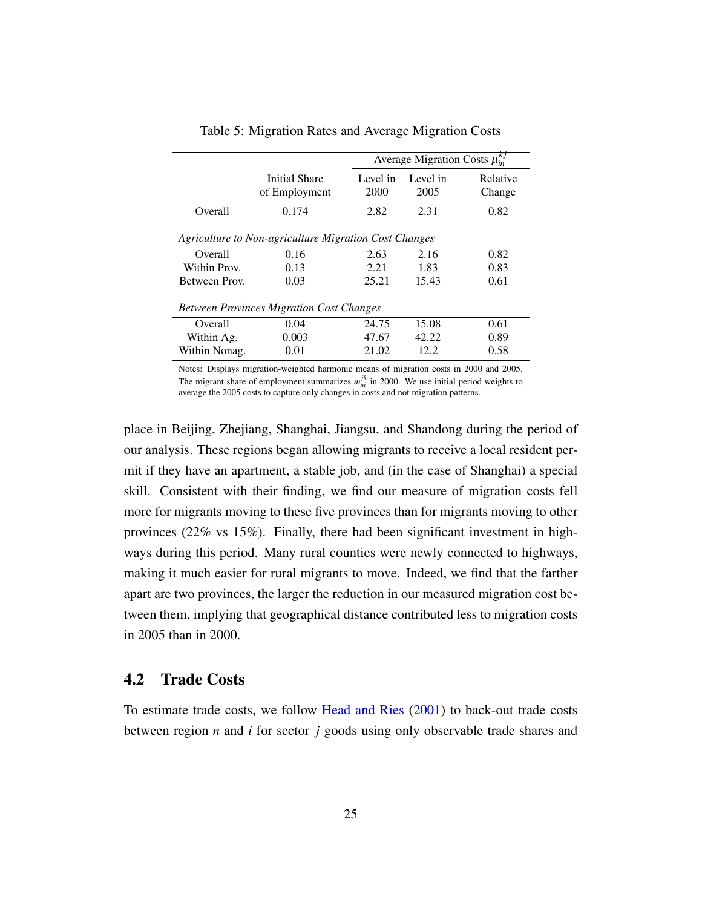<span id="page-25-0"></span>

|               |                                                                                                                                                                                                                                |                  | Average Migration Costs $\mu_{in}^{kj}$ |                    |
|---------------|--------------------------------------------------------------------------------------------------------------------------------------------------------------------------------------------------------------------------------|------------------|-----------------------------------------|--------------------|
|               | Initial Share<br>of Employment                                                                                                                                                                                                 | Level in<br>2000 | Level in<br>2005                        | Relative<br>Change |
| Overall       | 0.174                                                                                                                                                                                                                          | 2.82             | 2.31                                    | 0.82               |
|               | Agriculture to Non-agriculture Migration Cost Changes                                                                                                                                                                          |                  |                                         |                    |
| Overall       | 0.16                                                                                                                                                                                                                           | 2.63             | 2.16                                    | 0.82               |
| Within Prov.  | 0.13                                                                                                                                                                                                                           | 2.21             | 1.83                                    | 0.83               |
| Between Prov. | 0.03                                                                                                                                                                                                                           | 25.21            | 15.43                                   | 0.61               |
|               | <b>Between Provinces Migration Cost Changes</b>                                                                                                                                                                                |                  |                                         |                    |
| Overall       | 0.04                                                                                                                                                                                                                           | 24.75            | 15.08                                   | 0.61               |
| Within Ag.    | 0.003                                                                                                                                                                                                                          | 47.67            | 42.22                                   | 0.89               |
| Within Nonag. | 0.01                                                                                                                                                                                                                           | 21.02            | 12.2                                    | 0.58               |
|               | material and the state of the state of the state of the state of the state of the state of the state of the state of the state of the state of the state of the state of the state of the state of the state of the state of t |                  |                                         | 1.0005             |

Table 5: Migration Rates and Average Migration Costs

Notes: Displays migration-weighted harmonic means of migration costs in 2000 and 2005. The migrant share of employment summarizes  $m_{ni}^{jk}$  in 2000. We use initial period weights to average the 2005 costs to capture only changes in costs and not migration patterns.

place in Beijing, Zhejiang, Shanghai, Jiangsu, and Shandong during the period of our analysis. These regions began allowing migrants to receive a local resident permit if they have an apartment, a stable job, and (in the case of Shanghai) a special skill. Consistent with their finding, we find our measure of migration costs fell more for migrants moving to these five provinces than for migrants moving to other provinces (22% vs 15%). Finally, there had been significant investment in highways during this period. Many rural counties were newly connected to highways, making it much easier for rural migrants to move. Indeed, we find that the farther apart are two provinces, the larger the reduction in our measured migration cost between them, implying that geographical distance contributed less to migration costs in 2005 than in 2000.

#### <span id="page-25-1"></span>4.2 Trade Costs

To estimate trade costs, we follow [Head and Ries](#page-39-12) [\(2001\)](#page-39-12) to back-out trade costs between region *n* and *i* for sector *j* goods using only observable trade shares and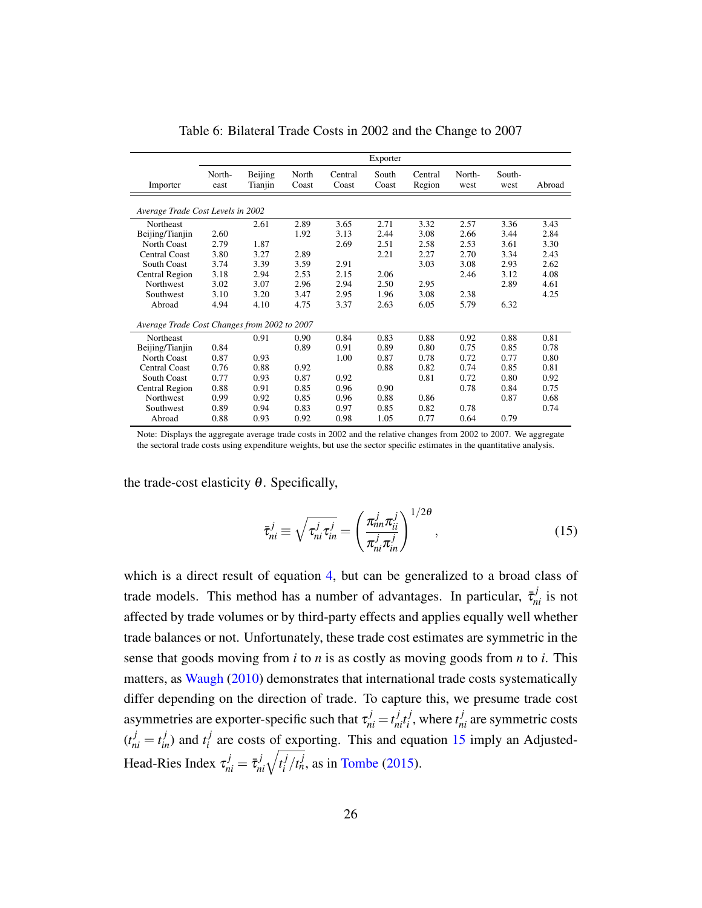<span id="page-26-1"></span>

|                                              |                |                    |                |                  | Exporter       |                   |                |                |        |
|----------------------------------------------|----------------|--------------------|----------------|------------------|----------------|-------------------|----------------|----------------|--------|
| Importer                                     | North-<br>east | Beijing<br>Tianjin | North<br>Coast | Central<br>Coast | South<br>Coast | Central<br>Region | North-<br>west | South-<br>west | Abroad |
| Average Trade Cost Levels in 2002            |                |                    |                |                  |                |                   |                |                |        |
| Northeast                                    |                | 2.61               | 2.89           | 3.65             | 2.71           | 3.32              | 2.57           | 3.36           | 3.43   |
| Beijing/Tianjin                              | 2.60           |                    | 1.92           | 3.13             | 2.44           | 3.08              | 2.66           | 3.44           | 2.84   |
| North Coast                                  | 2.79           | 1.87               |                | 2.69             | 2.51           | 2.58              | 2.53           | 3.61           | 3.30   |
| <b>Central Coast</b>                         | 3.80           | 3.27               | 2.89           |                  | 2.21           | 2.27              | 2.70           | 3.34           | 2.43   |
| <b>South Coast</b>                           | 3.74           | 3.39               | 3.59           | 2.91             |                | 3.03              | 3.08           | 2.93           | 2.62   |
| Central Region                               | 3.18           | 2.94               | 2.53           | 2.15             | 2.06           |                   | 2.46           | 3.12           | 4.08   |
| <b>Northwest</b>                             | 3.02           | 3.07               | 2.96           | 2.94             | 2.50           | 2.95              |                | 2.89           | 4.61   |
| Southwest                                    | 3.10           | 3.20               | 3.47           | 2.95             | 1.96           | 3.08              | 2.38           |                | 4.25   |
| Abroad                                       | 4.94           | 4.10               | 4.75           | 3.37             | 2.63           | 6.05              | 5.79           | 6.32           |        |
| Average Trade Cost Changes from 2002 to 2007 |                |                    |                |                  |                |                   |                |                |        |
| Northeast                                    |                | 0.91               | 0.90           | 0.84             | 0.83           | 0.88              | 0.92           | 0.88           | 0.81   |
| Beijing/Tianjin                              | 0.84           |                    | 0.89           | 0.91             | 0.89           | 0.80              | 0.75           | 0.85           | 0.78   |
| North Coast                                  | 0.87           | 0.93               |                | 1.00             | 0.87           | 0.78              | 0.72           | 0.77           | 0.80   |
| <b>Central Coast</b>                         | 0.76           | 0.88               | 0.92           |                  | 0.88           | 0.82              | 0.74           | 0.85           | 0.81   |
| <b>South Coast</b>                           | 0.77           | 0.93               | 0.87           | 0.92             |                | 0.81              | 0.72           | 0.80           | 0.92   |
| Central Region                               | 0.88           | 0.91               | 0.85           | 0.96             | 0.90           |                   | 0.78           | 0.84           | 0.75   |
| Northwest                                    | 0.99           | 0.92               | 0.85           | 0.96             | 0.88           | 0.86              |                | 0.87           | 0.68   |
| Southwest                                    | 0.89           | 0.94               | 0.83           | 0.97             | 0.85           | 0.82              | 0.78           |                | 0.74   |
| Abroad                                       | 0.88           | 0.93               | 0.92           | 0.98             | 1.05           | 0.77              | 0.64           | 0.79           |        |

Table 6: Bilateral Trade Costs in 2002 and the Change to 2007

Note: Displays the aggregate average trade costs in 2002 and the relative changes from 2002 to 2007. We aggregate the sectoral trade costs using expenditure weights, but use the sector specific estimates in the quantitative analysis.

the trade-cost elasticity  $\theta$ . Specifically,

<span id="page-26-0"></span>
$$
\bar{\tau}_{ni}^j \equiv \sqrt{\tau_{ni}^j \tau_{in}^j} = \left(\frac{\pi_{nn}^j \pi_{ii}^j}{\pi_{ni}^j \pi_{in}^j}\right)^{1/2\theta},\qquad(15)
$$

which is a direct result of equation [4,](#page-15-1) but can be generalized to a broad class of trade models. This method has a number of advantages. In particular,  $\bar{\tau}_{ni}^j$  is not affected by trade volumes or by third-party effects and applies equally well whether trade balances or not. Unfortunately, these trade cost estimates are symmetric in the sense that goods moving from *i* to *n* is as costly as moving goods from *n* to *i*. This matters, as [Waugh](#page-40-18) [\(2010\)](#page-40-18) demonstrates that international trade costs systematically differ depending on the direction of trade. To capture this, we presume trade cost asymmetries are exporter-specific such that  $\tau_{ni}^j = t_{ni}^j t_i^j$  $i$ <sup>*j*</sup>, where  $t_{ni}$ <sup>*j*</sup> are symmetric costs  $(t_{ni}^j = t_{in}^j)$  and  $t_i^j$  $i$ <sup> $j$ </sup> are costs of exporting. This and equation [15](#page-26-0) imply an Adjusted-Head-Ries Index  $\tau_{ni}^j = \bar{\tau}_{ni}^j \sqrt{t_i^j}$  $i / t_n^j$ , as in [Tombe](#page-40-16) [\(2015\)](#page-40-16).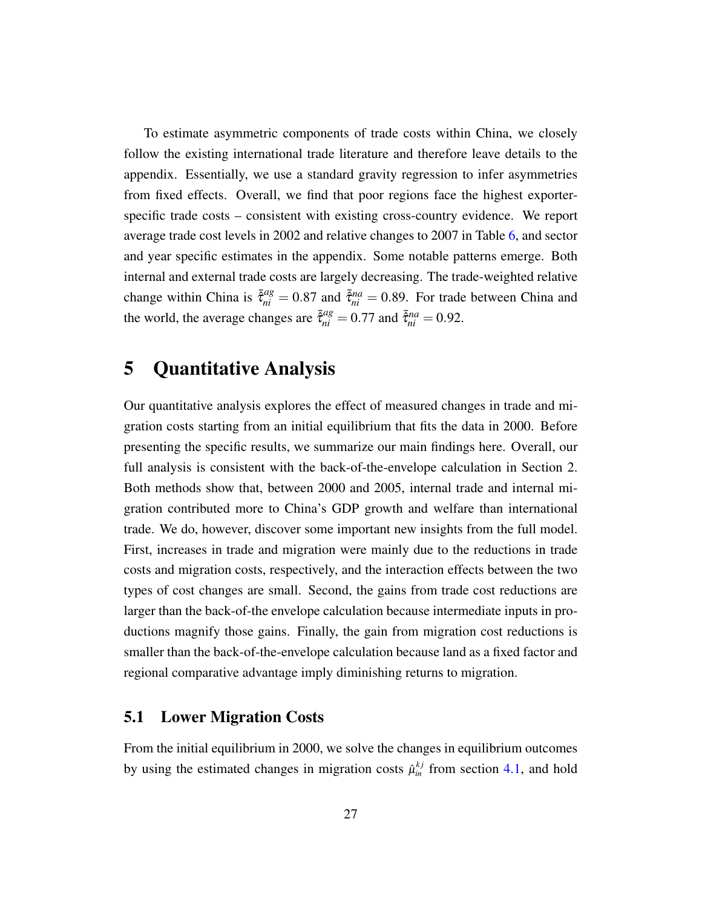To estimate asymmetric components of trade costs within China, we closely follow the existing international trade literature and therefore leave details to the appendix. Essentially, we use a standard gravity regression to infer asymmetries from fixed effects. Overall, we find that poor regions face the highest exporterspecific trade costs – consistent with existing cross-country evidence. We report average trade cost levels in 2002 and relative changes to 2007 in Table [6,](#page-26-1) and sector and year specific estimates in the appendix. Some notable patterns emerge. Both internal and external trade costs are largely decreasing. The trade-weighted relative change within China is  $\bar{\tilde{\tau}}_{ni}^{ag} = 0.87$  and  $\bar{\tilde{\tau}}_{ni}^{na} = 0.89$ . For trade between China and the world, the average changes are  $\bar{\tilde{\tau}}_{ni}^{ag} = 0.77$  and  $\bar{\tilde{\tau}}_{ni}^{na} = 0.92$ .

# 5 Quantitative Analysis

Our quantitative analysis explores the effect of measured changes in trade and migration costs starting from an initial equilibrium that fits the data in 2000. Before presenting the specific results, we summarize our main findings here. Overall, our full analysis is consistent with the back-of-the-envelope calculation in Section 2. Both methods show that, between 2000 and 2005, internal trade and internal migration contributed more to China's GDP growth and welfare than international trade. We do, however, discover some important new insights from the full model. First, increases in trade and migration were mainly due to the reductions in trade costs and migration costs, respectively, and the interaction effects between the two types of cost changes are small. Second, the gains from trade cost reductions are larger than the back-of-the envelope calculation because intermediate inputs in productions magnify those gains. Finally, the gain from migration cost reductions is smaller than the back-of-the-envelope calculation because land as a fixed factor and regional comparative advantage imply diminishing returns to migration.

## 5.1 Lower Migration Costs

From the initial equilibrium in 2000, we solve the changes in equilibrium outcomes by using the estimated changes in migration costs  $\hat{\mu}_{in}^{kj}$  from section [4.1,](#page-23-0) and hold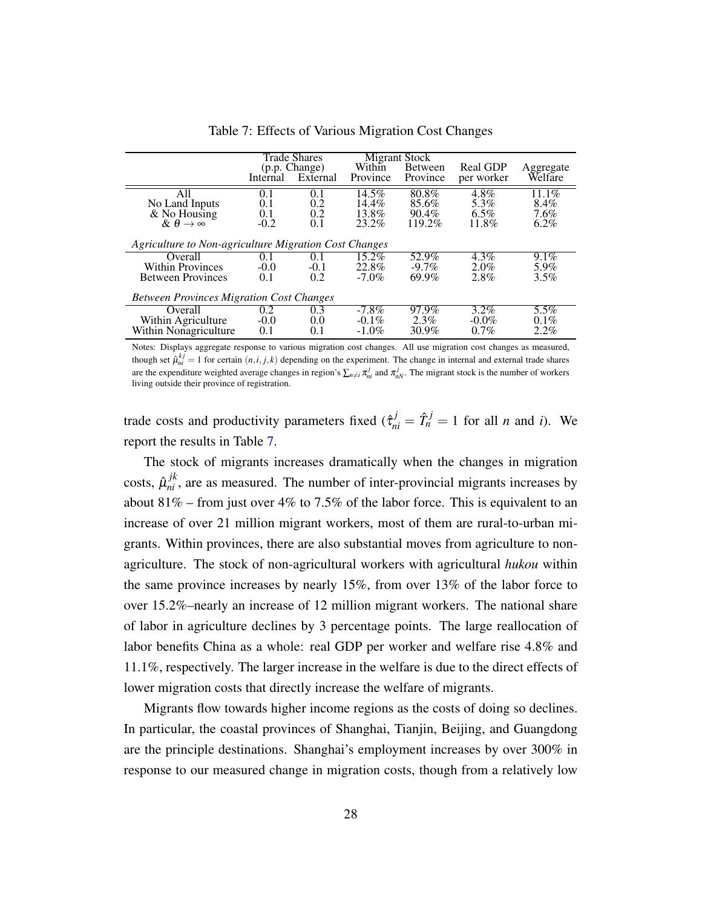<span id="page-28-0"></span>

|                                                       |          | <b>Trade Shares</b> |          | Migrant Stock  |                 |           |
|-------------------------------------------------------|----------|---------------------|----------|----------------|-----------------|-----------|
|                                                       |          | (p.p. Change)       | Within   | <b>Between</b> | <b>Real GDP</b> | Aggregate |
|                                                       | Internal | External            | Province | Province       | per worker      | Welfare   |
| A11                                                   | 0.1      | 0.1                 | 14.5%    | $80.8\%$       | 4.8%            | 11.1%     |
|                                                       | 0.1      | 0.2                 | $14.4\%$ | 85.6%          | 5.3%            | 8.4%      |
| No Land Inputs<br>& No Housing                        | 0.1      | 0.2                 | 13.8%    | $90.4\%$       | $6.5\%$         | 7.6%      |
| & $\theta \rightarrow \infty$                         | $-0.2$   | 0.1                 | $23.2\%$ | 119.2%         | 11.8%           | $6.2\%$   |
|                                                       |          |                     |          |                |                 |           |
| Agriculture to Non-agriculture Migration Cost Changes |          |                     |          |                |                 |           |
| Overall                                               | 0.1      | 0.1                 | 15.2%    | 52.9%          | $4.3\%$         | 9.1%      |
| <b>Within Provinces</b>                               | $-0.0$   | $-0.1$              | 22.8%    | $-9.7\%$       | $2.0\%$         | 5.9%      |
| <b>Between Provinces</b>                              | 0.1      | 0.2                 | $-7.0\%$ | 69.9%          | 2.8%            | 3.5%      |
|                                                       |          |                     |          |                |                 |           |
| <b>Between Provinces Migration Cost Changes</b>       |          |                     |          |                |                 |           |
| Overall                                               | 0.2      | 0.3                 | $-7.8\%$ | 97.9%          | $3.2\%$         | 5.5%      |
| Within Agriculture                                    | $-0.0$   | 0.0                 | $-0.1\%$ | $2.3\%$        | $-0.0\%$        | $0.1\%$   |
| Within Nonagriculture                                 | 0.1      | 0.1                 | $-1.0\%$ | $30.9\%$       | $0.7\%$         | 2.2%      |

Table 7: Effects of Various Migration Cost Changes

Notes: Displays aggregate response to various migration cost changes. All use migration cost changes as measured, though set  $\hat{\mu}_{ni}^{kj} = 1$  for certain  $(n,i,j,k)$  depending on the experiment. The change in internal and external trade shares are the expenditure weighted average changes in region's  $\sum_{n\neq i}\pi_{ni}^j$  and  $\pi_{nN}^j$ . The migrant stock is the number of workers living outside their province of registration.

trade costs and productivity parameters fixed  $(\hat{\tau}_{ni}^j = \hat{T}_n^j = 1$  for all *n* and *i*). We report the results in Table [7.](#page-28-0)

The stock of migrants increases dramatically when the changes in migration costs,  $\hat{\mu}_{ni}^{jk}$ , are as measured. The number of inter-provincial migrants increases by about  $81\%$  – from just over  $4\%$  to 7.5% of the labor force. This is equivalent to an increase of over 21 million migrant workers, most of them are rural-to-urban migrants. Within provinces, there are also substantial moves from agriculture to nonagriculture. The stock of non-agricultural workers with agricultural *hukou* within the same province increases by nearly 15%, from over 13% of the labor force to over 15.2%–nearly an increase of 12 million migrant workers. The national share of labor in agriculture declines by 3 percentage points. The large reallocation of labor benefits China as a whole: real GDP per worker and welfare rise 4.8% and 11.1%, respectively. The larger increase in the welfare is due to the direct effects of lower migration costs that directly increase the welfare of migrants.

Migrants flow towards higher income regions as the costs of doing so declines. In particular, the coastal provinces of Shanghai, Tianjin, Beijing, and Guangdong are the principle destinations. Shanghai's employment increases by over 300% in response to our measured change in migration costs, though from a relatively low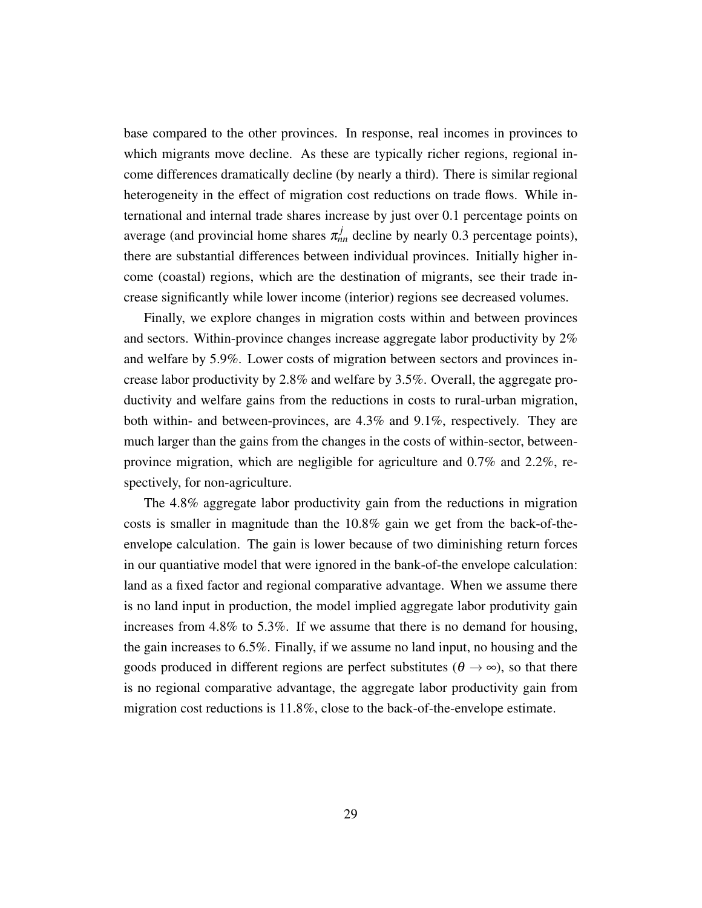base compared to the other provinces. In response, real incomes in provinces to which migrants move decline. As these are typically richer regions, regional income differences dramatically decline (by nearly a third). There is similar regional heterogeneity in the effect of migration cost reductions on trade flows. While international and internal trade shares increase by just over 0.1 percentage points on average (and provincial home shares  $\pi_{nn}^{j}$  decline by nearly 0.3 percentage points), there are substantial differences between individual provinces. Initially higher income (coastal) regions, which are the destination of migrants, see their trade increase significantly while lower income (interior) regions see decreased volumes.

Finally, we explore changes in migration costs within and between provinces and sectors. Within-province changes increase aggregate labor productivity by 2% and welfare by 5.9%. Lower costs of migration between sectors and provinces increase labor productivity by 2.8% and welfare by 3.5%. Overall, the aggregate productivity and welfare gains from the reductions in costs to rural-urban migration, both within- and between-provinces, are 4.3% and 9.1%, respectively. They are much larger than the gains from the changes in the costs of within-sector, betweenprovince migration, which are negligible for agriculture and 0.7% and 2.2%, respectively, for non-agriculture.

The 4.8% aggregate labor productivity gain from the reductions in migration costs is smaller in magnitude than the 10.8% gain we get from the back-of-theenvelope calculation. The gain is lower because of two diminishing return forces in our quantiative model that were ignored in the bank-of-the envelope calculation: land as a fixed factor and regional comparative advantage. When we assume there is no land input in production, the model implied aggregate labor produtivity gain increases from 4.8% to 5.3%. If we assume that there is no demand for housing, the gain increases to 6.5%. Finally, if we assume no land input, no housing and the goods produced in different regions are perfect substitutes ( $\theta \rightarrow \infty$ ), so that there is no regional comparative advantage, the aggregate labor productivity gain from migration cost reductions is 11.8%, close to the back-of-the-envelope estimate.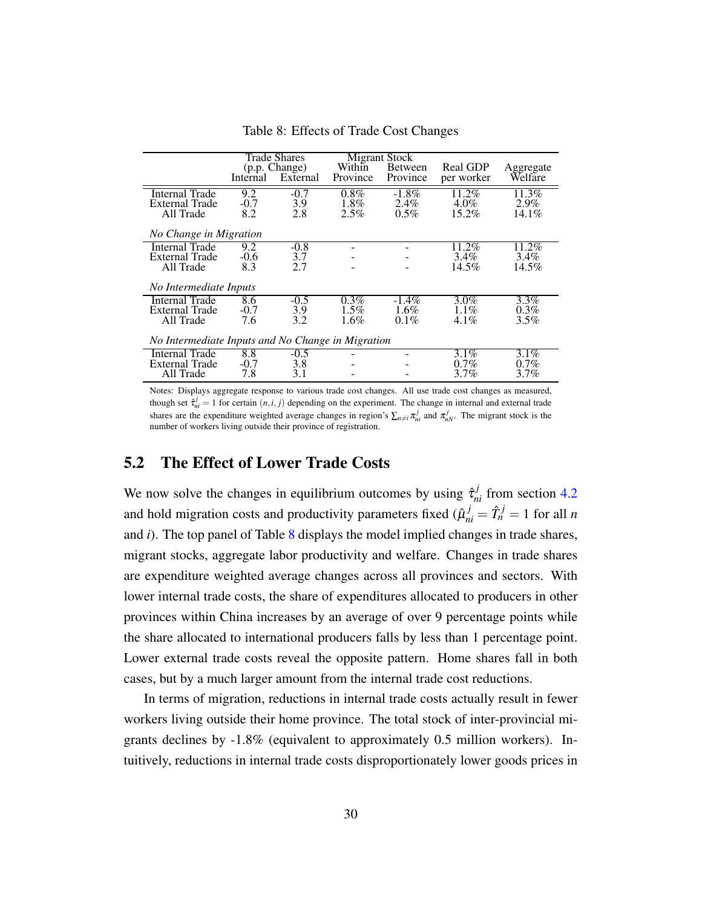<span id="page-30-0"></span>

|                                                   |          | <b>Trade Shares</b> |          | Migrant Stock |                 |           |
|---------------------------------------------------|----------|---------------------|----------|---------------|-----------------|-----------|
|                                                   |          | (p.p. Change)       | Within   | Between       | <b>Real GDP</b> | Aggregate |
|                                                   | Internal | External            | Province | Province      | per worker      | Welfare   |
| Internal Trade                                    | 9.2      | $-0.7$              | $0.8\%$  | $-1.8\%$      | 11.2%           | $11.3\%$  |
| <b>External Trade</b>                             | $-0.7$   | 3.9                 | 1.8%     | $2.4\%$       | $4.0\%$         | $2.9\%$   |
| All Trade                                         | 8.2      | 2.8                 | 2.5%     | $0.5\%$       | 15.2%           | 14.1%     |
|                                                   |          |                     |          |               |                 |           |
| No Change in Migration                            |          |                     |          |               |                 |           |
| Internal Trade                                    | 9.2      | $-0.8$              |          |               | 11.2%           | 11.2%     |
| <b>External Trade</b>                             | $-0.6$   | 3.7                 |          |               | $3.4\%$         | $3.4\%$   |
| All Trade                                         | 8.3      | 2.7                 |          |               | 14.5%           | 14.5%     |
| No Intermediate Inputs                            |          |                     |          |               |                 |           |
| Internal Trade                                    | 8.6      | $-0.5$              | $0.3\%$  | $-1.4\%$      | $3.0\%$         | 3.3%      |
| <b>External Trade</b>                             | $-0.7$   | 3.9                 | $1.5\%$  | $1.6\%$       | $1.1\%$         | $0.3\%$   |
| All Trade                                         | 7.6      | 3.2                 | $1.6\%$  | $0.1\%$       | $4.1\%$         | $3.5\%$   |
| No Intermediate Inputs and No Change in Migration |          |                     |          |               |                 |           |
| Internal Trade                                    | 8.8      | $-0.5$              |          |               | $3.1\%$         | $3.1\%$   |
| <b>External Trade</b>                             | $-0.7$   | 3.8                 |          |               | $0.7\%$         | $0.7\%$   |
| All Trade                                         | 7.8      | 3.1                 |          |               | $3.7\%$         | $3.7\%$   |

Table 8: Effects of Trade Cost Changes

Notes: Displays aggregate response to various trade cost changes. All use trade cost changes as measured, though set  $\hat{\tau}_{ni}^j = 1$  for certain  $(n, i, j)$  depending on the experiment. The change in internal and external trade shares are the expenditure weighted average changes in region's  $\sum_{n\neq i}\pi_{ni}^j$  and  $\pi_{nN}^j$ . The migrant stock is the number of workers living outside their province of registration.

#### 5.2 The Effect of Lower Trade Costs

We now solve the changes in equilibrium outcomes by using  $\hat{\tau}_{ni}^j$  from section [4.2](#page-25-1) and hold migration costs and productivity parameters fixed  $(\hat{\mu}_{ni}^j = \hat{T}_n^j = 1$  for all *n* and *i*). The top panel of Table [8](#page-30-0) displays the model implied changes in trade shares, migrant stocks, aggregate labor productivity and welfare. Changes in trade shares are expenditure weighted average changes across all provinces and sectors. With lower internal trade costs, the share of expenditures allocated to producers in other provinces within China increases by an average of over 9 percentage points while the share allocated to international producers falls by less than 1 percentage point. Lower external trade costs reveal the opposite pattern. Home shares fall in both cases, but by a much larger amount from the internal trade cost reductions.

In terms of migration, reductions in internal trade costs actually result in fewer workers living outside their home province. The total stock of inter-provincial migrants declines by -1.8% (equivalent to approximately 0.5 million workers). Intuitively, reductions in internal trade costs disproportionately lower goods prices in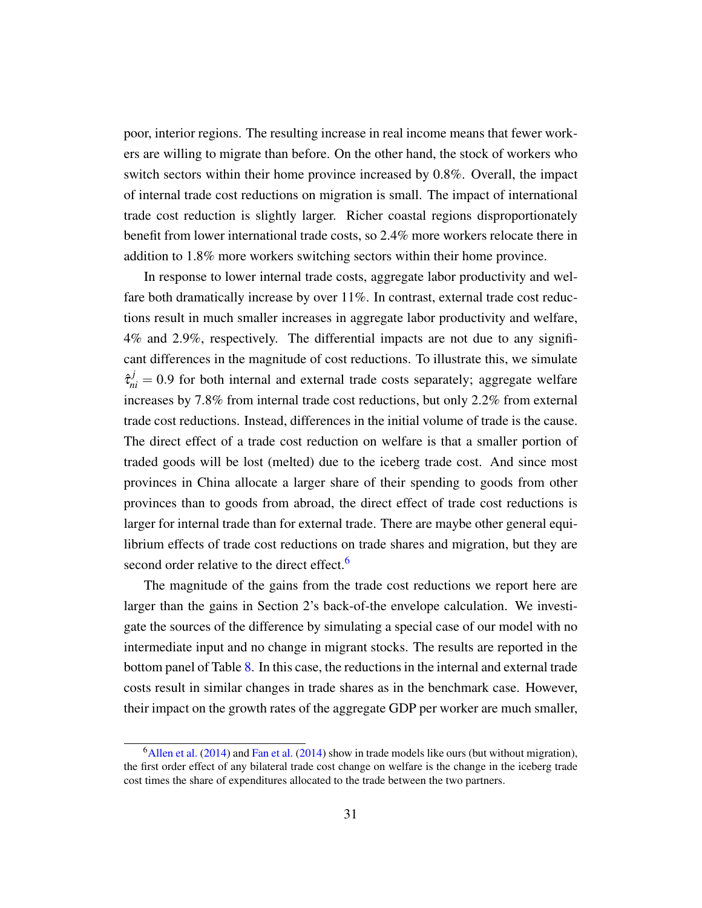poor, interior regions. The resulting increase in real income means that fewer workers are willing to migrate than before. On the other hand, the stock of workers who switch sectors within their home province increased by 0.8%. Overall, the impact of internal trade cost reductions on migration is small. The impact of international trade cost reduction is slightly larger. Richer coastal regions disproportionately benefit from lower international trade costs, so 2.4% more workers relocate there in addition to 1.8% more workers switching sectors within their home province.

In response to lower internal trade costs, aggregate labor productivity and welfare both dramatically increase by over 11%. In contrast, external trade cost reductions result in much smaller increases in aggregate labor productivity and welfare, 4% and 2.9%, respectively. The differential impacts are not due to any significant differences in the magnitude of cost reductions. To illustrate this, we simulate  $\hat{\tau}_{ni}^{j} = 0.9$  for both internal and external trade costs separately; aggregate welfare increases by 7.8% from internal trade cost reductions, but only 2.2% from external trade cost reductions. Instead, differences in the initial volume of trade is the cause. The direct effect of a trade cost reduction on welfare is that a smaller portion of traded goods will be lost (melted) due to the iceberg trade cost. And since most provinces in China allocate a larger share of their spending to goods from other provinces than to goods from abroad, the direct effect of trade cost reductions is larger for internal trade than for external trade. There are maybe other general equilibrium effects of trade cost reductions on trade shares and migration, but they are second order relative to the direct effect.<sup>[6](#page-0-0)</sup>

The magnitude of the gains from the trade cost reductions we report here are larger than the gains in Section 2's back-of-the envelope calculation. We investigate the sources of the difference by simulating a special case of our model with no intermediate input and no change in migrant stocks. The results are reported in the bottom panel of Table [8.](#page-30-0) In this case, the reductions in the internal and external trade costs result in similar changes in trade shares as in the benchmark case. However, their impact on the growth rates of the aggregate GDP per worker are much smaller,

 $6$ [Allen et al.](#page-38-16) [\(2014\)](#page-39-13) and [Fan et al.](#page-39-13) (2014) show in trade models like ours (but without migration), the first order effect of any bilateral trade cost change on welfare is the change in the iceberg trade cost times the share of expenditures allocated to the trade between the two partners.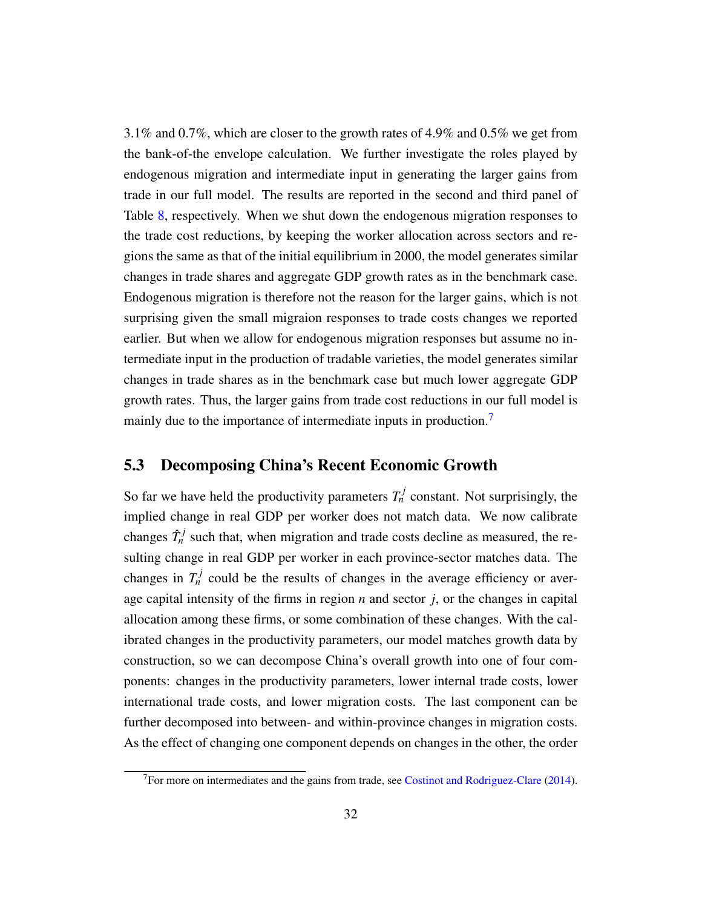3.1% and 0.7%, which are closer to the growth rates of 4.9% and 0.5% we get from the bank-of-the envelope calculation. We further investigate the roles played by endogenous migration and intermediate input in generating the larger gains from trade in our full model. The results are reported in the second and third panel of Table [8,](#page-30-0) respectively. When we shut down the endogenous migration responses to the trade cost reductions, by keeping the worker allocation across sectors and regions the same as that of the initial equilibrium in 2000, the model generates similar changes in trade shares and aggregate GDP growth rates as in the benchmark case. Endogenous migration is therefore not the reason for the larger gains, which is not surprising given the small migraion responses to trade costs changes we reported earlier. But when we allow for endogenous migration responses but assume no intermediate input in the production of tradable varieties, the model generates similar changes in trade shares as in the benchmark case but much lower aggregate GDP growth rates. Thus, the larger gains from trade cost reductions in our full model is mainly due to the importance of intermediate inputs in production.<sup>[7](#page-0-0)</sup>

## 5.3 Decomposing China's Recent Economic Growth

So far we have held the productivity parameters  $T_n^j$  constant. Not surprisingly, the implied change in real GDP per worker does not match data. We now calibrate changes  $\hat{T}_n^j$  such that, when migration and trade costs decline as measured, the resulting change in real GDP per worker in each province-sector matches data. The changes in  $T_n^j$  could be the results of changes in the average efficiency or average capital intensity of the firms in region *n* and sector *j*, or the changes in capital allocation among these firms, or some combination of these changes. With the calibrated changes in the productivity parameters, our model matches growth data by construction, so we can decompose China's overall growth into one of four components: changes in the productivity parameters, lower internal trade costs, lower international trade costs, and lower migration costs. The last component can be further decomposed into between- and within-province changes in migration costs. As the effect of changing one component depends on changes in the other, the order

 $<sup>7</sup>$  For more on intermediates and the gains from trade, see [Costinot and Rodriguez-Clare](#page-39-14) [\(2014\)](#page-39-14).</sup>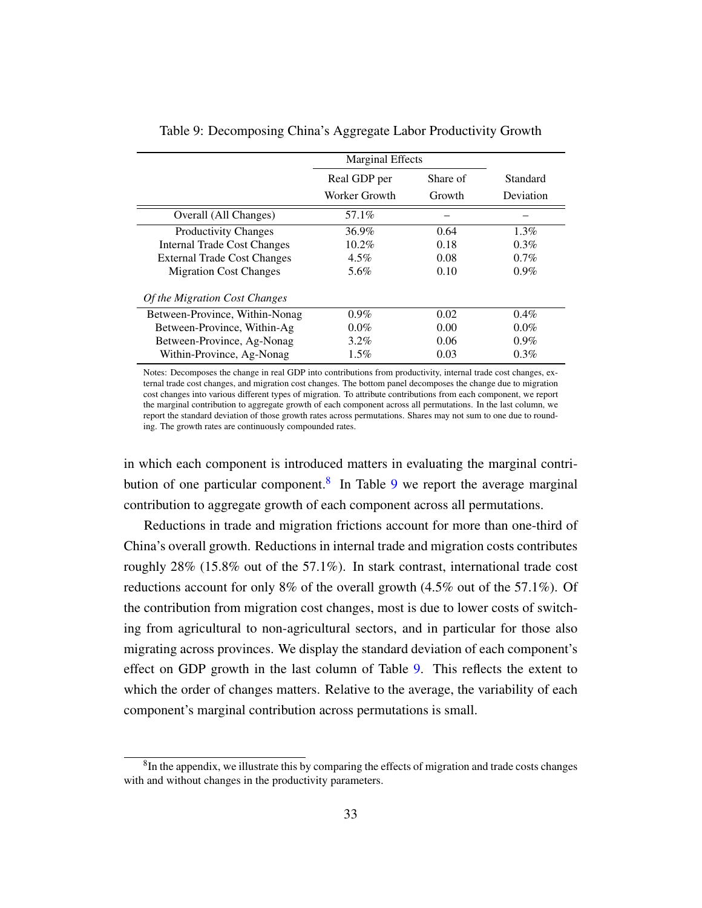|                                    | <b>Marginal Effects</b> |          |           |
|------------------------------------|-------------------------|----------|-----------|
|                                    | Real GDP per            | Share of | Standard  |
|                                    | Worker Growth           | Growth   | Deviation |
| Overall (All Changes)              | 57.1%                   |          |           |
| <b>Productivity Changes</b>        | 36.9%                   | 0.64     | $1.3\%$   |
| <b>Internal Trade Cost Changes</b> | 10.2%                   | 0.18     | $0.3\%$   |
| <b>External Trade Cost Changes</b> | $4.5\%$                 | 0.08     | $0.7\%$   |
| <b>Migration Cost Changes</b>      | 5.6%                    | 0.10     | $0.9\%$   |
| Of the Migration Cost Changes      |                         |          |           |
| Between-Province, Within-Nonag     | $0.9\%$                 | 0.02     | $0.4\%$   |
| Between-Province, Within-Ag        | $0.0\%$                 | 0.00     | $0.0\%$   |
| Between-Province, Ag-Nonag         | $3.2\%$                 | 0.06     | $0.9\%$   |
| Within-Province, Ag-Nonag          | $1.5\%$                 | 0.03     | $0.3\%$   |

<span id="page-33-0"></span>Table 9: Decomposing China's Aggregate Labor Productivity Growth

Notes: Decomposes the change in real GDP into contributions from productivity, internal trade cost changes, external trade cost changes, and migration cost changes. The bottom panel decomposes the change due to migration cost changes into various different types of migration. To attribute contributions from each component, we report the marginal contribution to aggregate growth of each component across all permutations. In the last column, we report the standard deviation of those growth rates across permutations. Shares may not sum to one due to rounding. The growth rates are continuously compounded rates.

in which each component is introduced matters in evaluating the marginal contri-bution of one particular component.<sup>[8](#page-0-0)</sup> In Table [9](#page-33-0) we report the average marginal contribution to aggregate growth of each component across all permutations.

Reductions in trade and migration frictions account for more than one-third of China's overall growth. Reductions in internal trade and migration costs contributes roughly 28% (15.8% out of the 57.1%). In stark contrast, international trade cost reductions account for only 8% of the overall growth  $(4.5\%$  out of the 57.1%). Of the contribution from migration cost changes, most is due to lower costs of switching from agricultural to non-agricultural sectors, and in particular for those also migrating across provinces. We display the standard deviation of each component's effect on GDP growth in the last column of Table [9.](#page-33-0) This reflects the extent to which the order of changes matters. Relative to the average, the variability of each component's marginal contribution across permutations is small.

 ${}^{8}$ In the appendix, we illustrate this by comparing the effects of migration and trade costs changes with and without changes in the productivity parameters.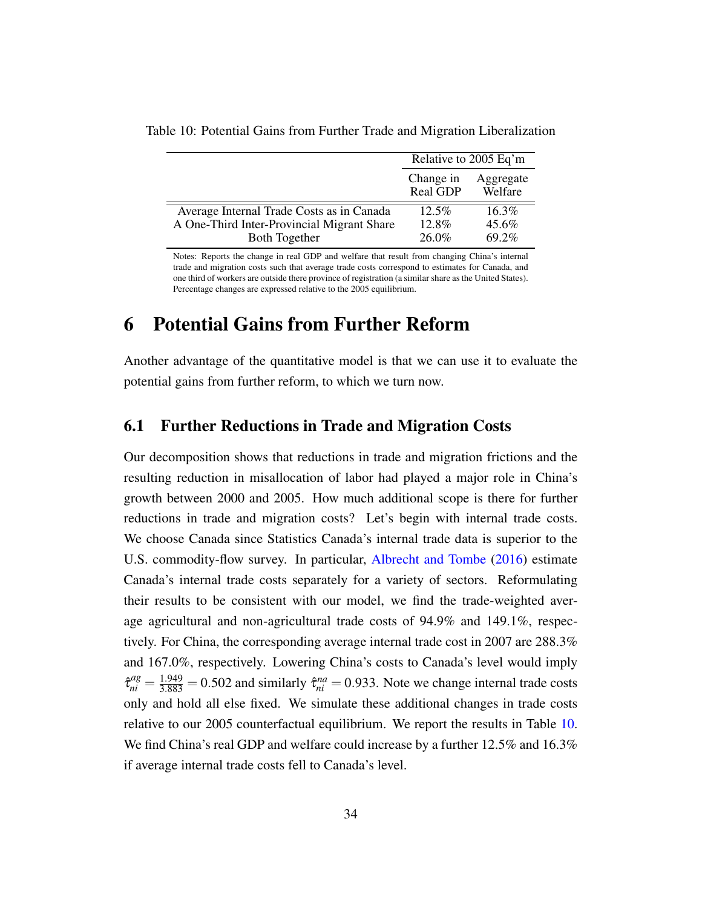|                                            |                       | Relative to 2005 Eq'm |
|--------------------------------------------|-----------------------|-----------------------|
|                                            | Change in<br>Real GDP | Aggregate<br>Welfare  |
| Average Internal Trade Costs as in Canada  | $12.5\%$              | 16.3%                 |
| A One-Third Inter-Provincial Migrant Share | 12.8%                 | 45.6%                 |
| <b>Both Together</b>                       | 26.0%                 | 69.2%                 |

<span id="page-34-0"></span>Table 10: Potential Gains from Further Trade and Migration Liberalization

Notes: Reports the change in real GDP and welfare that result from changing China's internal trade and migration costs such that average trade costs correspond to estimates for Canada, and one third of workers are outside there province of registration (a similar share as the United States). Percentage changes are expressed relative to the 2005 equilibrium.

# 6 Potential Gains from Further Reform

Another advantage of the quantitative model is that we can use it to evaluate the potential gains from further reform, to which we turn now.

#### 6.1 Further Reductions in Trade and Migration Costs

Our decomposition shows that reductions in trade and migration frictions and the resulting reduction in misallocation of labor had played a major role in China's growth between 2000 and 2005. How much additional scope is there for further reductions in trade and migration costs? Let's begin with internal trade costs. We choose Canada since Statistics Canada's internal trade data is superior to the U.S. commodity-flow survey. In particular, [Albrecht and Tombe](#page-38-17) [\(2016\)](#page-38-17) estimate Canada's internal trade costs separately for a variety of sectors. Reformulating their results to be consistent with our model, we find the trade-weighted average agricultural and non-agricultural trade costs of 94.9% and 149.1%, respectively. For China, the corresponding average internal trade cost in 2007 are 288.3% and 167.0%, respectively. Lowering China's costs to Canada's level would imply  $\hat{\tau}_{ni}^{ag} = \frac{1.949}{3.883} = 0.502$  and similarly  $\hat{\tau}_{ni}^{na} = 0.933$ . Note we change internal trade costs only and hold all else fixed. We simulate these additional changes in trade costs relative to our 2005 counterfactual equilibrium. We report the results in Table [10.](#page-34-0) We find China's real GDP and welfare could increase by a further 12.5% and 16.3% if average internal trade costs fell to Canada's level.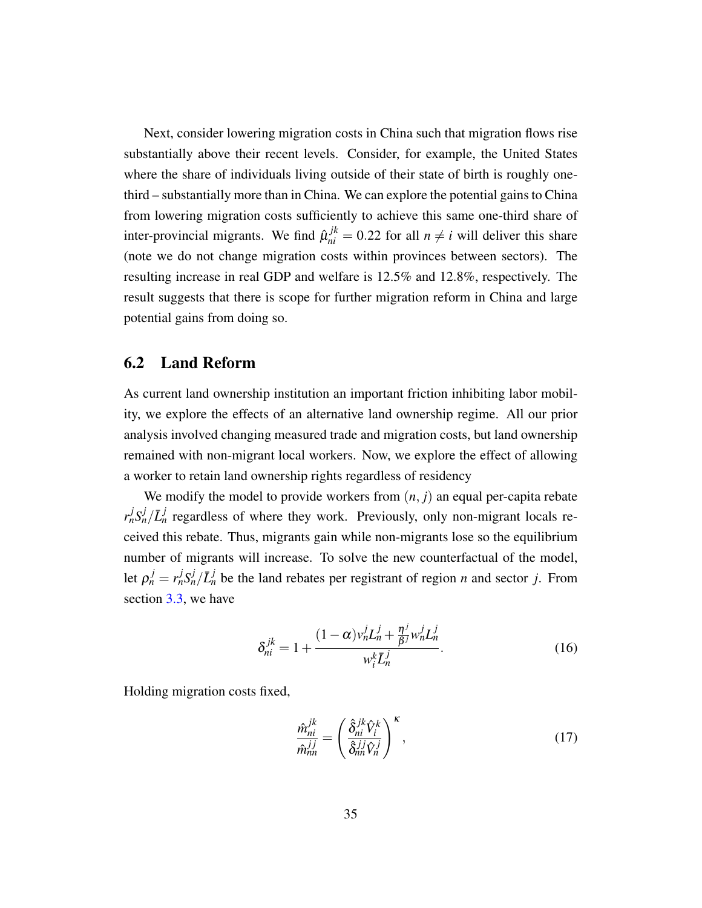Next, consider lowering migration costs in China such that migration flows rise substantially above their recent levels. Consider, for example, the United States where the share of individuals living outside of their state of birth is roughly onethird – substantially more than in China. We can explore the potential gains to China from lowering migration costs sufficiently to achieve this same one-third share of inter-provincial migrants. We find  $\hat{\mu}_{ni}^{jk} = 0.22$  for all  $n \neq i$  will deliver this share (note we do not change migration costs within provinces between sectors). The resulting increase in real GDP and welfare is 12.5% and 12.8%, respectively. The result suggests that there is scope for further migration reform in China and large potential gains from doing so.

#### 6.2 Land Reform

As current land ownership institution an important friction inhibiting labor mobility, we explore the effects of an alternative land ownership regime. All our prior analysis involved changing measured trade and migration costs, but land ownership remained with non-migrant local workers. Now, we explore the effect of allowing a worker to retain land ownership rights regardless of residency

We modify the model to provide workers from  $(n, j)$  an equal per-capita rebate  $r_n^j S_n^j / \bar{L}_n^j$  regardless of where they work. Previously, only non-migrant locals received this rebate. Thus, migrants gain while non-migrants lose so the equilibrium number of migrants will increase. To solve the new counterfactual of the model, let  $\rho_n^j = r_n^j S_n^j / \bar{L}_n^j$  be the land rebates per registrant of region *n* and sector *j*. From section [3.3,](#page-16-1) we have

$$
\delta_{ni}^{jk} = 1 + \frac{(1-\alpha)v_n^j L_n^j + \frac{\eta^j}{\beta^j} w_n^j L_n^j}{w_i^k \bar{L}_n^j}.
$$
\n(16)

Holding migration costs fixed,

$$
\frac{\hat{m}_{ni}^{jk}}{\hat{m}_{nn}^{jj}} = \left(\frac{\hat{\delta}_{ni}^{jk}\hat{V}_i^k}{\hat{\delta}_{nn}^{jj}\hat{V}_n^j}\right)^{\kappa},\tag{17}
$$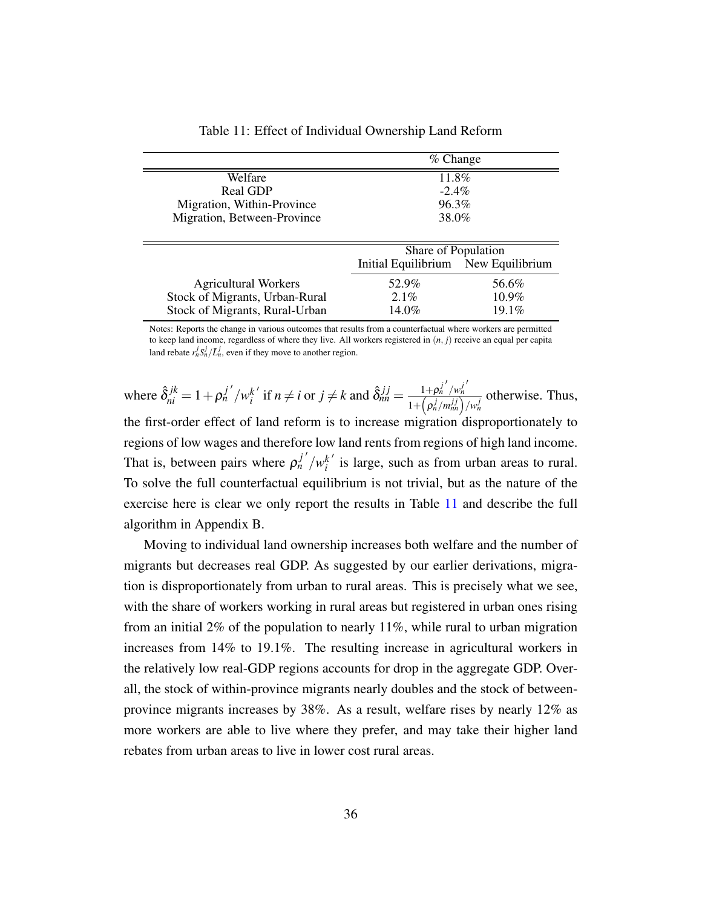<span id="page-36-0"></span>

|                                | $%$ Change                          |          |
|--------------------------------|-------------------------------------|----------|
| Welfare                        | 11.8%                               |          |
| Real GDP                       | $-2.4\%$                            |          |
| Migration, Within-Province     | 96.3%                               |          |
| Migration, Between-Province    | 38.0%                               |          |
|                                |                                     |          |
|                                | Share of Population                 |          |
|                                | Initial Equilibrium New Equilibrium |          |
| <b>Agricultural Workers</b>    | 52.9%                               | 56.6%    |
| Stock of Migrants, Urban-Rural | $2.1\%$                             | $10.9\%$ |
| Stock of Migrants, Rural-Urban | 14.0%                               | $19.1\%$ |

Table 11: Effect of Individual Ownership Land Reform

Notes: Reports the change in various outcomes that results from a counterfactual where workers are permitted to keep land income, regardless of where they live. All workers registered in (*n*, *j*) receive an equal per capita land rebate  $r_n^j S_n^j / \bar{L}_n^j$ , even if they move to another region.

where  $\hat{\delta}^{jk}_{ni} = 1 + \rho^{j'}_{n'}/w^{k'}_{i}$  $i^{k'}$  if  $n \neq i$  or  $j \neq k$  and  $\hat{\delta}_{nn}^{j} = \frac{1 + \rho_n^{j'} / w_n^{j'}}{1 + (\rho_n^{j'} / w_n^{j'})}$ *n*  $1+\left(\rho_n^j/m_{nn}^{jj}\right)/w_n^j$ otherwise. Thus, the first-order effect of land reform is to increase migration disproportionately to regions of low wages and therefore low land rents from regions of high land income. That is, between pairs where  $\rho_n^{j'}/w_i^{k'}$  $i$ <sup> $k'$ </sup> is large, such as from urban areas to rural. To solve the full counterfactual equilibrium is not trivial, but as the nature of the exercise here is clear we only report the results in Table [11](#page-36-0) and describe the full algorithm in Appendix B.

Moving to individual land ownership increases both welfare and the number of migrants but decreases real GDP. As suggested by our earlier derivations, migration is disproportionately from urban to rural areas. This is precisely what we see, with the share of workers working in rural areas but registered in urban ones rising from an initial 2% of the population to nearly 11%, while rural to urban migration increases from 14% to 19.1%. The resulting increase in agricultural workers in the relatively low real-GDP regions accounts for drop in the aggregate GDP. Overall, the stock of within-province migrants nearly doubles and the stock of betweenprovince migrants increases by 38%. As a result, welfare rises by nearly 12% as more workers are able to live where they prefer, and may take their higher land rebates from urban areas to live in lower cost rural areas.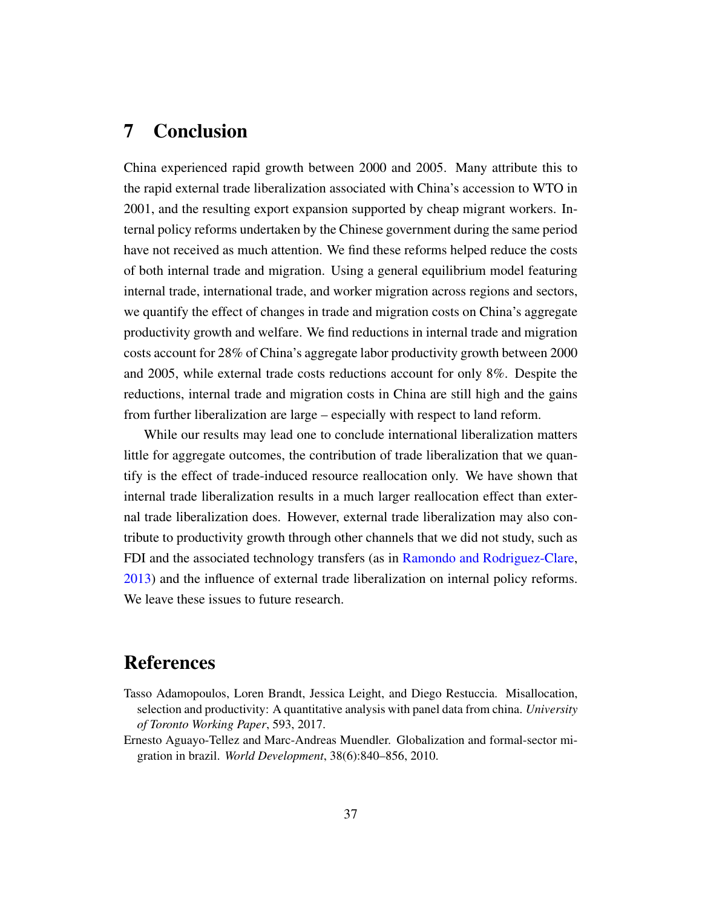# 7 Conclusion

China experienced rapid growth between 2000 and 2005. Many attribute this to the rapid external trade liberalization associated with China's accession to WTO in 2001, and the resulting export expansion supported by cheap migrant workers. Internal policy reforms undertaken by the Chinese government during the same period have not received as much attention. We find these reforms helped reduce the costs of both internal trade and migration. Using a general equilibrium model featuring internal trade, international trade, and worker migration across regions and sectors, we quantify the effect of changes in trade and migration costs on China's aggregate productivity growth and welfare. We find reductions in internal trade and migration costs account for 28% of China's aggregate labor productivity growth between 2000 and 2005, while external trade costs reductions account for only 8%. Despite the reductions, internal trade and migration costs in China are still high and the gains from further liberalization are large – especially with respect to land reform.

While our results may lead one to conclude international liberalization matters little for aggregate outcomes, the contribution of trade liberalization that we quantify is the effect of trade-induced resource reallocation only. We have shown that internal trade liberalization results in a much larger reallocation effect than external trade liberalization does. However, external trade liberalization may also contribute to productivity growth through other channels that we did not study, such as FDI and the associated technology transfers (as in [Ramondo and Rodriguez-Clare,](#page-40-19) [2013\)](#page-40-19) and the influence of external trade liberalization on internal policy reforms. We leave these issues to future research.

## **References**

- <span id="page-37-1"></span>Tasso Adamopoulos, Loren Brandt, Jessica Leight, and Diego Restuccia. Misallocation, selection and productivity: A quantitative analysis with panel data from china. *University of Toronto Working Paper*, 593, 2017.
- <span id="page-37-0"></span>Ernesto Aguayo-Tellez and Marc-Andreas Muendler. Globalization and formal-sector migration in brazil. *World Development*, 38(6):840–856, 2010.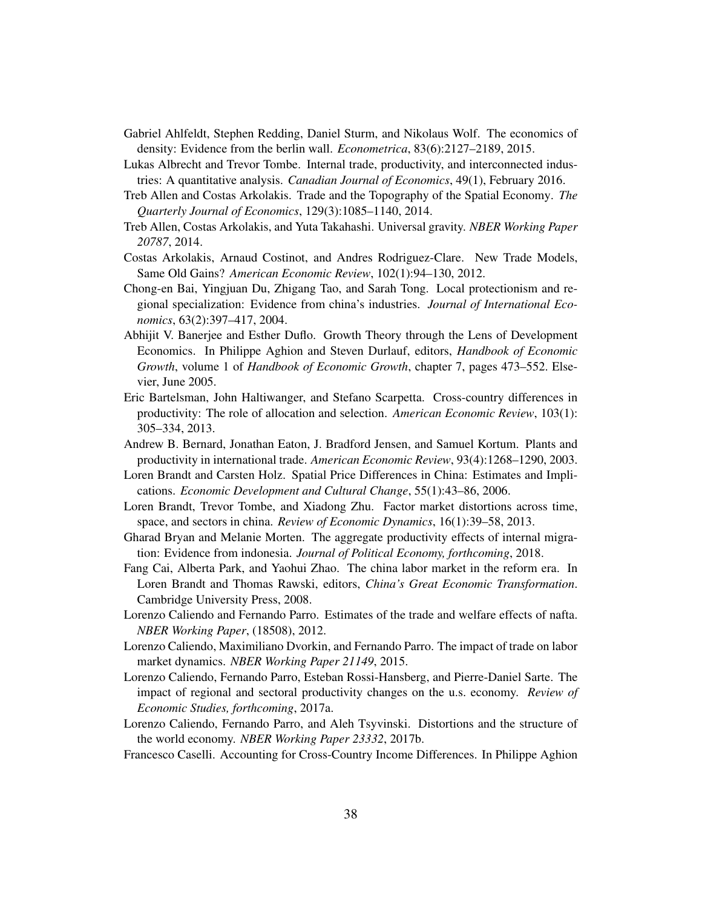- <span id="page-38-1"></span>Gabriel Ahlfeldt, Stephen Redding, Daniel Sturm, and Nikolaus Wolf. The economics of density: Evidence from the berlin wall. *Econometrica*, 83(6):2127–2189, 2015.
- <span id="page-38-17"></span>Lukas Albrecht and Trevor Tombe. Internal trade, productivity, and interconnected industries: A quantitative analysis. *Canadian Journal of Economics*, 49(1), February 2016.
- <span id="page-38-2"></span>Treb Allen and Costas Arkolakis. Trade and the Topography of the Spatial Economy. *The Quarterly Journal of Economics*, 129(3):1085–1140, 2014.
- <span id="page-38-16"></span>Treb Allen, Costas Arkolakis, and Yuta Takahashi. Universal gravity. *NBER Working Paper 20787*, 2014.
- <span id="page-38-12"></span>Costas Arkolakis, Arnaud Costinot, and Andres Rodriguez-Clare. New Trade Models, Same Old Gains? *American Economic Review*, 102(1):94–130, 2012.
- <span id="page-38-11"></span>Chong-en Bai, Yingjuan Du, Zhigang Tao, and Sarah Tong. Local protectionism and regional specialization: Evidence from china's industries. *Journal of International Economics*, 63(2):397–417, 2004.
- <span id="page-38-6"></span>Abhijit V. Banerjee and Esther Duflo. Growth Theory through the Lens of Development Economics. In Philippe Aghion and Steven Durlauf, editors, *Handbook of Economic Growth*, volume 1 of *Handbook of Economic Growth*, chapter 7, pages 473–552. Elsevier, June 2005.
- <span id="page-38-7"></span>Eric Bartelsman, John Haltiwanger, and Stefano Scarpetta. Cross-country differences in productivity: The role of allocation and selection. *American Economic Review*, 103(1): 305–334, 2013.
- <span id="page-38-15"></span>Andrew B. Bernard, Jonathan Eaton, J. Bradford Jensen, and Samuel Kortum. Plants and productivity in international trade. *American Economic Review*, 93(4):1268–1290, 2003.
- <span id="page-38-10"></span>Loren Brandt and Carsten Holz. Spatial Price Differences in China: Estimates and Implications. *Economic Development and Cultural Change*, 55(1):43–86, 2006.
- <span id="page-38-8"></span>Loren Brandt, Trevor Tombe, and Xiadong Zhu. Factor market distortions across time, space, and sectors in china. *Review of Economic Dynamics*, 16(1):39–58, 2013.
- <span id="page-38-4"></span>Gharad Bryan and Melanie Morten. The aggregate productivity effects of internal migration: Evidence from indonesia. *Journal of Political Economy, forthcoming*, 2018.
- <span id="page-38-0"></span>Fang Cai, Alberta Park, and Yaohui Zhao. The china labor market in the reform era. In Loren Brandt and Thomas Rawski, editors, *China's Great Economic Transformation*. Cambridge University Press, 2008.
- <span id="page-38-13"></span>Lorenzo Caliendo and Fernando Parro. Estimates of the trade and welfare effects of nafta. *NBER Working Paper*, (18508), 2012.
- <span id="page-38-3"></span>Lorenzo Caliendo, Maximiliano Dvorkin, and Fernando Parro. The impact of trade on labor market dynamics. *NBER Working Paper 21149*, 2015.
- <span id="page-38-14"></span>Lorenzo Caliendo, Fernando Parro, Esteban Rossi-Hansberg, and Pierre-Daniel Sarte. The impact of regional and sectoral productivity changes on the u.s. economy. *Review of Economic Studies, forthcoming*, 2017a.
- <span id="page-38-9"></span>Lorenzo Caliendo, Fernando Parro, and Aleh Tsyvinski. Distortions and the structure of the world economy. *NBER Working Paper 23332*, 2017b.
- <span id="page-38-5"></span>Francesco Caselli. Accounting for Cross-Country Income Differences. In Philippe Aghion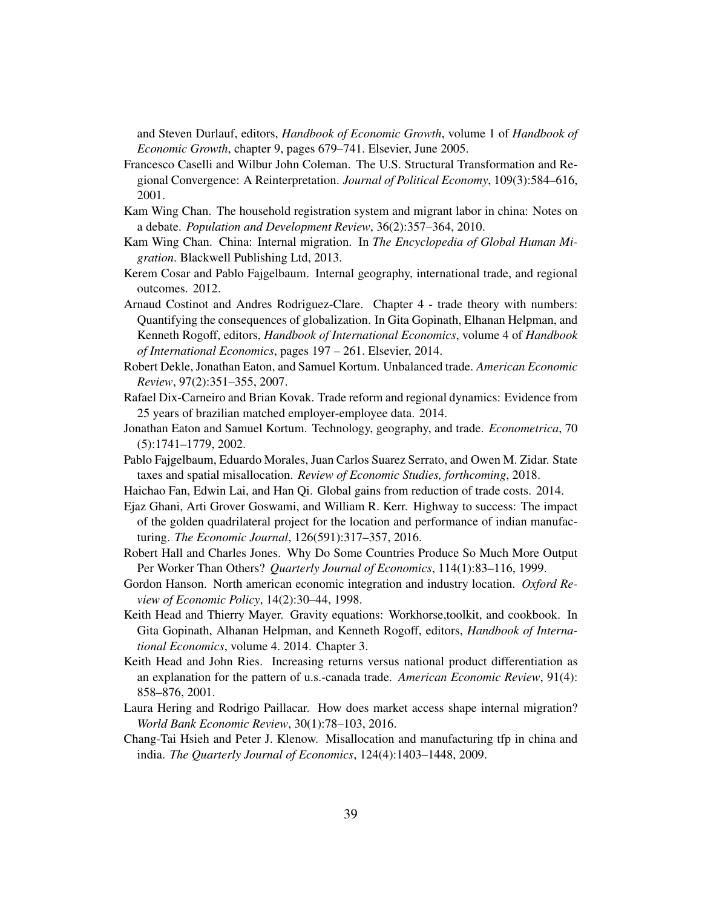and Steven Durlauf, editors, *Handbook of Economic Growth*, volume 1 of *Handbook of Economic Growth*, chapter 9, pages 679–741. Elsevier, June 2005.

- <span id="page-39-15"></span>Francesco Caselli and Wilbur John Coleman. The U.S. Structural Transformation and Regional Convergence: A Reinterpretation. *Journal of Political Economy*, 109(3):584–616, 2001.
- <span id="page-39-8"></span>Kam Wing Chan. The household registration system and migrant labor in china: Notes on a debate. *Population and Development Review*, 36(2):357–364, 2010.
- <span id="page-39-9"></span>Kam Wing Chan. China: Internal migration. In *The Encyclopedia of Global Human Migration*. Blackwell Publishing Ltd, 2013.
- <span id="page-39-1"></span>Kerem Cosar and Pablo Fajgelbaum. Internal geography, international trade, and regional outcomes. 2012.
- <span id="page-39-14"></span>Arnaud Costinot and Andres Rodriguez-Clare. Chapter 4 - trade theory with numbers: Quantifying the consequences of globalization. In Gita Gopinath, Elhanan Helpman, and Kenneth Rogoff, editors, *Handbook of International Economics*, volume 4 of *Handbook of International Economics*, pages 197 – 261. Elsevier, 2014.
- <span id="page-39-10"></span>Robert Dekle, Jonathan Eaton, and Samuel Kortum. Unbalanced trade. *American Economic Review*, 97(2):351–355, 2007.
- <span id="page-39-2"></span>Rafael Dix-Carneiro and Brian Kovak. Trade reform and regional dynamics: Evidence from 25 years of brazilian matched employer-employee data. 2014.
- <span id="page-39-0"></span>Jonathan Eaton and Samuel Kortum. Technology, geography, and trade. *Econometrica*, 70 (5):1741–1779, 2002.
- <span id="page-39-11"></span>Pablo Fajgelbaum, Eduardo Morales, Juan Carlos Suarez Serrato, and Owen M. Zidar. State taxes and spatial misallocation. *Review of Economic Studies, forthcoming*, 2018.
- <span id="page-39-13"></span>Haichao Fan, Edwin Lai, and Han Qi. Global gains from reduction of trade costs. 2014.
- <span id="page-39-3"></span>Ejaz Ghani, Arti Grover Goswami, and William R. Kerr. Highway to success: The impact of the golden quadrilateral project for the location and performance of indian manufacturing. *The Economic Journal*, 126(591):317–357, 2016.
- <span id="page-39-6"></span>Robert Hall and Charles Jones. Why Do Some Countries Produce So Much More Output Per Worker Than Others? *Quarterly Journal of Economics*, 114(1):83–116, 1999.
- <span id="page-39-5"></span>Gordon Hanson. North american economic integration and industry location. *Oxford Review of Economic Policy*, 14(2):30–44, 1998.
- <span id="page-39-16"></span>Keith Head and Thierry Mayer. Gravity equations: Workhorse,toolkit, and cookbook. In Gita Gopinath, Alhanan Helpman, and Kenneth Rogoff, editors, *Handbook of International Economics*, volume 4. 2014. Chapter 3.
- <span id="page-39-12"></span>Keith Head and John Ries. Increasing returns versus national product differentiation as an explanation for the pattern of u.s.-canada trade. *American Economic Review*, 91(4): 858–876, 2001.
- <span id="page-39-4"></span>Laura Hering and Rodrigo Paillacar. How does market access shape internal migration? *World Bank Economic Review*, 30(1):78–103, 2016.
- <span id="page-39-7"></span>Chang-Tai Hsieh and Peter J. Klenow. Misallocation and manufacturing tfp in china and india. *The Quarterly Journal of Economics*, 124(4):1403–1448, 2009.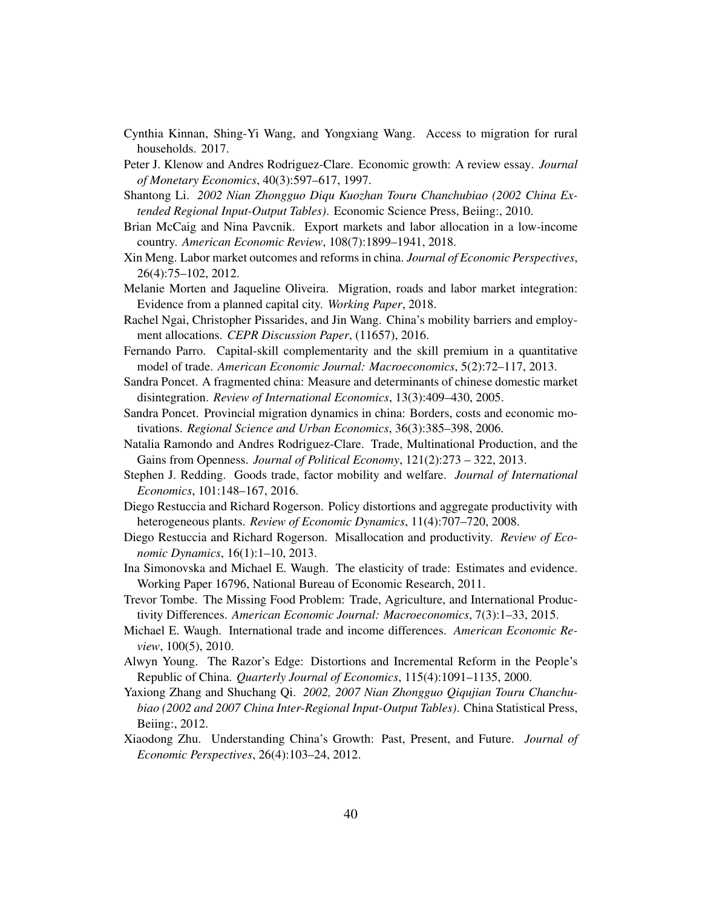- <span id="page-40-17"></span>Cynthia Kinnan, Shing-Yi Wang, and Yongxiang Wang. Access to migration for rural households. 2017.
- <span id="page-40-7"></span>Peter J. Klenow and Andres Rodriguez-Clare. Economic growth: A review essay. *Journal of Monetary Economics*, 40(3):597–617, 1997.
- <span id="page-40-12"></span>Shantong Li. *2002 Nian Zhongguo Diqu Kuozhan Touru Chanchubiao (2002 China Extended Regional Input-Output Tables)*. Economic Science Press, Beiing:, 2010.
- <span id="page-40-6"></span>Brian McCaig and Nina Pavcnik. Export markets and labor allocation in a low-income country. *American Economic Review*, 108(7):1899–1941, 2018.
- <span id="page-40-11"></span>Xin Meng. Labor market outcomes and reforms in china. *Journal of Economic Perspectives*, 26(4):75–102, 2012.
- <span id="page-40-5"></span>Melanie Morten and Jaqueline Oliveira. Migration, roads and labor market integration: Evidence from a planned capital city. *Working Paper*, 2018.
- <span id="page-40-10"></span>Rachel Ngai, Christopher Pissarides, and Jin Wang. China's mobility barriers and employment allocations. *CEPR Discussion Paper*, (11657), 2016.
- <span id="page-40-15"></span>Fernando Parro. Capital-skill complementarity and the skill premium in a quantitative model of trade. *American Economic Journal: Macroeconomics*, 5(2):72–117, 2013.
- <span id="page-40-2"></span>Sandra Poncet. A fragmented china: Measure and determinants of chinese domestic market disintegration. *Review of International Economics*, 13(3):409–430, 2005.
- <span id="page-40-0"></span>Sandra Poncet. Provincial migration dynamics in china: Borders, costs and economic motivations. *Regional Science and Urban Economics*, 36(3):385–398, 2006.
- <span id="page-40-19"></span>Natalia Ramondo and Andres Rodriguez-Clare. Trade, Multinational Production, and the Gains from Openness. *Journal of Political Economy*, 121(2):273 – 322, 2013.
- <span id="page-40-4"></span>Stephen J. Redding. Goods trade, factor mobility and welfare. *Journal of International Economics*, 101:148–167, 2016.
- <span id="page-40-8"></span>Diego Restuccia and Richard Rogerson. Policy distortions and aggregate productivity with heterogeneous plants. *Review of Economic Dynamics*, 11(4):707–720, 2008.
- <span id="page-40-9"></span>Diego Restuccia and Richard Rogerson. Misallocation and productivity. *Review of Economic Dynamics*, 16(1):1–10, 2013.
- <span id="page-40-14"></span>Ina Simonovska and Michael E. Waugh. The elasticity of trade: Estimates and evidence. Working Paper 16796, National Bureau of Economic Research, 2011.
- <span id="page-40-16"></span>Trevor Tombe. The Missing Food Problem: Trade, Agriculture, and International Productivity Differences. *American Economic Journal: Macroeconomics*, 7(3):1–33, 2015.
- <span id="page-40-18"></span>Michael E. Waugh. International trade and income differences. *American Economic Review*, 100(5), 2010.
- <span id="page-40-1"></span>Alwyn Young. The Razor's Edge: Distortions and Incremental Reform in the People's Republic of China. *Quarterly Journal of Economics*, 115(4):1091–1135, 2000.
- <span id="page-40-13"></span>Yaxiong Zhang and Shuchang Qi. *2002, 2007 Nian Zhongguo Qiqujian Touru Chanchubiao (2002 and 2007 China Inter-Regional Input-Output Tables)*. China Statistical Press, Beiing:, 2012.
- <span id="page-40-3"></span>Xiaodong Zhu. Understanding China's Growth: Past, Present, and Future. *Journal of Economic Perspectives*, 26(4):103–24, 2012.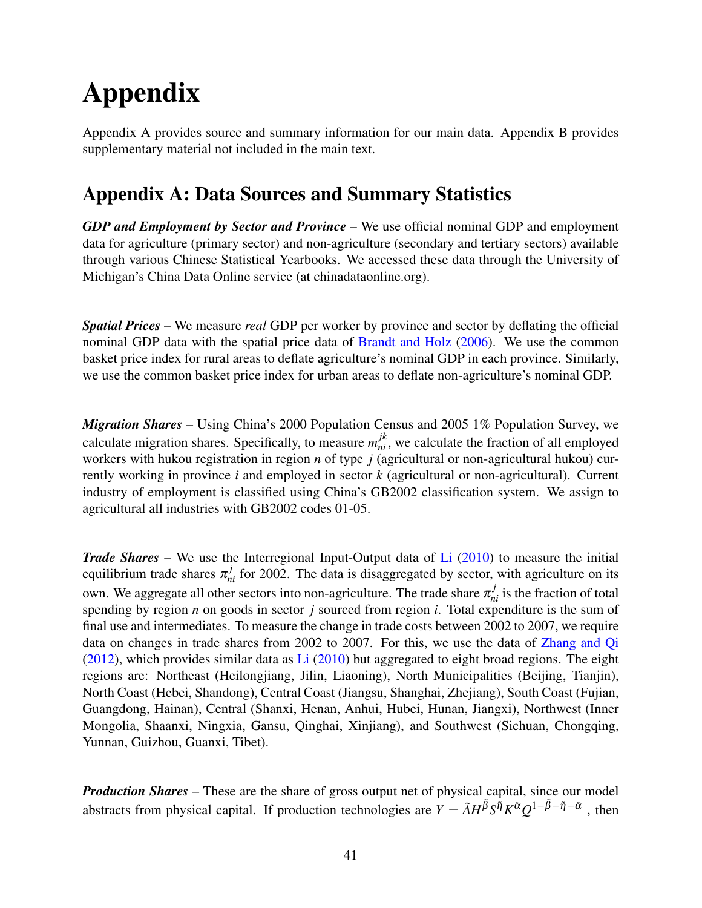# Appendix

Appendix A provides source and summary information for our main data. Appendix B provides supplementary material not included in the main text.

# Appendix A: Data Sources and Summary Statistics

*GDP and Employment by Sector and Province* – We use official nominal GDP and employment data for agriculture (primary sector) and non-agriculture (secondary and tertiary sectors) available through various Chinese Statistical Yearbooks. We accessed these data through the University of Michigan's China Data Online service (at chinadataonline.org).

*Spatial Prices* – We measure *real* GDP per worker by province and sector by deflating the official nominal GDP data with the spatial price data of [Brandt and Holz](#page-38-10) [\(2006\)](#page-38-10). We use the common basket price index for rural areas to deflate agriculture's nominal GDP in each province. Similarly, we use the common basket price index for urban areas to deflate non-agriculture's nominal GDP.

*Migration Shares* – Using China's 2000 Population Census and 2005 1% Population Survey, we calculate migration shares. Specifically, to measure  $m_{ni}^{jk}$ , we calculate the fraction of all employed workers with hukou registration in region *n* of type *j* (agricultural or non-agricultural hukou) currently working in province *i* and employed in sector *k* (agricultural or non-agricultural). Current industry of employment is classified using China's GB2002 classification system. We assign to agricultural all industries with GB2002 codes 01-05.

*Trade Shares* – We use the Interregional Input-Output data of [Li](#page-40-12) [\(2010\)](#page-40-12) to measure the initial equilibrium trade shares  $\pi_{ni}^{j}$  for 2002. The data is disaggregated by sector, with agriculture on its own. We aggregate all other sectors into non-agriculture. The trade share  $\pi_{ni}^j$  is the fraction of total spending by region *n* on goods in sector *j* sourced from region *i*. Total expenditure is the sum of final use and intermediates. To measure the change in trade costs between 2002 to 2007, we require data on changes in trade shares from 2002 to 2007. For this, we use the data of [Zhang and Qi](#page-40-13)  $(2012)$ , which provides similar data as [Li](#page-40-12)  $(2010)$  but aggregated to eight broad regions. The eight regions are: Northeast (Heilongjiang, Jilin, Liaoning), North Municipalities (Beijing, Tianjin), North Coast (Hebei, Shandong), Central Coast (Jiangsu, Shanghai, Zhejiang), South Coast (Fujian, Guangdong, Hainan), Central (Shanxi, Henan, Anhui, Hubei, Hunan, Jiangxi), Northwest (Inner Mongolia, Shaanxi, Ningxia, Gansu, Qinghai, Xinjiang), and Southwest (Sichuan, Chongqing, Yunnan, Guizhou, Guanxi, Tibet).

*Production Shares* – These are the share of gross output net of physical capital, since our model abstracts from physical capital. If production technologies are  $Y = \tilde{A}H^{\tilde{\beta}}S^{\tilde{\eta}}K^{\tilde{\alpha}}Q^{1-\tilde{\beta}-\tilde{\eta}-\tilde{\alpha}}$ , then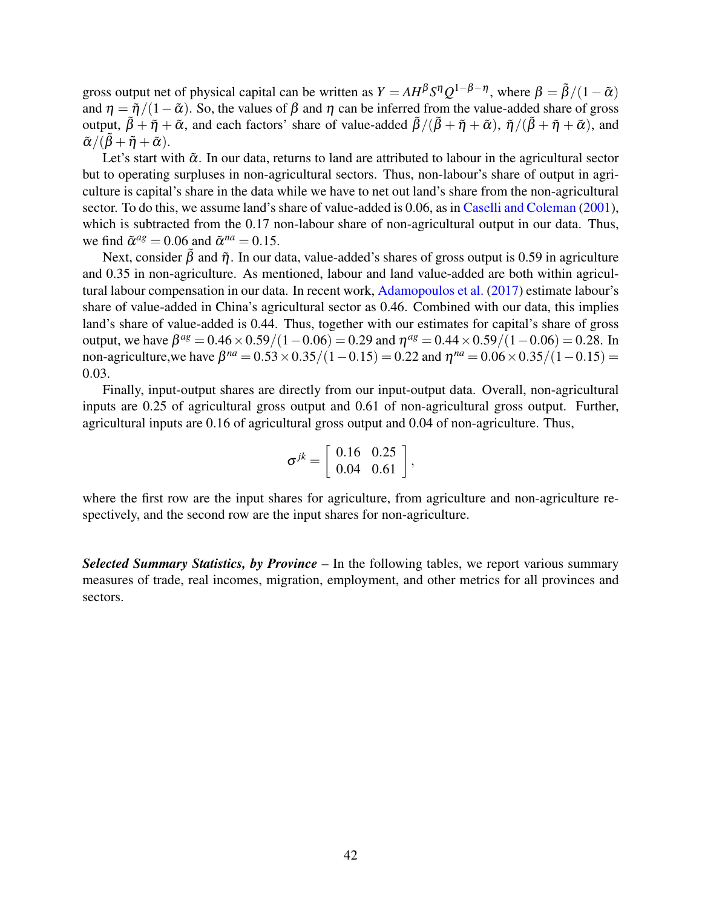gross output net of physical capital can be written as  $Y = AH^{\beta}S^{\eta}Q^{1-\beta-\eta}$ , where  $\beta = \tilde{\beta}/(1-\tilde{\alpha})$ and  $\eta = \tilde{\eta}/(1-\tilde{\alpha})$ . So, the values of  $\beta$  and  $\eta$  can be inferred from the value-added share of gross output,  $\tilde{\beta} + \tilde{\eta} + \tilde{\alpha}$ , and each factors' share of value-added  $\tilde{\beta}/(\tilde{\beta} + \tilde{\eta} + \tilde{\alpha})$ ,  $\tilde{\eta}/(\tilde{\beta} + \tilde{\eta} + \tilde{\alpha})$ , and  $\tilde{\alpha}/(\tilde{\beta}+\tilde{\eta}+\tilde{\alpha}).$ 

Let's start with  $\tilde{\alpha}$ . In our data, returns to land are attributed to labour in the agricultural sector but to operating surpluses in non-agricultural sectors. Thus, non-labour's share of output in agriculture is capital's share in the data while we have to net out land's share from the non-agricultural sector. To do this, we assume land's share of value-added is 0.06, as in [Caselli and Coleman](#page-39-15) [\(2001\)](#page-39-15), which is subtracted from the 0.17 non-labour share of non-agricultural output in our data. Thus, we find  $\tilde{\alpha}^{ag} = 0.06$  and  $\tilde{\alpha}^{na} = 0.15$ .

Next, consider  $\hat{\beta}$  and  $\tilde{\eta}$ . In our data, value-added's shares of gross output is 0.59 in agriculture and 0.35 in non-agriculture. As mentioned, labour and land value-added are both within agricultural labour compensation in our data. In recent work, [Adamopoulos et al.](#page-37-1) [\(2017\)](#page-37-1) estimate labour's share of value-added in China's agricultural sector as 0.46. Combined with our data, this implies land's share of value-added is 0.44. Thus, together with our estimates for capital's share of gross output, we have  $β^{ag} = 0.46 \times 0.59 / (1 - 0.06) = 0.29$  and  $η^{ag} = 0.44 \times 0.59 / (1 - 0.06) = 0.28$ . In non-agriculture,we have  $β^{na} = 0.53 \times 0.35 / (1 - 0.15) = 0.22$  and  $η^{na} = 0.06 \times 0.35 / (1 - 0.15) =$ 0.03.

Finally, input-output shares are directly from our input-output data. Overall, non-agricultural inputs are 0.25 of agricultural gross output and 0.61 of non-agricultural gross output. Further, agricultural inputs are 0.16 of agricultural gross output and 0.04 of non-agriculture. Thus,

$$
\sigma^{jk} = \left[\begin{array}{cc} 0.16 & 0.25 \\ 0.04 & 0.61 \end{array}\right],
$$

where the first row are the input shares for agriculture, from agriculture and non-agriculture respectively, and the second row are the input shares for non-agriculture.

*Selected Summary Statistics, by Province* – In the following tables, we report various summary measures of trade, real incomes, migration, employment, and other metrics for all provinces and sectors.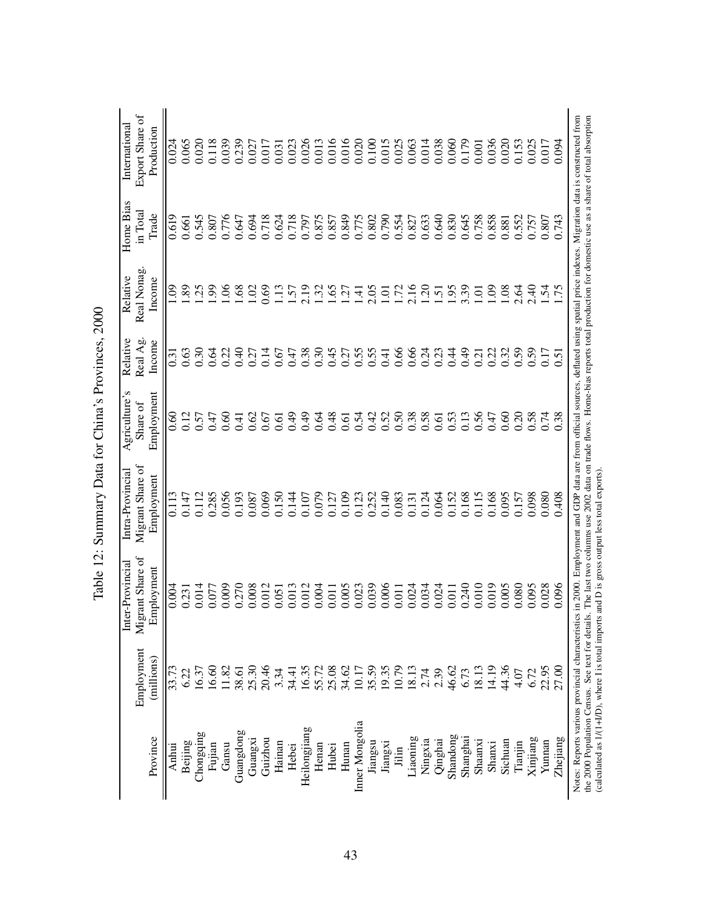|                                                |            | er-Provincial<br>ᄇ                                                                                                                                                                     | Intra-Provincial                                                                                                                          | Agriculture's  | Relative          | Relative                  | Home Bias | International   |
|------------------------------------------------|------------|----------------------------------------------------------------------------------------------------------------------------------------------------------------------------------------|-------------------------------------------------------------------------------------------------------------------------------------------|----------------|-------------------|---------------------------|-----------|-----------------|
|                                                | Employment | Migrant Share of                                                                                                                                                                       | Migrant Share of                                                                                                                          | Share of       | Real Ag.          | Real Nonag                | in Total  | Export Share of |
| Province                                       | (millions) | Employment                                                                                                                                                                             | Employment                                                                                                                                | Employment     | Income            | Income                    | Trade     | Production      |
| Anhui                                          | 33.73      | 0.004                                                                                                                                                                                  | 0.113                                                                                                                                     | 0.60           | $\overline{0.31}$ | eo.                       | 0.619     | 0.024           |
| Beijing                                        | 6.22       | 0.231                                                                                                                                                                                  | 0.147                                                                                                                                     | 0.12           | 0.63              | 89                        | 0.661     | 0.065           |
| Chongqing                                      | 16.37      | 0.014                                                                                                                                                                                  | 0.112                                                                                                                                     | 0.57           | 0.30              | 25                        | 0.545     | 0.020           |
| Fujian                                         | 16.60      | 0.077                                                                                                                                                                                  | 0.285                                                                                                                                     | 0.47           | 0.64              | 99                        | 0.807     | 0.118           |
| Gansu                                          | 11.82      | 0.009                                                                                                                                                                                  | 0.056                                                                                                                                     | 0.60           | 0.22              | $\frac{6}{2}$             | 0.776     | 0.039           |
| Guangdong                                      | 38.61      | 0.270                                                                                                                                                                                  | 0.193                                                                                                                                     | $\overline{1}$ | 0.40              | $\frac{68}{2}$            | 0.647     | 0.239           |
| Guangxi                                        | 25.30      | 0.008                                                                                                                                                                                  | 0.087                                                                                                                                     | 0.62           | 0.27              | $\widetilde{\mathcal{S}}$ | 0.694     | 0.027           |
| Guizhou                                        | 20.46      | 0.012                                                                                                                                                                                  | 0.069                                                                                                                                     | 0.67           | 0.14              | 0.69                      | 0.718     | 0.017           |
| Hainan                                         | 3.34       | 0.051                                                                                                                                                                                  | 0.150                                                                                                                                     | 0.61           | 0.67              | $\frac{13}{2}$            | 0.624     | 0.031           |
| Hebei                                          | 34.41      | 0.013                                                                                                                                                                                  | 0.144                                                                                                                                     | 0.49           | 0.47              | $\overline{S}$            | 0.718     | 0.023           |
| Heilongjiang                                   | 16.35      | 0.012                                                                                                                                                                                  | 0.107                                                                                                                                     | 0.49           | 0.38              | 2.19                      | 0.797     | 0.026           |
| Henan                                          | 55.72      | 0.004                                                                                                                                                                                  | 0.079                                                                                                                                     | 0.64           | 0.30              | 32                        | 0.875     | 0.013           |
| Hubei                                          | 25.08      |                                                                                                                                                                                        | 0.127                                                                                                                                     | 0.48           | 645               | $\ddot{9}$                | 0.857     | 0.016           |
| Hunan                                          | 34.62      | $\begin{array}{c} 0.011 \\ 0.005 \\ 0.023 \end{array}$                                                                                                                                 | 0.109                                                                                                                                     | 0.61           | 0.27              | $\ddot{c}$                | 0.849     | 0.016           |
| Inner Mongolia                                 | 10.17      |                                                                                                                                                                                        | 0.123                                                                                                                                     | 0.54           | 0.55              | $\overline{4}$            | 0.775     | 0.020           |
| Jiangsu                                        | 35.59      | 0.039                                                                                                                                                                                  | 0.252                                                                                                                                     | 0.42           | 0.55              | 2.05                      | 0.802     | 0.100           |
| Jiangxi                                        | 19.35      | 0.006                                                                                                                                                                                  | 0.140                                                                                                                                     | 0.52           | 0.41              | ō                         | 0.790     | 0.015           |
| Jilin                                          | 10.79      | 0.011                                                                                                                                                                                  | 0.083                                                                                                                                     | 0.50           | 0.66              | 1.72                      | 0.554     | 0.025           |
| Liaoning                                       | 18.13      | 0.024                                                                                                                                                                                  | 0.131                                                                                                                                     | 0.38           | 0.66              | 2.16                      | 0.827     | 0.063           |
| Ningxia                                        | 2.74       | 0.034                                                                                                                                                                                  | 0.124                                                                                                                                     | 0.58           | 0.24              | $\overline{c}$ .          | 0.633     | 0.014           |
| Qinghai                                        |            | 0.024                                                                                                                                                                                  | 0.064                                                                                                                                     | 0.61           | 0.23              | $\overline{5}$            | 0.640     | 0.038           |
| Shandong                                       | 46.62      | 0.011                                                                                                                                                                                  | 0.152                                                                                                                                     | 0.53           | 0.44              | $-95$                     | 0.830     | 0.060           |
| Shanghai                                       | 6.73       | 0.240                                                                                                                                                                                  | 0.168                                                                                                                                     | 0.13           | 64.0              | 3.39                      | 0.645     | 0.179           |
| Shaanxi                                        | 18.13      | 0.010                                                                                                                                                                                  | 0.115                                                                                                                                     | 0.56           | 0.21              | ō                         | 0.758     | 0.001           |
| Shanxi                                         | 14.19      | 0.019                                                                                                                                                                                  | 0.168                                                                                                                                     | 0.47           | 0.22              | SÒ.                       | 0.858     | 0.036           |
| Sichuan                                        | 44.36      | 0.005                                                                                                                                                                                  | 0.095                                                                                                                                     | 0.60           | 0.32              | 0.08                      | 0.881     | 0.020           |
| Tianjin                                        | 4.07       | 0.080                                                                                                                                                                                  | 0.157                                                                                                                                     | 0.20           | 0.59              | 2.64                      | 0.552     | 0.153           |
| Xinjiang                                       | 6.72       | 0.095                                                                                                                                                                                  | 0.098                                                                                                                                     | 0.58           | 0.59              | 2.40                      | 0.757     | 0.025           |
| Yunnan                                         | 22.95      | 0.028                                                                                                                                                                                  | 0.080                                                                                                                                     | 0.74           | 0.17              | $\dot{5}$                 | 0.807     | 0.017           |
| Zhejiang                                       | 27.00      | 0.096                                                                                                                                                                                  | 0.408                                                                                                                                     | 0.38           | 0.51              | 75                        | 0.743     | 0.094           |
| the 2000 Population Census. See text for detai |            | Notes: Reports various provincial characteristics in 2000. Employment and GDP data are from official sources, deflated using spatial price indexes. Migration data is constructed from | is. The last two columns use 2002 data on trade flows. Home-bias reports total production for domestic use as a share of total absorption |                |                   |                           |           |                 |
|                                                |            | (calculated as 1/(1+I/D), where I is total imports and D is gross output less total exports).                                                                                          |                                                                                                                                           |                |                   |                           |           |                 |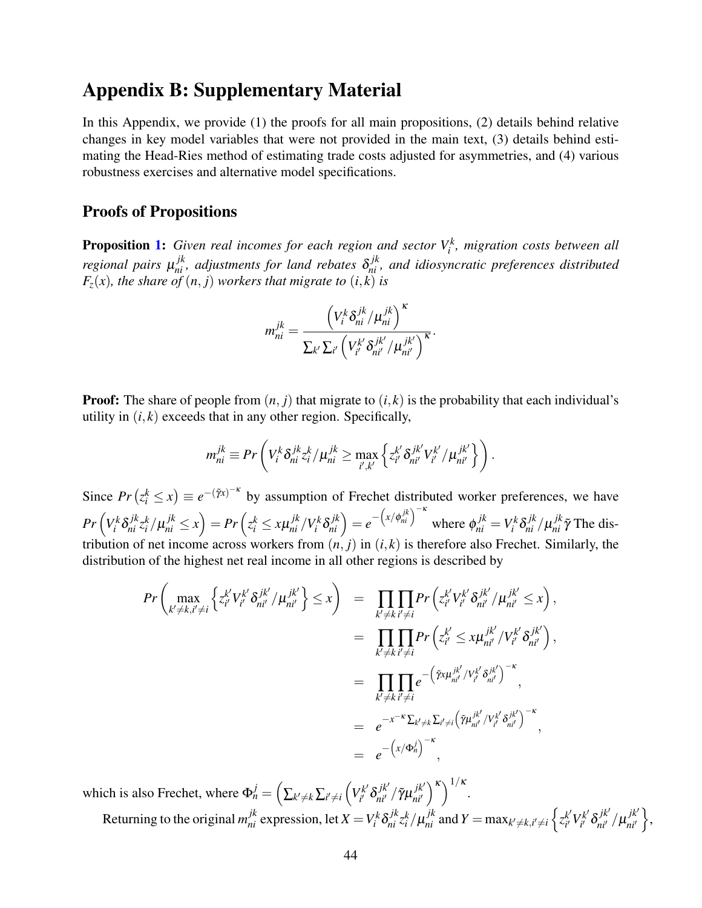# Appendix B: Supplementary Material

In this Appendix, we provide (1) the proofs for all main propositions, (2) details behind relative changes in key model variables that were not provided in the main text, (3) details behind estimating the Head-Ries method of estimating trade costs adjusted for asymmetries, and (4) various robustness exercises and alternative model specifications.

### Proofs of Propositions

**Proposition [1:](#page-17-1)** Given real incomes for each region and sector  $V_i^k$ , migration costs between all *regional pairs*  $\mu_{ni}^{jk}$ , adjustments for land rebates  $\delta_{ni}^{jk}$ , and idiosyncratic preferences distributed  $F_z(x)$ , the share of  $(n, j)$  workers that migrate to  $(i, k)$  is

$$
m_{ni}^{jk} = \frac{\left(V_i^k \delta_{ni}^{jk}/\mu_{ni}^{jk}\right)^{\kappa}}{\sum_{k'} \sum_{i'} \left(V_{i'}^{k'} \delta_{ni'}^{jk'}/\mu_{ni'}^{jk'}\right)^{\kappa}}.
$$

**Proof:** The share of people from  $(n, j)$  that migrate to  $(i, k)$  is the probability that each individual's utility in  $(i, k)$  exceeds that in any other region. Specifically,

$$
m_{ni}^{jk} \equiv Pr\left(V_i^k \delta_{ni}^{jk} z_i^k / \mu_{ni}^{jk} \ge \max_{i',k'} \left\{z_{i'}^{k'} \delta_{ni'}^{jk'} V_{i'}^{k'} / \mu_{ni'}^{jk'}\right\}\right).
$$

Since  $Pr(z_i^k \le x) \equiv e^{-(\tilde{\gamma}x)^{-\kappa}}$  by assumption of Frechet distributed worker preferences, we have  $Pr\left(V_i^k\delta_{ni}^{jk}z_i^k/\mu_{ni}^{jk}\leq x\right)=Pr\left(z_i^k\leq x\mu_{ni}^{jk}/V_i^k\delta_{ni}^{jk}\right)=e^{-\left(x/\phi_{ni}^{jk}\right)^{-\kappa}}$  where  $\phi_{ni}^{jk}=V_i^k\delta_{ni}^{jk}/\mu_{ni}^{jk}\tilde{\gamma}$  The distribution of net income across workers from  $(n, j)$  in  $(i, k)$  is therefore also Frechet. Similarly, the distribution of the highest net real income in all other regions is described by

$$
Pr\left(\max_{k'\neq k, i'\neq i} \left\{ z_{i'}^{k'} V_{i'}^{k'} \delta_{ni'}^{jk'} / \mu_{ni'}^{jk'} \right\} \leq x \right) = \prod_{k'\neq k} \prod_{i'\neq i} Pr\left( z_{i'}^{k'} V_{i'}^{k'} \delta_{ni'}^{jk'} / \mu_{ni'}^{jk'} \leq x \right),
$$
  

$$
= \prod_{k'\neq k} \prod_{i'\neq i} Pr\left( z_{i'}^{k'} \leq x \mu_{ni'}^{jk'} / V_{i'}^{k'} \delta_{ni'}^{jk'} \right),
$$
  

$$
= \prod_{k'\neq k} \prod_{i'\neq i} e^{-\left(\tilde{r}x \mu_{ni'}^{jk'} / V_{i'}^{k'} \delta_{ni'}^{jk'}\right)^{-\kappa}},
$$
  

$$
= e^{-x^{-\kappa} \sum_{k'\neq i} \sum_{i'\neq i} \left(\tilde{r} \mu_{ni'}^{jk'} / V_{i'}^{k'} \delta_{ni'}^{jk'}\right)^{-\kappa}},
$$
  

$$
= e^{-\left(x/\Phi_{n}^{j}\right)^{-\kappa}},
$$

which is also Frechet, where  $\Phi_n^j = \left(\sum_{k' \neq k} \sum_{i' \neq i} \left(V_{i'}^{k'}\right)\right)$ <sup>rk'</sup> δ $_{\vec{u}^{\prime}}^{jk^{\prime}}$  / γ̃μ $_{\vec{nl}^{\prime}}^{jk^{\prime}}$ *ni*0  $\binom{\kappa}{k}^{1/\kappa}$ . Returning to the original  $m_{ni}^{jk}$  expression, let  $X = V_i^k \delta_{ni}^{jk} z_i^k / \mu_{ni}^{jk}$  and  $Y = \max_{k' \neq k, i' \neq i} \left\{ z_{i'}^{k'} \right\}$  $k'_{i'} V_{i'}^{k'}$  $\delta^{jk'}_{n i'} \delta^{jk'}_{n i'} / \mu^{jk'}_{n i'}$ *ni*0  $\Big\},$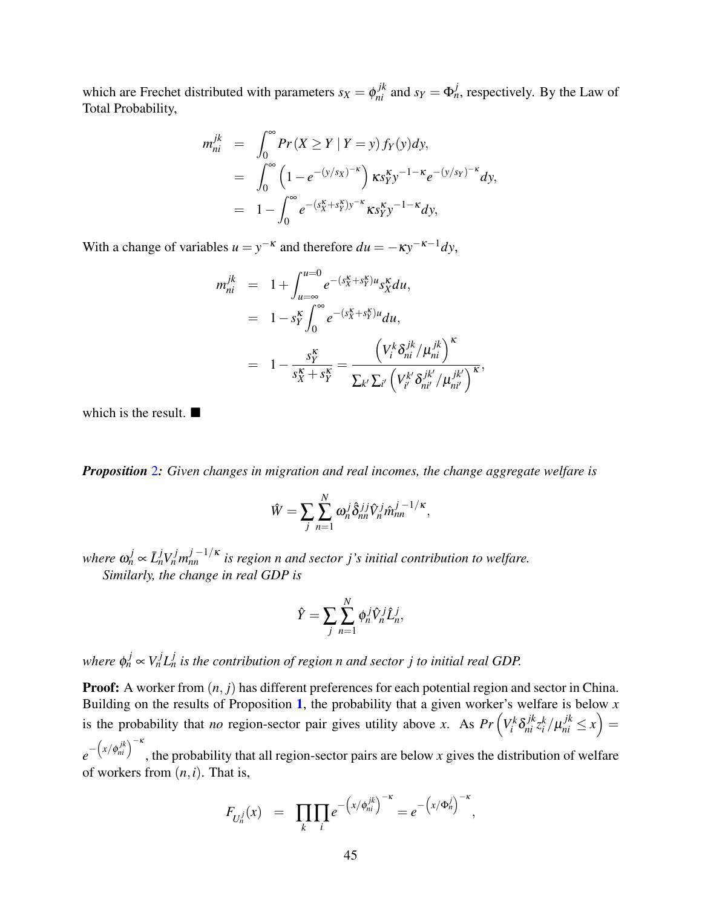which are Frechet distributed with parameters  $s_X = \phi_{ni}^{jk}$  and  $s_Y = \Phi_n^j$ , respectively. By the Law of Total Probability,

$$
m_{ni}^{jk} = \int_0^{\infty} Pr(X \ge Y | Y = y) f_Y(y) dy,
$$
  
= 
$$
\int_0^{\infty} \left(1 - e^{-(y/s_X)^{-\kappa}}\right) \kappa s_Y^{\kappa} y^{-1-\kappa} e^{-(y/s_Y)^{-\kappa}} dy,
$$
  
= 
$$
1 - \int_0^{\infty} e^{-(s_X^{\kappa} + s_Y^{\kappa})y^{-\kappa}} \kappa s_Y^{\kappa} y^{-1-\kappa} dy,
$$

With a change of variables  $u = y^{-\kappa}$  and therefore  $du = -\kappa y^{-\kappa-1} dy$ ,

$$
m_{ni}^{jk} = 1 + \int_{u=\infty}^{u=0} e^{-(s_{X}^{K} + s_{Y}^{K})u} s_{X}^{K} du,
$$
  
\n
$$
= 1 - s_{Y}^{K} \int_{0}^{\infty} e^{-(s_{X}^{K} + s_{Y}^{K})u} du,
$$
  
\n
$$
= 1 - \frac{s_{Y}^{K}}{s_{X}^{K} + s_{Y}^{K}} = \frac{\left(V_{i}^{k} \delta_{ni}^{jk} / \mu_{ni}^{jk}\right)^{K}}{\sum_{k'} \sum_{i'} \left(V_{i'}^{k'} \delta_{ni'}^{jk'} / \mu_{ni'}^{jk'}\right)^{K}},
$$

which is the result.  $\blacksquare$ 

*Proposition* [2](#page-18-0)*: Given changes in migration and real incomes, the change aggregate welfare is*

$$
\hat{W} = \sum_j \sum_{n=1}^N \omega_n^j \hat{\delta}_{nn}^{jj} \hat{V}_n^j \hat{m}_{nn}^{j-1/\kappa},
$$

 $w$ here  $\omega_n^j \propto \bar{L}_n^j V_n^j m_{nn}^{j-1/\kappa}$  is region n and sector j's initial contribution to welfare. *Similarly, the change in real GDP is*

$$
\hat{Y} = \sum_{j} \sum_{n=1}^{N} \phi_n^j \hat{V}_n^j \hat{L}_n^j,
$$

*where*  $\phi_n^j \propto V_n^j L_n^j$  is the contribution of region n and sector j to initial real GDP.

**Proof:** A worker from  $(n, j)$  has different preferences for each potential region and sector in China. Building on the results of Proposition [1](#page-17-1), the probability that a given worker's welfare is below *x* is the probability that *no* region-sector pair gives utility above *x*. As  $Pr\left(V_i^k \delta_{ni}^{jk} z_i^k / \mu_{ni}^{jk} \le x\right) =$  $e^{-\left(x/\phi_{ni}^{jk}\right)^{-\kappa}}$ , the probability that all region-sector pairs are below *x* gives the distribution of welfare

of workers from (*n*,*i*). That is,

$$
F_{U_n^j}(x) = \prod_k \prod_i e^{-\left(x/\phi_{ni}^{j k}\right)^{-\kappa}} = e^{-\left(x/\Phi_n^j\right)^{-\kappa}},
$$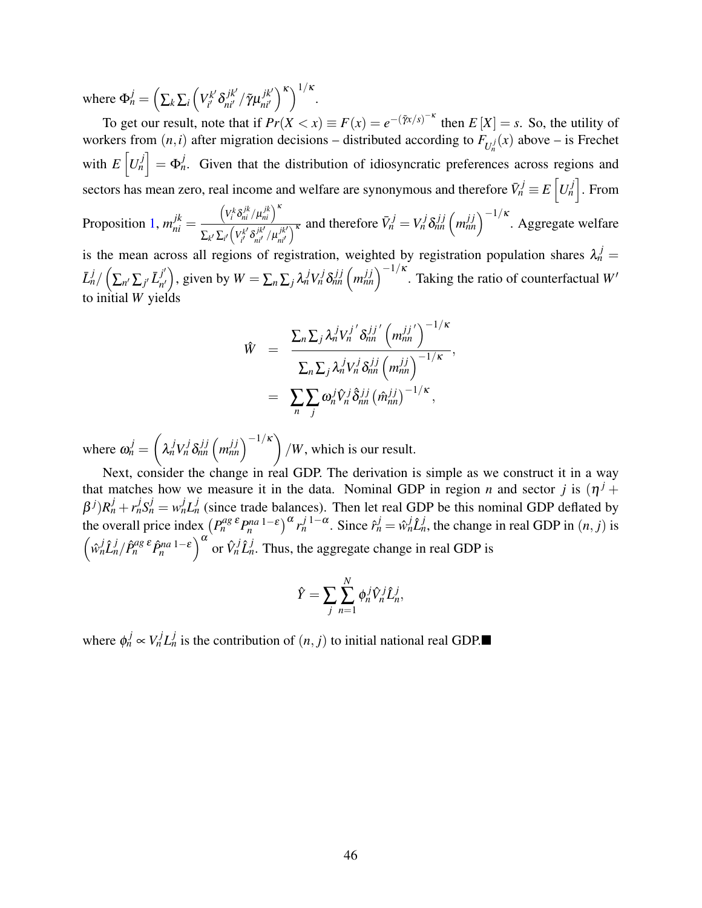where  $\Phi_n^j = \left(\sum_k \sum_i \left(V_{i'}^{k'}\right)\right.$ <sup>rk'</sup> δ $_{\vec{n}\vec{l}}^{jk'}/\tilde{\gamma} \mu_{\vec{n}\vec{l}'}^{jk'}$ *ni*0  $\binom{\kappa}{k}^{1/\kappa}$ .

To get our result, note that if  $Pr(X < x) \equiv F(x) = e^{-(\tilde{\gamma}x/s)^{-\kappa}}$  then  $E[X] = s$ . So, the utility of workers from  $(n,i)$  after migration decisions – distributed according to  $F_{U_n^j}(x)$  above – is Frechet with  $E\left[U_n^j\right] = \Phi_n^j$ . Given that the distribution of idiosyncratic preferences across regions and sectors has mean zero, real income and welfare are synonymous and therefore  $\bar{V}^j_n \equiv E\left[ U^j_n \right].$  From Proposition [1,](#page-17-1)  $m_{ni}^{jk}$  =  $\left(V_i^k \delta_{ni}^{jk}/\mu_{ni}^{jk}\right)^k$  $\sum_{k'}\sum_{i'}\left(V_{i'}^{k'}\right)$  $\frac{\partial f^{k'}\partial_{ni'}^{jk'} }{\partial n^{j'}\partial n^{j'}}\neq 0$  $\left(\frac{\partial f}{\partial h}\right)^{k}$  and therefore  $\bar{V}_n^j = V_n^j \delta_{nn}^{jj} \left(m_{nn}^{jj}\right)^{-1/\kappa}$ . Aggregate welfare

is the mean across all regions of registration, weighted by registration population shares  $\lambda_n^j =$  $\bar{L}_n^j/\left(\sum_{n'}\sum_{j'}\bar{L}_{n'}^{j'}\right)$  $\left(\int f'_{n'}\right)$ , given by  $W = \sum_{n} \sum_{j} \lambda_n^j V_n^j \delta_{nn}^{jj} \left(m_{nn}^{jj}\right)^{-1/\kappa}$ . Taking the ratio of counterfactual *W*<sup>*n*</sup> to initial  $W$  yiel<sup> $\delta$ </sup>

$$
\hat{W} = \frac{\sum_{n} \sum_{j} \lambda_n^j V_n^{j'} \delta_{nn}^{jj'} \left( m_{nn}^{jj'} \right)^{-1/\kappa}}{\sum_{n} \sum_{j} \lambda_n^j V_n^j \delta_{nn}^{jj} \left( m_{nn}^{jj} \right)^{-1/\kappa}},
$$
  

$$
= \sum_{n} \sum_{j} \omega_n^j \hat{V}_n^j \hat{\delta}_{nn}^{jj} \left( \hat{m}_{nn}^{jj} \right)^{-1/\kappa},
$$

where  $\omega_n^j =$  $\sqrt{ }$  $\lambda_n^j V_n^j \delta_{nn}^{jj} (m_{nn}^{jj})^{-1/\kappa}$ /*W*, which is our result.

Next, consider the change in real GDP. The derivation is simple as we construct it in a way that matches how we measure it in the data. Nominal GDP in region *n* and sector *j* is  $(\eta^{j} +$  $\beta^{j}$ ) $R_n^j + r_n^j S_n^j = w_n^j L_n^j$  (since trade balances). Then let real GDP be this nominal GDP deflated by the overall price index  $(P_n^{ag\,\epsilon}P_n^{na\,1-\epsilon})^{\alpha}r_n^{j\,1-\alpha}$ . Since  $\hat{r}_n^j = \hat{w}_n^j \hat{L}_n^j$ , the change in real GDP in  $(n, j)$  is  $\left(\hat{w}_n^j \hat{L}_n^j / \hat{P}_n^{ag\epsilon} \hat{P}_n^{na-1-\epsilon}\right)^\alpha$  or  $\hat{V}_n^j \hat{L}_n^j$ . Thus, the aggregate change in real GDP is

$$
\hat{Y} = \sum_{j} \sum_{n=1}^{N} \phi_n^j \hat{V}_n^j \hat{L}_n^j
$$

,

where  $\phi_n^j \propto V_n^j L_n^j$  is the contribution of  $(n, j)$  to initial national real GDP.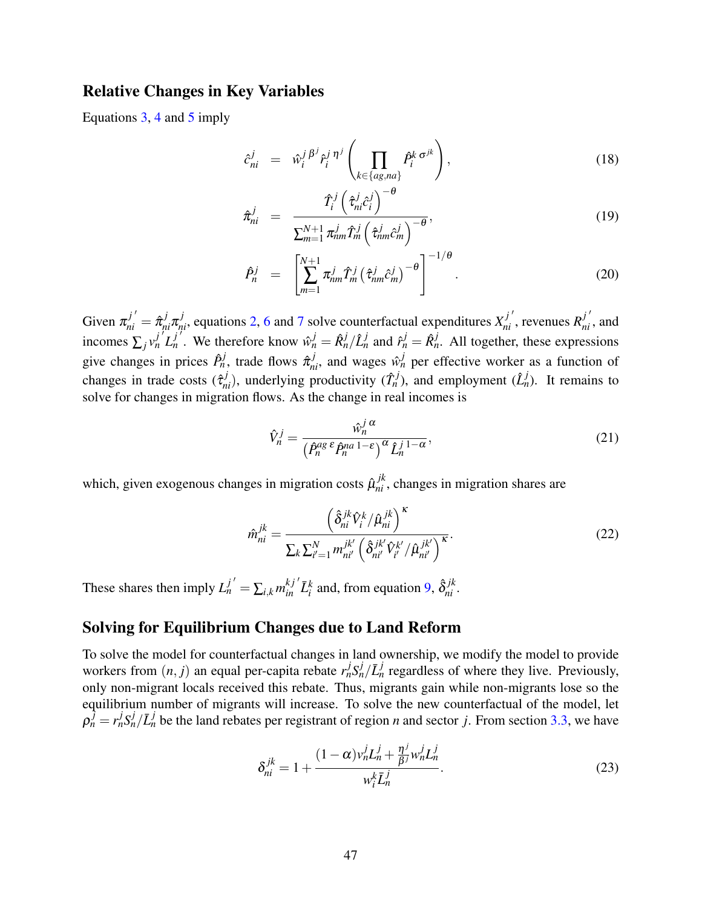## Relative Changes in Key Variables

Equations [3,](#page-15-0) [4](#page-15-1) and [5](#page-15-2) imply

<span id="page-47-0"></span>
$$
\hat{c}_{ni}^j = \hat{w}_i^{j} \hat{P}_i^j \hat{r}_i^{j} \left( \prod_{k \in \{ag, na\}} \hat{P}_i^k \sigma^{jk} \right), \tag{18}
$$

$$
\hat{\pi}_{ni}^{j} = \frac{\hat{T}_{i}^{j} \left(\hat{\tau}_{ni}^{j} \hat{c}_{i}^{j}\right)^{-\theta}}{\sum_{m=1}^{N+1} \pi_{nm}^{j} \hat{T}_{m}^{j} \left(\hat{\tau}_{nm}^{j} \hat{c}_{m}^{j}\right)^{-\theta}},\tag{19}
$$

$$
\hat{P}_n^j = \left[ \sum_{m=1}^{N+1} \pi_{nm}^j \hat{T}_m^j \left( \hat{\tau}_{nm}^j \hat{c}_m^j \right)^{-\theta} \right]^{-1/\theta} . \tag{20}
$$

Given  $\pi_{ni}^{j'} = \hat{\pi}_{ni}^j \pi_{ni}^j$ , equations [2,](#page-14-0) [6](#page-16-2) and [7](#page-16-3) solve counterfactual expenditures  $X_{ni}^{j'}$ , revenues  $R_{ni}^{j'}$ , and incomes  $\sum_j v_n^{j'} L_n^{j'}$ . We therefore know  $\hat{v}_n^j = \hat{R}_n^j / \hat{L}_n^j$  and  $\hat{r}_n^j = \hat{R}_n^j$ . All together, these expressions give changes in prices  $\hat{P}_n^j$ , trade flows  $\hat{\pi}_{ni}^j$ , and wages  $\hat{w}_n^j$  per effective worker as a function of changes in trade costs  $(\hat{\tau}_{ni}^j)$ , underlying productivity  $(\hat{T}_n^j)$ , and employment  $(\hat{L}_n^j)$ . It remains to solve for changes in migration flows. As the change in real incomes is

$$
\hat{V}_n^j = \frac{\hat{w}_n^j \alpha}{\left(\hat{P}_n^{ag} \,\hat{P}_n^{na} \, 1 - \varepsilon\right)^\alpha \hat{L}_n^{j} \, 1 - \alpha},\tag{21}
$$

which, given exogenous changes in migration costs  $\hat{\mu}_{ni}^{jk}$ , changes in migration shares are

$$
\hat{m}_{ni}^{jk} = \frac{\left(\hat{\delta}_{ni}^{jk}\hat{V}_i^k / \hat{\mu}_{ni}^{jk}\right)^{\kappa}}{\sum_k \sum_{i'=1}^N m_{ni'}^{jk'} \left(\hat{\delta}_{ni'}^{jk'}\hat{V}_{i'}^{k'} / \hat{\mu}_{ni'}^{jk'}\right)^{\kappa}}.
$$
\n(22)

These shares then imply  $L_n^{j'} = \sum_{i,k} m_{in}^{kj'} \bar{L}_i^k$  and, from equation [9,](#page-16-0)  $\hat{\delta}_{ni}^{jk}$ .

## Solving for Equilibrium Changes due to Land Reform

To solve the model for counterfactual changes in land ownership, we modify the model to provide workers from  $(n, j)$  an equal per-capita rebate  $r_n^j S_n^j / \bar{L}_n^j$  regardless of where they live. Previously, only non-migrant locals received this rebate. Thus, migrants gain while non-migrants lose so the equilibrium number of migrants will increase. To solve the new counterfactual of the model, let  $\rho_n^{\hat{j}} = r_n^j S_n^j / \bar{L}_n^j$  be the land rebates per registrant of region *n* and sector *j*. From section [3.3,](#page-16-1) we have

<span id="page-47-1"></span>
$$
\delta_{ni}^{jk} = 1 + \frac{(1 - \alpha)v_n^j L_n^j + \frac{\eta^j}{\beta^j} w_n^j L_n^j}{w_i^k \bar{L}_n^j}.
$$
 (23)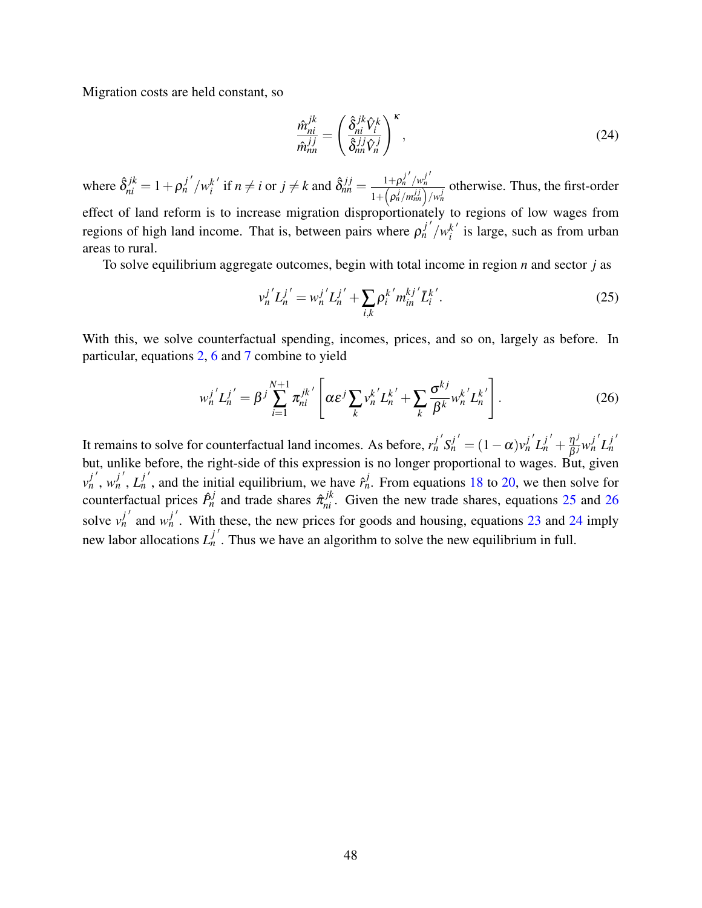Migration costs are held constant, so

<span id="page-48-2"></span>
$$
\frac{\hat{m}_{ni}^{jk}}{\hat{m}_{nn}^{jj}} = \left(\frac{\hat{\delta}_{ni}^{jk}\hat{V}_i^k}{\hat{\delta}_{nn}^{jj}\hat{V}_n^j}\right)^{\kappa},\tag{24}
$$

where  $\hat{\delta}^{jk}_{ni} = 1 + \rho^{j'}_{n'}/w^{k'}_{i}$  $i^{k'}$  if  $n \neq i$  or  $j \neq k$  and  $\hat{\delta}_{nn}^{j,j} = \frac{1+\rho_n^{j'}/w_n^{j'}}{1+\left(\frac{\rho_j^j}{w_n^{j'}}\right)w_n^{j'}}$ *n*  $1+\left(\frac{\rho_n^j}{m_{nn}^{j,j}}\right)/w_n^j$ otherwise. Thus, the first-order effect of land reform is to increase migration disproportionately to regions of low wages from regions of high land income. That is, between pairs where  $\rho_n^{j'}/w_i^{k'}$  $i$ <sup> $k$ </sup> is large, such as from urban areas to rural.

To solve equilibrium aggregate outcomes, begin with total income in region *n* and sector *j* as

<span id="page-48-0"></span>
$$
v_n^{j'} L_n^{j'} = w_n^{j'} L_n^{j'} + \sum_{i,k} \rho_i^{k'} m_m^{kj'} \bar{L}_i^{k'}.
$$
 (25)

With this, we solve counterfactual spending, incomes, prices, and so on, largely as before. In particular, equations [2,](#page-14-0) [6](#page-16-2) and [7](#page-16-3) combine to yield

<span id="page-48-1"></span>
$$
w_n^{j'} L_n^{j'} = \beta^j \sum_{i=1}^{N+1} \pi_{ni}^{jk'} \left[ \alpha \varepsilon^j \sum_k v_n^{k'} L_n^{k'} + \sum_k \frac{\sigma^{kj}}{\beta^k} w_n^{k'} L_n^{k'} \right].
$$
 (26)

It remains to solve for counterfactual land incomes. As before,  $r_n^{j'}S_n^{j'} = (1 - \alpha)v_n^{j'}L_n^{j'} + \frac{\eta^{j'}}{\beta j}$  $\frac{\eta^j}{\beta^j} w_n^{j'} L_n^{j'}$ *n* but, unlike before, the right-side of this expression is no longer proportional to wages. But, given  $v_n^{j'}$ ,  $w_n^{j'}$ ,  $L_n^{j'}$ , and the initial equilibrium, we have  $\hat{r}_n^j$ . From equations [18](#page-47-0) to [20,](#page-47-0) we then solve for counterfactual prices  $\hat{P}_n^j$  and trade shares  $\hat{\pi}_{ni}^{jk}$ . Given the new trade shares, equations [25](#page-48-0) and [26](#page-48-1) solve  $v_h^{j'}$  and  $w_h^{j'}$ . With these, the new prices for goods and housing, equations [23](#page-47-1) and [24](#page-48-2) imply new labor allocations  $L_n^{j'}$ . Thus we have an algorithm to solve the new equilibrium in full.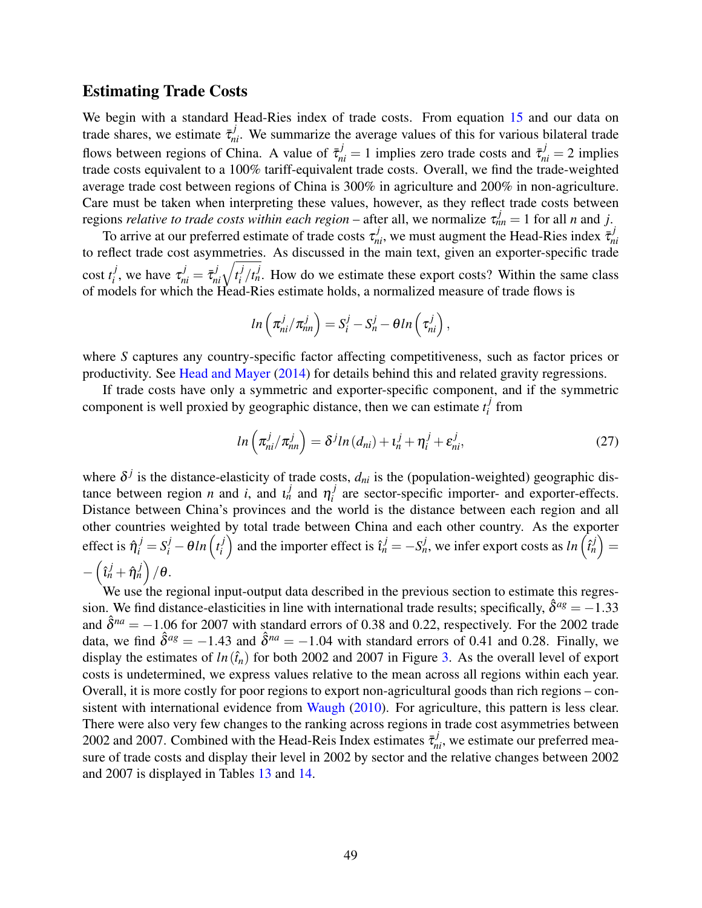#### Estimating Trade Costs

We begin with a standard Head-Ries index of trade costs. From equation [15](#page-26-0) and our data on trade shares, we estimate  $\bar{\tau}_{ni}^j$ . We summarize the average values of this for various bilateral trade flows between regions of China. A value of  $\bar{\tau}_{ni}^j = 1$  implies zero trade costs and  $\bar{\tau}_{ni}^j = 2$  implies trade costs equivalent to a 100% tariff-equivalent trade costs. Overall, we find the trade-weighted average trade cost between regions of China is 300% in agriculture and 200% in non-agriculture. Care must be taken when interpreting these values, however, as they reflect trade costs between regions *relative to trade costs within each region* – after all, we normalize  $\tau_{nn}^j = 1$  for all *n* and *j*.

To arrive at our preferred estimate of trade costs  $\tau_{ni}^j$ , we must augment the Head-Ries index  $\bar{\tau}_{ni}^j$ *ni* to reflect trade cost asymmetries. As discussed in the main text, given an exporter-specific trade cost *t j j*, we have  $\tau_{ni}^j = \bar{\tau}_{ni}^j \sqrt{t_i^j}$  $i / t_n^j$ . How do we estimate these export costs? Within the same class of models for which the Head-Ries estimate holds, a normalized measure of trade flows is

$$
ln\left(\pi_{ni}^j/\pi_{nn}^j\right)=S_i^j-S_n^j-\theta ln\left(\tau_{ni}^j\right),\,
$$

where *S* captures any country-specific factor affecting competitiveness, such as factor prices or productivity. See [Head and Mayer](#page-39-16) [\(2014\)](#page-39-16) for details behind this and related gravity regressions.

If trade costs have only a symmetric and exporter-specific component, and if the symmetric component is well proxied by geographic distance, then we can estimate  $t_i^j$  $\int\limits_i^j$  from

$$
ln\left(\pi_{ni}^j/\pi_{nn}^j\right) = \delta^j ln\left(d_{ni}\right) + \iota_n^j + \eta_i^j + \varepsilon_{ni}^j,\tag{27}
$$

where  $\delta^j$  is the distance-elasticity of trade costs,  $d_{ni}$  is the (population-weighted) geographic distance between region *n* and *i*, and  $i_n^j$  and  $\eta_i^j$  $i$ <sup> $j$ </sup> are sector-specific importer- and exporter-effects. Distance between China's provinces and the world is the distance between each region and all other countries weighted by total trade between China and each other country. As the exporter effect is  $\hat{\eta}_i^j = S_i^j - \theta \ln \left( t_i^j \right)$  $\binom{j}{i}$  and the importer effect is  $\hat{i}^j_n = -S^j_n$ , we infer export costs as  $ln\left(\hat{i}^j_n\right) = 0$  $-\left(\hat{\imath}_{n}^{j}+\hat{\eta}_{n}^{j}\right)/\theta.$ 

We use the regional input-output data described in the previous section to estimate this regression. We find distance-elasticities in line with international trade results; specifically,  $\hat{\delta}^{ag} = -1.33$ and  $\hat{\delta}^{na} = -1.06$  for 2007 with standard errors of 0.38 and 0.22, respectively. For the 2002 trade data, we find  $\hat{\delta}^{ag} = -1.43$  and  $\hat{\delta}^{na} = -1.04$  with standard errors of 0.41 and 0.28. Finally, we display the estimates of  $ln(i<sub>n</sub>)$  for both 2002 and 2007 in Figure [3.](#page-50-0) As the overall level of export costs is undetermined, we express values relative to the mean across all regions within each year. Overall, it is more costly for poor regions to export non-agricultural goods than rich regions – con-sistent with international evidence from [Waugh](#page-40-18)  $(2010)$ . For agriculture, this pattern is less clear. There were also very few changes to the ranking across regions in trade cost asymmetries between 2002 and 2007. Combined with the Head-Reis Index estimates  $\bar{\tau}_{ni}^j$ , we estimate our preferred measure of trade costs and display their level in 2002 by sector and the relative changes between 2002 and 2007 is displayed in Tables [13](#page-50-1) and [14.](#page-51-0)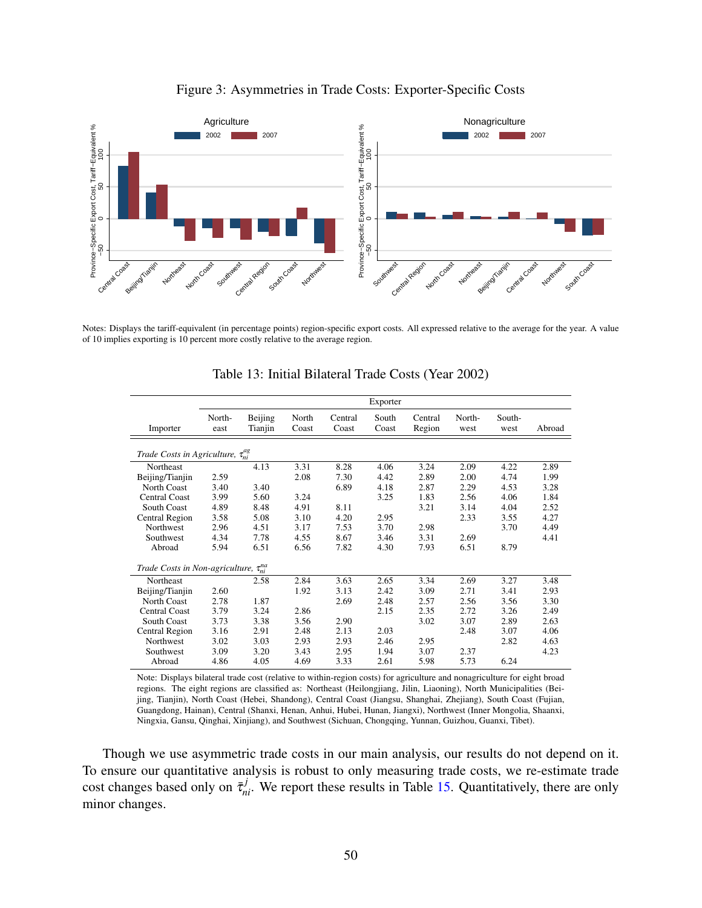<span id="page-50-0"></span>

#### Figure 3: Asymmetries in Trade Costs: Exporter-Specific Costs

<span id="page-50-1"></span>Notes: Displays the tariff-equivalent (in percentage points) region-specific export costs. All expressed relative to the average for the year. A value of 10 implies exporting is 10 percent more costly relative to the average region.

|                                                  |                |                    |                |                  | Exporter       |                   |                |                |        |
|--------------------------------------------------|----------------|--------------------|----------------|------------------|----------------|-------------------|----------------|----------------|--------|
| Importer                                         | North-<br>east | Beijing<br>Tianjin | North<br>Coast | Central<br>Coast | South<br>Coast | Central<br>Region | North-<br>west | South-<br>west | Abroad |
| Trade Costs in Agriculture, $\tau_{ni}^{ag}$     |                |                    |                |                  |                |                   |                |                |        |
| Northeast                                        |                | 4.13               | 3.31           | 8.28             | 4.06           | 3.24              | 2.09           | 4.22           | 2.89   |
| Beijing/Tianjin                                  | 2.59           |                    | 2.08           | 7.30             | 4.42           | 2.89              | 2.00           | 4.74           | 1.99   |
| <b>North Coast</b>                               | 3.40           | 3.40               |                | 6.89             | 4.18           | 2.87              | 2.29           | 4.53           | 3.28   |
| Central Coast                                    | 3.99           | 5.60               | 3.24           |                  | 3.25           | 1.83              | 2.56           | 4.06           | 1.84   |
| <b>South Coast</b>                               | 4.89           | 8.48               | 4.91           | 8.11             |                | 3.21              | 3.14           | 4.04           | 2.52   |
| Central Region                                   | 3.58           | 5.08               | 3.10           | 4.20             | 2.95           |                   | 2.33           | 3.55           | 4.27   |
| <b>Northwest</b>                                 | 2.96           | 4.51               | 3.17           | 7.53             | 3.70           | 2.98              |                | 3.70           | 4.49   |
| Southwest                                        | 4.34           | 7.78               | 4.55           | 8.67             | 3.46           | 3.31              | 2.69           |                | 4.41   |
| Abroad                                           | 5.94           | 6.51               | 6.56           | 7.82             | 4.30           | 7.93              | 6.51           | 8.79           |        |
| Trade Costs in Non-agriculture, $\tau_{ni}^{na}$ |                |                    |                |                  |                |                   |                |                |        |
| Northeast                                        |                | 2.58               | 2.84           | 3.63             | 2.65           | 3.34              | 2.69           | 3.27           | 3.48   |
| Beijing/Tianjin                                  | 2.60           |                    | 1.92           | 3.13             | 2.42           | 3.09              | 2.71           | 3.41           | 2.93   |
| North Coast                                      | 2.78           | 1.87               |                | 2.69             | 2.48           | 2.57              | 2.56           | 3.56           | 3.30   |
| <b>Central Coast</b>                             | 3.79           | 3.24               | 2.86           |                  | 2.15           | 2.35              | 2.72           | 3.26           | 2.49   |
| South Coast                                      | 3.73           | 3.38               | 3.56           | 2.90             |                | 3.02              | 3.07           | 2.89           | 2.63   |
| Central Region                                   | 3.16           | 2.91               | 2.48           | 2.13             | 2.03           |                   | 2.48           | 3.07           | 4.06   |
| Northwest                                        | 3.02           | 3.03               | 2.93           | 2.93             | 2.46           | 2.95              |                | 2.82           | 4.63   |
| Southwest                                        | 3.09           | 3.20               | 3.43           | 2.95             | 1.94           | 3.07              | 2.37           |                | 4.23   |
| Abroad                                           | 4.86           | 4.05               | 4.69           | 3.33             | 2.61           | 5.98              | 5.73           | 6.24           |        |

Table 13: Initial Bilateral Trade Costs (Year 2002)

Note: Displays bilateral trade cost (relative to within-region costs) for agriculture and nonagriculture for eight broad regions. The eight regions are classified as: Northeast (Heilongjiang, Jilin, Liaoning), North Municipalities (Beijing, Tianjin), North Coast (Hebei, Shandong), Central Coast (Jiangsu, Shanghai, Zhejiang), South Coast (Fujian, Guangdong, Hainan), Central (Shanxi, Henan, Anhui, Hubei, Hunan, Jiangxi), Northwest (Inner Mongolia, Shaanxi, Ningxia, Gansu, Qinghai, Xinjiang), and Southwest (Sichuan, Chongqing, Yunnan, Guizhou, Guanxi, Tibet).

Though we use asymmetric trade costs in our main analysis, our results do not depend on it. To ensure our quantitative analysis is robust to only measuring trade costs, we re-estimate trade cost changes based only on  $\bar{\tau}_{ni}^j$ . We report these results in Table [15.](#page-52-0) Quantitatively, there are only minor changes.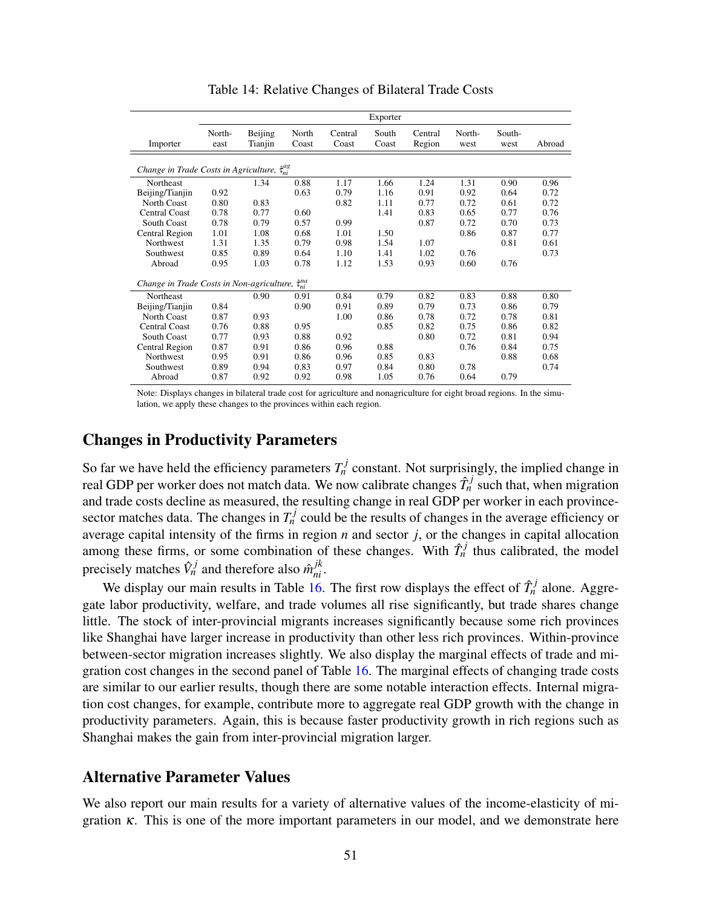<span id="page-51-0"></span>

|                                                              |                |                    |                        |                  | Exporter       |                   |                |                |        |
|--------------------------------------------------------------|----------------|--------------------|------------------------|------------------|----------------|-------------------|----------------|----------------|--------|
| Importer                                                     | North-<br>east | Beijing<br>Tianjin | North<br>Coast         | Central<br>Coast | South<br>Coast | Central<br>Region | North-<br>west | South-<br>west | Abroad |
| Change in Trade Costs in Agriculture, $\hat{\tau}_{ni}^{ag}$ |                |                    |                        |                  |                |                   |                |                |        |
| Northeast                                                    |                | 1.34               | 0.88                   | 1.17             | 1.66           | 1.24              | 1.31           | 0.90           | 0.96   |
| Beijing/Tianjin                                              | 0.92           |                    | 0.63                   | 0.79             | 1.16           | 0.91              | 0.92           | 0.64           | 0.72   |
| North Coast                                                  | 0.80           | 0.83               |                        | 0.82             | 1.11           | 0.77              | 0.72           | 0.61           | 0.72   |
| Central Coast                                                | 0.78           | 0.77               | 0.60                   |                  | 1.41           | 0.83              | 0.65           | 0.77           | 0.76   |
| <b>South Coast</b>                                           | 0.78           | 0.79               | 0.57                   | 0.99             |                | 0.87              | 0.72           | 0.70           | 0.73   |
| Central Region                                               | 1.01           | 1.08               | 0.68                   | 1.01             | 1.50           |                   | 0.86           | 0.87           | 0.77   |
| <b>Northwest</b>                                             | 1.31           | 1.35               | 0.79                   | 0.98             | 1.54           | 1.07              |                | 0.81           | 0.61   |
| Southwest                                                    | 0.85           | 0.89               | 0.64                   | 1.10             | 1.41           | 1.02              | 0.76           |                | 0.73   |
| Abroad                                                       | 0.95           | 1.03               | 0.78                   | 1.12             | 1.53           | 0.93              | 0.60           | 0.76           |        |
| Change in Trade Costs in Non-agriculture,                    |                |                    | $\hat{\tau}^{na}_{ni}$ |                  |                |                   |                |                |        |
| Northeast                                                    |                | 0.90               | 0.91                   | 0.84             | 0.79           | 0.82              | 0.83           | 0.88           | 0.80   |
| Beijing/Tianjin                                              | 0.84           |                    | 0.90                   | 0.91             | 0.89           | 0.79              | 0.73           | 0.86           | 0.79   |
| North Coast                                                  | 0.87           | 0.93               |                        | 1.00             | 0.86           | 0.78              | 0.72           | 0.78           | 0.81   |
| <b>Central Coast</b>                                         | 0.76           | 0.88               | 0.95                   |                  | 0.85           | 0.82              | 0.75           | 0.86           | 0.82   |
| <b>South Coast</b>                                           | 0.77           | 0.93               | 0.88                   | 0.92             |                | 0.80              | 0.72           | 0.81           | 0.94   |
| Central Region                                               | 0.87           | 0.91               | 0.86                   | 0.96             | 0.88           |                   | 0.76           | 0.84           | 0.75   |
| Northwest                                                    | 0.95           | 0.91               | 0.86                   | 0.96             | 0.85           | 0.83              |                | 0.88           | 0.68   |
| Southwest                                                    | 0.89           | 0.94               | 0.83                   | 0.97             | 0.84           | 0.80              | 0.78           |                | 0.74   |
| Abroad                                                       | 0.87           | 0.92               | 0.92                   | 0.98             | 1.05           | 0.76              | 0.64           | 0.79           |        |

Table 14: Relative Changes of Bilateral Trade Costs

Note: Displays changes in bilateral trade cost for agriculture and nonagriculture for eight broad regions. In the simulation, we apply these changes to the provinces within each region.

## Changes in Productivity Parameters

So far we have held the efficiency parameters  $T_n^j$  constant. Not surprisingly, the implied change in real GDP per worker does not match data. We now calibrate changes  $\hat{T}_n^j$  such that, when migration and trade costs decline as measured, the resulting change in real GDP per worker in each provincesector matches data. The changes in  $T_n^j$  could be the results of changes in the average efficiency or average capital intensity of the firms in region *n* and sector *j*, or the changes in capital allocation among these firms, or some combination of these changes. With  $\hat{T}_n^j$  thus calibrated, the model precisely matches  $\hat{V}_n^j$  and therefore also  $\hat{m}_{ni}^{jk}$ .

We display our main results in Table  $\overline{16}$ . The first row displays the effect of  $\hat{T}_n^j$  alone. Aggregate labor productivity, welfare, and trade volumes all rise significantly, but trade shares change little. The stock of inter-provincial migrants increases significantly because some rich provinces like Shanghai have larger increase in productivity than other less rich provinces. Within-province between-sector migration increases slightly. We also display the marginal effects of trade and migration cost changes in the second panel of Table [16.](#page-53-0) The marginal effects of changing trade costs are similar to our earlier results, though there are some notable interaction effects. Internal migration cost changes, for example, contribute more to aggregate real GDP growth with the change in productivity parameters. Again, this is because faster productivity growth in rich regions such as Shanghai makes the gain from inter-provincial migration larger.

## Alternative Parameter Values

We also report our main results for a variety of alternative values of the income-elasticity of migration  $\kappa$ . This is one of the more important parameters in our model, and we demonstrate here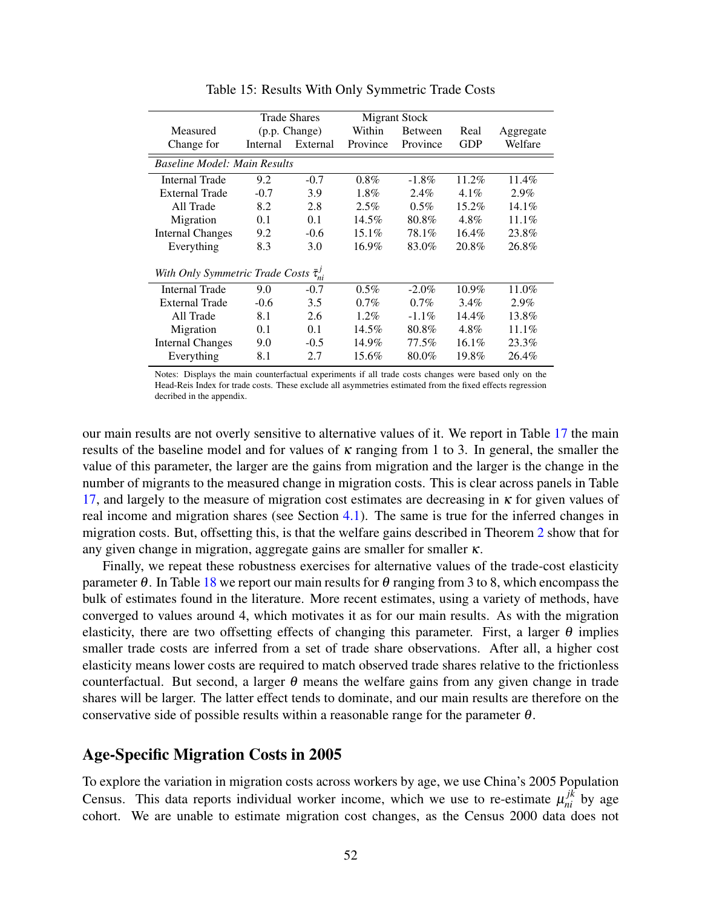<span id="page-52-0"></span>

|                                     |               | <b>Trade Shares</b> |          | Migrant Stock |          |           |
|-------------------------------------|---------------|---------------------|----------|---------------|----------|-----------|
| Measured                            | (p.p. Change) |                     | Within   | Between       |          | Aggregate |
| Change for                          | Internal      | External            | Province | Province      | GDP      | Welfare   |
| <b>Baseline Model: Main Results</b> |               |                     |          |               |          |           |
| <b>Internal Trade</b>               | 9.2           | $-0.7$              | $0.8\%$  | $-1.8\%$      | $11.2\%$ | $11.4\%$  |
| <b>External Trade</b>               | $-0.7$        | 3.9                 | $1.8\%$  | $2.4\%$       | $4.1\%$  | $2.9\%$   |
| All Trade                           | 8.2           | 2.8                 | 2.5%     | $0.5\%$       | $15.2\%$ | $14.1\%$  |
| Migration                           | 0.1           | 0.1                 | $14.5\%$ | 80.8%         | $4.8\%$  | $11.1\%$  |
| <b>Internal Changes</b>             | 9.2           | $-0.6$              | $15.1\%$ | 78.1%         | $16.4\%$ | 23.8%     |
| Everything                          | 8.3           | 3.0                 | $16.9\%$ | 83.0%         | 20.8%    | 26.8%     |
| With Only Symmetric Trade Costs     |               | $\bar{\tau}_{ni}^J$ |          |               |          |           |
| <b>Internal Trade</b>               | 9.0           | $-0.7$              | $0.5\%$  | $-2.0\%$      | $10.9\%$ | 11.0%     |
| <b>External Trade</b>               | $-0.6$        | 3.5                 | $0.7\%$  | $0.7\%$       | $3.4\%$  | $2.9\%$   |
| All Trade                           | 8.1           | 2.6                 | $1.2\%$  | $-1.1\%$      | $14.4\%$ | 13.8%     |
| Migration                           | 0.1           | 0.1                 | $14.5\%$ | 80.8%         | 4.8%     | $11.1\%$  |
| <b>Internal Changes</b>             | 9.0           | $-0.5$              | 14.9%    | 77.5%         | $16.1\%$ | 23.3%     |
| Everything                          | 8.1           | 2.7                 | 15.6%    | 80.0%         | 19.8%    | 26.4%     |

Table 15: Results With Only Symmetric Trade Costs

Notes: Displays the main counterfactual experiments if all trade costs changes were based only on the Head-Reis Index for trade costs. These exclude all asymmetries estimated from the fixed effects regression decribed in the appendix.

our main results are not overly sensitive to alternative values of it. We report in Table [17](#page-54-0) the main results of the baseline model and for values of  $\kappa$  ranging from 1 to 3. In general, the smaller the value of this parameter, the larger are the gains from migration and the larger is the change in the number of migrants to the measured change in migration costs. This is clear across panels in Table [17,](#page-54-0) and largely to the measure of migration cost estimates are decreasing in  $\kappa$  for given values of real income and migration shares (see Section [4.1\)](#page-23-0). The same is true for the inferred changes in migration costs. But, offsetting this, is that the welfare gains described in Theorem [2](#page-18-0) show that for any given change in migration, aggregate gains are smaller for smaller  $\kappa$ .

Finally, we repeat these robustness exercises for alternative values of the trade-cost elasticity parameter θ. In Table [18](#page-55-0) we report our main results for θ ranging from 3 to 8, which encompass the bulk of estimates found in the literature. More recent estimates, using a variety of methods, have converged to values around 4, which motivates it as for our main results. As with the migration elasticity, there are two offsetting effects of changing this parameter. First, a larger  $\theta$  implies smaller trade costs are inferred from a set of trade share observations. After all, a higher cost elasticity means lower costs are required to match observed trade shares relative to the frictionless counterfactual. But second, a larger  $\theta$  means the welfare gains from any given change in trade shares will be larger. The latter effect tends to dominate, and our main results are therefore on the conservative side of possible results within a reasonable range for the parameter  $\theta$ .

### Age-Specific Migration Costs in 2005

To explore the variation in migration costs across workers by age, we use China's 2005 Population Census. This data reports individual worker income, which we use to re-estimate  $\mu_{ni}^{jk}$  by age cohort. We are unable to estimate migration cost changes, as the Census 2000 data does not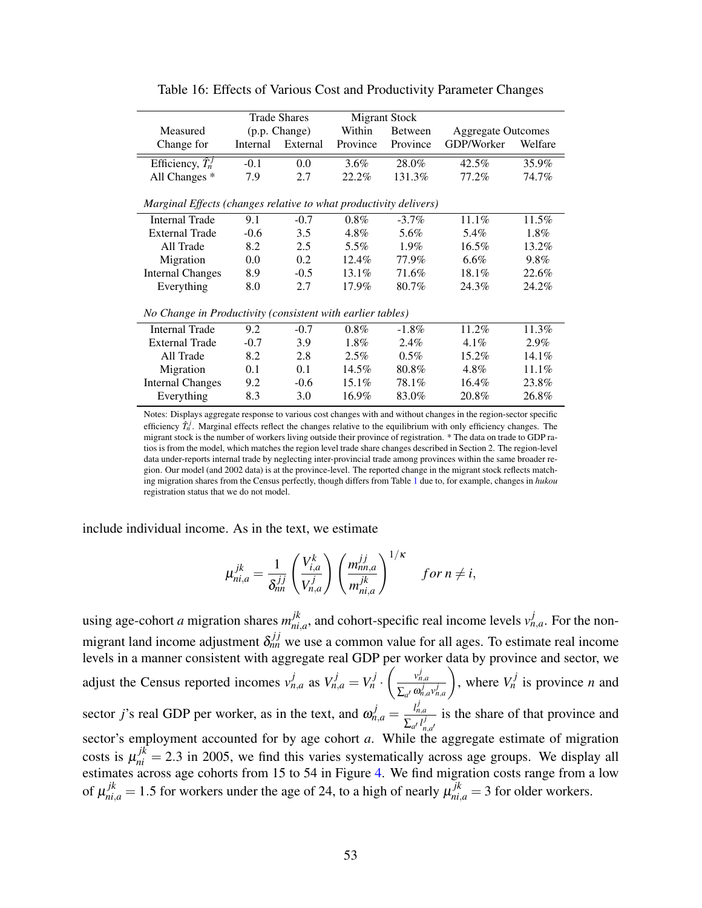<span id="page-53-0"></span>

|                                                                   |          | <b>Trade Shares</b> |          | <b>Migrant Stock</b> |                           |          |
|-------------------------------------------------------------------|----------|---------------------|----------|----------------------|---------------------------|----------|
| Measured                                                          |          | (p.p. Change)       | Within   | <b>Between</b>       | <b>Aggregate Outcomes</b> |          |
| Change for                                                        | Internal | External            | Province | Province             | GDP/Worker                | Welfare  |
| Efficiency, $\hat{T}_n^J$                                         | $-0.1$   | 0.0                 | $3.6\%$  | 28.0%                | 42.5%                     | 35.9%    |
| All Changes *                                                     | 7.9      | 2.7                 | 22.2%    | 131.3%               | 77.2%                     | 74.7%    |
| Marginal Effects (changes relative to what productivity delivers) |          |                     |          |                      |                           |          |
| <b>Internal Trade</b>                                             | 9.1      | $-0.7$              | $0.8\%$  | $-3.7\%$             | 11.1%                     | 11.5%    |
| <b>External Trade</b>                                             | $-0.6$   | 3.5                 | 4.8%     | 5.6%                 | 5.4%                      | 1.8%     |
| All Trade                                                         | 8.2      | 2.5                 | 5.5%     | $1.9\%$              | $16.5\%$                  | $13.2\%$ |
| Migration                                                         | 0.0      | 0.2                 | $12.4\%$ | 77.9%                | $6.6\%$                   | 9.8%     |
| <b>Internal Changes</b>                                           | 8.9      | $-0.5$              | 13.1%    | 71.6%                | 18.1%                     | 22.6%    |
| Everything                                                        | 8.0      | 2.7                 | 17.9%    | 80.7%                | 24.3%                     | 24.2%    |
| No Change in Productivity (consistent with earlier tables)        |          |                     |          |                      |                           |          |
| <b>Internal Trade</b>                                             | 9.2      | $-0.7$              | $0.8\%$  | $-1.8\%$             | 11.2%                     | 11.3%    |
| <b>External Trade</b>                                             | $-0.7$   | 3.9                 | $1.8\%$  | $2.4\%$              | $4.1\%$                   | 2.9%     |
| All Trade                                                         | 8.2      | 2.8                 | $2.5\%$  | $0.5\%$              | 15.2%                     | 14.1%    |
| Migration                                                         | 0.1      | 0.1                 | 14.5%    | 80.8%                | $4.8\%$                   | 11.1%    |
| <b>Internal Changes</b>                                           | 9.2      | $-0.6$              | $15.1\%$ | 78.1%                | 16.4%                     | 23.8%    |
| Everything                                                        | 8.3      | 3.0                 | 16.9%    | 83.0%                | 20.8%                     | 26.8%    |

Table 16: Effects of Various Cost and Productivity Parameter Changes

Notes: Displays aggregate response to various cost changes with and without changes in the region-sector specific efficiency  $\hat{T}_n^j$ . Marginal effects reflect the changes relative to the equilibrium with only efficiency changes. The migrant stock is the number of workers living outside their province of registration. \* The data on trade to GDP ratios is from the model, which matches the region level trade share changes described in Section 2. The region-level data under-reports internal trade by neglecting inter-provincial trade among provinces within the same broader region. Our model (and 2002 data) is at the province-level. The reported change in the migrant stock reflects matching migration shares from the Census perfectly, though differs from Table [1](#page-8-0) due to, for example, changes in *hukou* registration status that we do not model.

include individual income. As in the text, we estimate

$$
\mu_{ni,a}^{jk} = \frac{1}{\delta_{nn}^{jj}} \left( \frac{V_{i,a}^k}{V_{n,a}^j} \right) \left( \frac{m_{nn,a}^{jj}}{m_{ni,a}^{jk}} \right)^{1/\kappa} \quad \text{for } n \neq i,
$$

using age-cohort *a* migration shares  $m_{ni}^{jk}$  $j_{ni,a}^k$ , and cohort-specific real income levels  $v_{n,a}^j$ . For the nonmigrant land income adjustment  $\delta_{nn}^{jj}$  we use a common value for all ages. To estimate real income levels in a manner consistent with aggregate real GDP per worker data by province and sector, we adjust the Census reported incomes  $v_{n,a}^j$  as  $V_{n,a}^j = V_n^j$ .  $\int v_{n,a}^j$  $\sum_{a'} \omega_{n,a}^j v_{n,a}^j$  $\setminus$ , where  $V_n^j$  is province *n* and sector *j*'s real GDP per worker, as in the text, and  $\omega_{n,a}^j = \frac{l_{n,a}^j}{\sum_{j}l_{n,a}^j}$  $\sum_{a'} l_n^j$  $\frac{a}{j}$  is the share of that province and sector's employment accounted for by age cohort  $a$ . While the aggregate estimate of migration costs is  $\mu_{ni}^{jk} = 2.3$  in 2005, we find this varies systematically across age groups. We display all estimates across age cohorts from 15 to 54 in Figure [4.](#page-56-0) We find migration costs range from a low of  $\mu_{ni,a}^{jk} = 1.5$  for workers under the age of 24, to a high of nearly  $\mu_{ni,a}^{jk} = 3$  for older workers.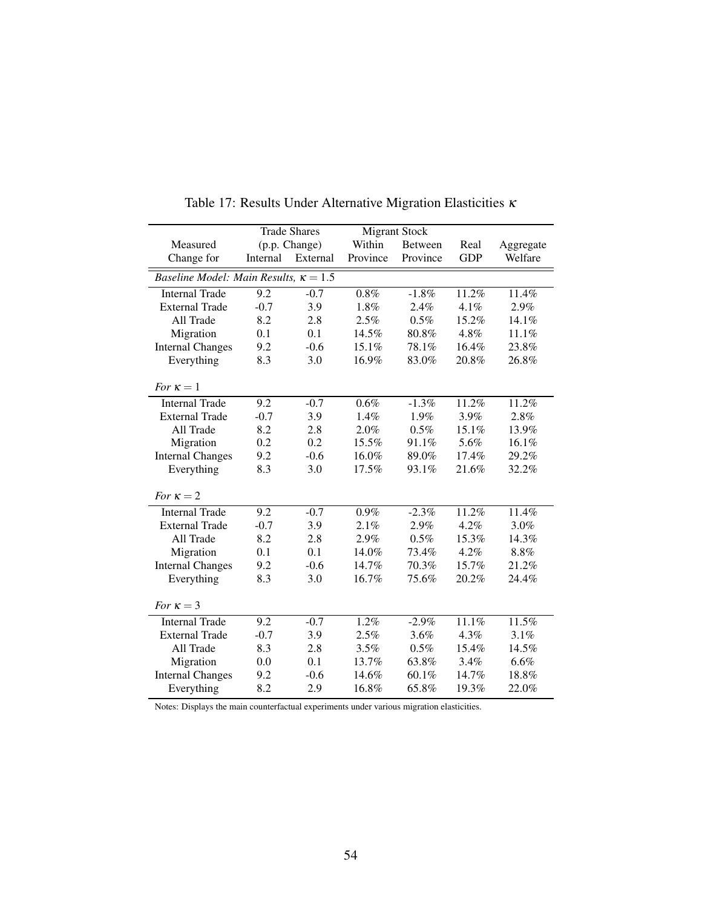<span id="page-54-0"></span>

|                                              |          | <b>Trade Shares</b> |          | <b>Migrant Stock</b> |            |           |
|----------------------------------------------|----------|---------------------|----------|----------------------|------------|-----------|
| Measured                                     |          | (p.p. Change)       | Within   | Between              | Real       | Aggregate |
| Change for                                   | Internal | External            | Province | Province             | <b>GDP</b> | Welfare   |
| Baseline Model: Main Results, $\kappa = 1.5$ |          |                     |          |                      |            |           |
| <b>Internal Trade</b>                        | 9.2      | $-0.7$              | 0.8%     | $-1.8\%$             | 11.2%      | 11.4%     |
| <b>External Trade</b>                        | $-0.7$   | 3.9                 | 1.8%     | 2.4%                 | 4.1%       | 2.9%      |
| All Trade                                    | 8.2      | 2.8                 | 2.5%     | $0.5\%$              | 15.2%      | 14.1%     |
| Migration                                    | 0.1      | 0.1                 | 14.5%    | 80.8%                | 4.8%       | 11.1%     |
| <b>Internal Changes</b>                      | 9.2      | $-0.6$              | 15.1%    | 78.1%                | 16.4%      | 23.8%     |
| Everything                                   | 8.3      | 3.0                 | 16.9%    | 83.0%                | 20.8%      | 26.8%     |
|                                              |          |                     |          |                      |            |           |
| For $\kappa = 1$                             |          |                     |          |                      |            |           |
| <b>Internal Trade</b>                        | 9.2      | $-0.7$              | 0.6%     | $-1.3%$              | 11.2%      | 11.2%     |
| <b>External Trade</b>                        | $-0.7$   | 3.9                 | 1.4%     | 1.9%                 | 3.9%       | 2.8%      |
| All Trade                                    | 8.2      | 2.8                 | 2.0%     | 0.5%                 | 15.1%      | 13.9%     |
| Migration                                    | 0.2      | 0.2                 | 15.5%    | 91.1%                | 5.6%       | 16.1%     |
| <b>Internal Changes</b>                      | 9.2      | $-0.6$              | 16.0%    | 89.0%                | 17.4%      | 29.2%     |
| Everything                                   | 8.3      | 3.0                 | 17.5%    | 93.1%                | 21.6%      | 32.2%     |
| For $\kappa = 2$                             |          |                     |          |                      |            |           |
| <b>Internal Trade</b>                        | 9.2      | $-0.7$              | 0.9%     | $-2.3%$              | 11.2%      | 11.4%     |
| <b>External Trade</b>                        | $-0.7$   | 3.9                 | 2.1%     | 2.9%                 | 4.2%       | 3.0%      |
| All Trade                                    | 8.2      | 2.8                 | 2.9%     | 0.5%                 | 15.3%      | 14.3%     |
| Migration                                    | 0.1      | 0.1                 | 14.0%    | 73.4%                | 4.2%       | 8.8%      |
| <b>Internal Changes</b>                      | 9.2      | $-0.6$              | 14.7%    | 70.3%                | 15.7%      | 21.2%     |
| Everything                                   | 8.3      | 3.0                 | 16.7%    | 75.6%                | 20.2%      | 24.4%     |
|                                              |          |                     |          |                      |            |           |
| For $\kappa = 3$                             |          |                     |          |                      |            |           |
| <b>Internal Trade</b>                        | 9.2      | $-0.7$              | 1.2%     | $-2.9%$              | 11.1%      | 11.5%     |
| <b>External Trade</b>                        | $-0.7$   | 3.9                 | 2.5%     | 3.6%                 | 4.3%       | 3.1%      |
| All Trade                                    | 8.3      | 2.8                 | 3.5%     | 0.5%                 | 15.4%      | 14.5%     |
| Migration                                    | 0.0      | 0.1                 | 13.7%    | 63.8%                | 3.4%       | 6.6%      |
| <b>Internal Changes</b>                      | 9.2      | $-0.6$              | 14.6%    | 60.1%                | 14.7%      | 18.8%     |
| Everything                                   | 8.2      | 2.9                 | 16.8%    | 65.8%                | 19.3%      | 22.0%     |

Table 17: Results Under Alternative Migration Elasticities κ

Notes: Displays the main counterfactual experiments under various migration elasticities.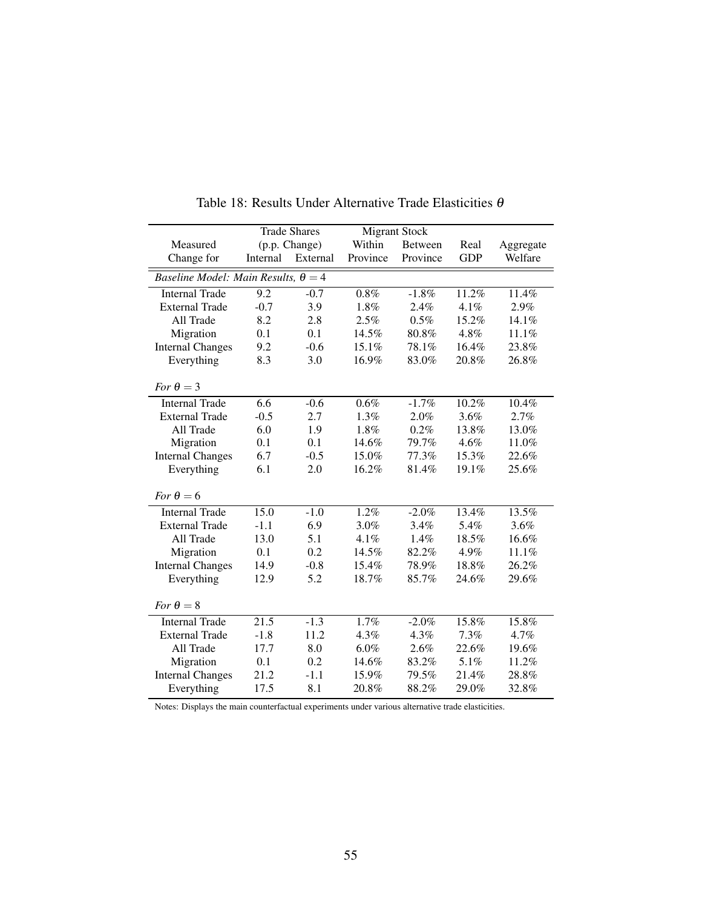<span id="page-55-0"></span>

|                                            |          | <b>Trade Shares</b> |          | <b>Migrant Stock</b> |            |           |
|--------------------------------------------|----------|---------------------|----------|----------------------|------------|-----------|
| Measured                                   |          | (p.p. Change)       | Within   | Between              | Real       | Aggregate |
| Change for                                 | Internal | External            | Province | Province             | <b>GDP</b> | Welfare   |
| Baseline Model: Main Results, $\theta = 4$ |          |                     |          |                      |            |           |
| <b>Internal Trade</b>                      | 9.2      | $-0.7$              | $0.8\%$  | $-1.8\%$             | 11.2%      | 11.4%     |
| <b>External Trade</b>                      | $-0.7$   | 3.9                 | 1.8%     | 2.4%                 | 4.1%       | 2.9%      |
| All Trade                                  | 8.2      | 2.8                 | 2.5%     | 0.5%                 | 15.2%      | 14.1%     |
| Migration                                  | 0.1      | 0.1                 | 14.5%    | 80.8%                | 4.8%       | 11.1%     |
| <b>Internal Changes</b>                    | 9.2      | $-0.6$              | 15.1%    | 78.1%                | 16.4%      | 23.8%     |
| Everything                                 | 8.3      | 3.0                 | 16.9%    | 83.0%                | 20.8%      | 26.8%     |
| For $\theta = 3$                           |          |                     |          |                      |            |           |
| <b>Internal Trade</b>                      | 6.6      | $-0.6$              | 0.6%     | $-1.7%$              | 10.2%      | 10.4%     |
| <b>External Trade</b>                      | $-0.5$   | 2.7                 | 1.3%     | 2.0%                 | 3.6%       | 2.7%      |
| All Trade                                  | 6.0      | 1.9                 | 1.8%     | 0.2%                 | 13.8%      | 13.0%     |
| Migration                                  | 0.1      | 0.1                 | 14.6%    | 79.7%                | 4.6%       | 11.0%     |
| <b>Internal Changes</b>                    | 6.7      | $-0.5$              | 15.0%    | 77.3%                | 15.3%      | 22.6%     |
| Everything                                 | 6.1      | 2.0                 | 16.2%    | 81.4%                | 19.1%      | 25.6%     |
|                                            |          |                     |          |                      |            |           |
| For $\theta = 6$                           |          |                     |          |                      |            |           |
| <b>Internal Trade</b>                      | 15.0     | $-1.0$              | 1.2%     | $-2.0%$              | 13.4%      | 13.5%     |
| <b>External Trade</b>                      | $-1.1$   | 6.9                 | 3.0%     | 3.4%                 | 5.4%       | 3.6%      |
| All Trade                                  | 13.0     | 5.1                 | 4.1%     | 1.4%                 | 18.5%      | 16.6%     |
| Migration                                  | 0.1      | 0.2                 | 14.5%    | 82.2%                | 4.9%       | 11.1%     |
| <b>Internal Changes</b>                    | 14.9     | $-0.8$              | 15.4%    | 78.9%                | 18.8%      | 26.2%     |
| Everything                                 | 12.9     | 5.2                 | 18.7%    | 85.7%                | 24.6%      | 29.6%     |
| For $\theta = 8$                           |          |                     |          |                      |            |           |
| <b>Internal Trade</b>                      | 21.5     | $-1.3$              | 1.7%     | $-2.0\%$             | 15.8%      | 15.8%     |
| <b>External Trade</b>                      | $-1.8$   | 11.2                | 4.3%     | 4.3%                 | 7.3%       | 4.7%      |
| All Trade                                  | 17.7     | 8.0                 | 6.0%     | 2.6%                 | 22.6%      | 19.6%     |
| Migration                                  | 0.1      | 0.2                 | 14.6%    | 83.2%                | 5.1%       | 11.2%     |
| <b>Internal Changes</b>                    | 21.2     | $-1.1$              | 15.9%    | 79.5%                | 21.4%      | 28.8%     |
| Everything                                 | 17.5     | 8.1                 | 20.8%    | 88.2%                | 29.0%      | 32.8%     |

Table 18: Results Under Alternative Trade Elasticities θ

Notes: Displays the main counterfactual experiments under various alternative trade elasticities.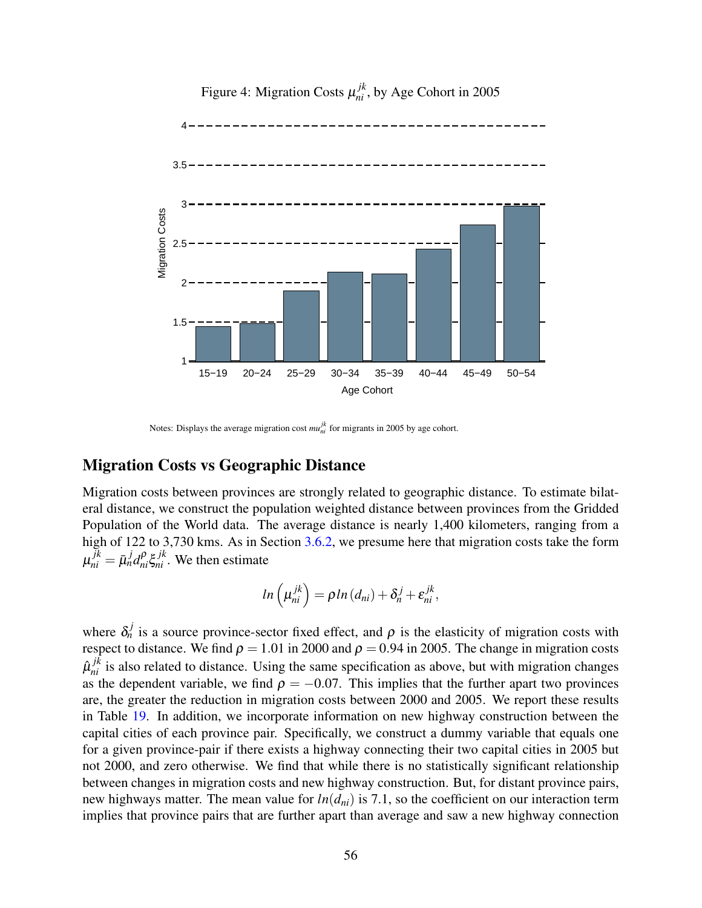<span id="page-56-0"></span>

Figure 4: Migration Costs  $\mu_{ni}^{jk}$ , by Age Cohort in 2005

Notes: Displays the average migration cost  $mu_{ni}^{jk}$  for migrants in 2005 by age cohort.

## Migration Costs vs Geographic Distance

Migration costs between provinces are strongly related to geographic distance. To estimate bilateral distance, we construct the population weighted distance between provinces from the Gridded Population of the World data. The average distance is nearly 1,400 kilometers, ranging from a high of 122 to 3,730 kms. As in Section [3.6.2,](#page-20-1) we presume here that migration costs take the form  $\mu_{ni}^{jk} = \bar{\mu}_n^j d_{ni}^\rho \xi_{ni}^{jk}$ . We then estimate

$$
ln\left(\mu_{ni}^{jk}\right) = \rho ln\left(d_{ni}\right) + \delta_n^j + \varepsilon_{ni}^{jk},
$$

where  $\delta_n^j$  is a source province-sector fixed effect, and  $\rho$  is the elasticity of migration costs with respect to distance. We find  $\rho = 1.01$  in 2000 and  $\rho = 0.94$  in 2005. The change in migration costs  $\hat{\mu}_{ni}^{jk}$  is also related to distance. Using the same specification as above, but with migration changes as the dependent variable, we find  $\rho = -0.07$ . This implies that the further apart two provinces are, the greater the reduction in migration costs between 2000 and 2005. We report these results in Table [19.](#page-57-0) In addition, we incorporate information on new highway construction between the capital cities of each province pair. Specifically, we construct a dummy variable that equals one for a given province-pair if there exists a highway connecting their two capital cities in 2005 but not 2000, and zero otherwise. We find that while there is no statistically significant relationship between changes in migration costs and new highway construction. But, for distant province pairs, new highways matter. The mean value for  $ln(d_{ni})$  is 7.1, so the coefficient on our interaction term implies that province pairs that are further apart than average and saw a new highway connection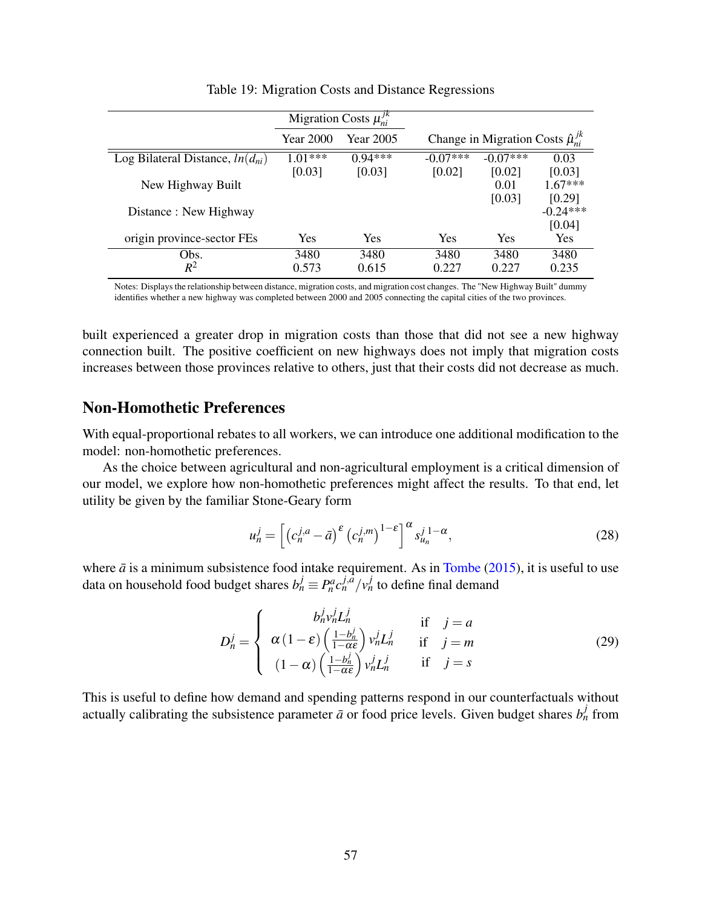<span id="page-57-0"></span>

|                                      |                                                                                   | Migration Costs $\mu_{ni}^{JK}$ |            |            |            |
|--------------------------------------|-----------------------------------------------------------------------------------|---------------------------------|------------|------------|------------|
|                                      | Change in Migration Costs $\hat{\mu}_{ni}^{j,k}$<br>Year 2000<br><b>Year 2005</b> |                                 |            |            |            |
| Log Bilateral Distance, $ln(d_{ni})$ | $1.01***$                                                                         | $0.94***$                       | $-0.07***$ | $-0.07***$ | 0.03       |
|                                      | [0.03]                                                                            | [0.03]                          | [0.02]     | [0.02]     | [0.03]     |
| New Highway Built                    |                                                                                   |                                 |            | 0.01       | $1.67***$  |
|                                      |                                                                                   |                                 |            | [0.03]     | [0.29]     |
| Distance : New Highway               |                                                                                   |                                 |            |            | $-0.24***$ |
|                                      |                                                                                   |                                 |            |            | [0.04]     |
| origin province-sector FEs           | Yes                                                                               | <b>Yes</b>                      | Yes        | Yes        | <b>Yes</b> |
| Obs.                                 | 3480                                                                              | 3480                            | 3480       | 3480       | 3480       |
| $R^2$                                | 0.573                                                                             | 0.615                           | 0.227      | 0.227      | 0.235      |

Table 19: Migration Costs and Distance Regressions

Notes: Displays the relationship between distance, migration costs, and migration cost changes. The "New Highway Built" dummy identifies whether a new highway was completed between 2000 and 2005 connecting the capital cities of the two provinces.

built experienced a greater drop in migration costs than those that did not see a new highway connection built. The positive coefficient on new highways does not imply that migration costs increases between those provinces relative to others, just that their costs did not decrease as much.

## Non-Homothetic Preferences

With equal-proportional rebates to all workers, we can introduce one additional modification to the model: non-homothetic preferences.

As the choice between agricultural and non-agricultural employment is a critical dimension of our model, we explore how non-homothetic preferences might affect the results. To that end, let utility be given by the familiar Stone-Geary form

$$
u_n^j = \left[ \left( c_n^{j,a} - \bar{a} \right)^\varepsilon \left( c_n^{j,m} \right)^{1-\varepsilon} \right]^\alpha s_{u_n}^{j,1-\alpha},\tag{28}
$$

where  $\bar{a}$  is a minimum subsistence food intake requirement. As in [Tombe](#page-40-16) [\(2015\)](#page-40-16), it is useful to use data on household food budget shares  $b_n^j \equiv P_n^a c_n^{j,\hat{a}} / v_n^j$  to define final demand

$$
D_n^j = \begin{cases} b_n^j v_n^j L_n^j & \text{if } j = a\\ \alpha (1 - \varepsilon) \left( \frac{1 - b_n^j}{1 - \alpha \varepsilon} \right) v_n^j L_n^j & \text{if } j = m\\ (1 - \alpha) \left( \frac{1 - b_n^j}{1 - \alpha \varepsilon} \right) v_n^j L_n^j & \text{if } j = s \end{cases}
$$
(29)

This is useful to define how demand and spending patterns respond in our counterfactuals without actually calibrating the subsistence parameter  $\vec{a}$  or food price levels. Given budget shares  $b_n^j$  from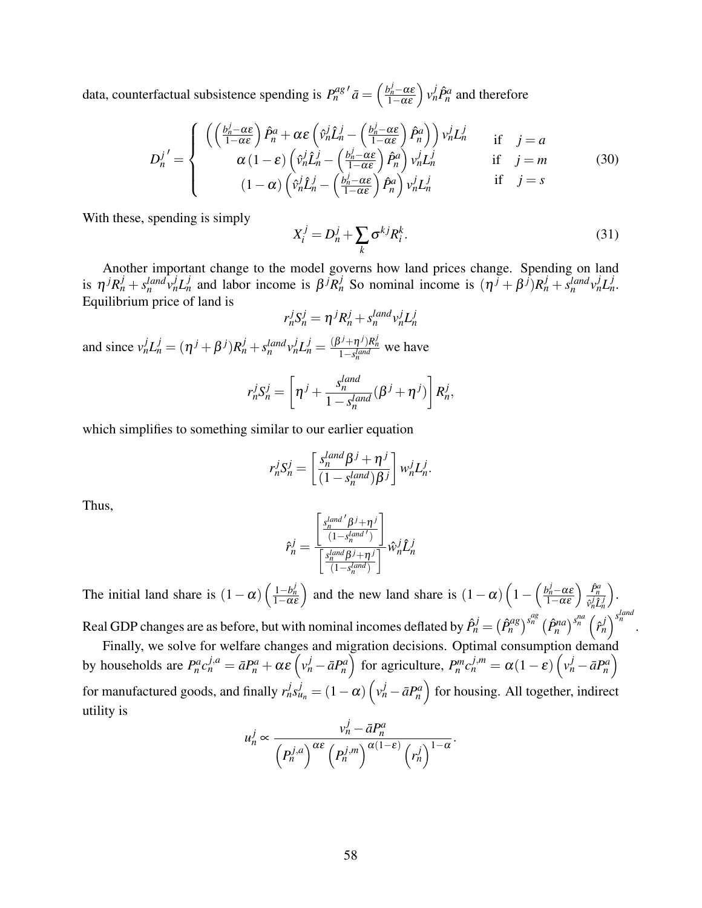data, counterfactual subsistence spending is  $P_n^{ag}$  $\int d\vec{a} = \left(\frac{b_n^j - \alpha \varepsilon}{1 - \alpha \varepsilon}\right) v_n^j \hat{P}_n^a$  and therefore

$$
D_{n}^{j'} = \begin{cases} \left( \left( \frac{b_{n}^{j} - \alpha \varepsilon}{1 - \alpha \varepsilon} \right) \hat{P}_{n}^{a} + \alpha \varepsilon \left( \hat{v}_{n}^{j} \hat{L}_{n}^{j} - \left( \frac{b_{n}^{j} - \alpha \varepsilon}{1 - \alpha \varepsilon} \right) \hat{P}_{n}^{a} \right) \right) v_{n}^{j} L_{n}^{j} & \text{if } j = a \\ \alpha \left( 1 - \varepsilon \right) \left( \hat{v}_{n}^{j} \hat{L}_{n}^{j} - \left( \frac{b_{n}^{j} - \alpha \varepsilon}{1 - \alpha \varepsilon} \right) \hat{P}_{n}^{a} \right) v_{n}^{j} L_{n}^{j} & \text{if } j = m \\ \left( 1 - \alpha \right) \left( \hat{v}_{n}^{j} \hat{L}_{n}^{j} - \left( \frac{b_{n}^{j} - \alpha \varepsilon}{1 - \alpha \varepsilon} \right) \hat{P}_{n}^{a} \right) v_{n}^{j} L_{n}^{j} & \text{if } j = s \end{cases} \tag{30}
$$

With these, spending is simply

$$
X_i^j = D_n^j + \sum_k \sigma^{kj} R_i^k.
$$
\n(31)

Another important change to the model governs how land prices change. Spending on land is  $\eta^{j}R_n^j + s_n^{land}v_n^jL_n^j$  and labor income is  $\beta^{j}R_n^j$  So nominal income is  $(\eta^{j} + \beta^{j})R_n^j + s_n^{land}v_n^jL_n^j$ . Equilibrium price of land is

$$
r_n^j S_n^j = \eta^j R_n^j + s_n^{land} v_n^j L_n^j
$$

and since  $v_n^j L_n^j = (\eta^j + \beta^j) R_n^j + s_n^{land} v_n^j L_n^j = \frac{(\beta^j + \eta^j) R_n^j}{1 - s_n^{land}}$  we have

$$
r_n^j S_n^j = \left[ \eta^j + \frac{s_n^{land}}{1 - s_n^{land}} (\beta^j + \eta^j) \right] R_n^j,
$$

which simplifies to something similar to our earlier equation

$$
r_n^j S_n^j = \left[ \frac{s_n^{land} \beta^j + \eta^j}{(1 - s_n^{land}) \beta^j} \right] w_n^j L_n^j.
$$

Thus,

$$
\hat{r}_n^j = \frac{\begin{bmatrix} s_n^{land'} \beta^j + \eta^j \\ \frac{1 - s_n^{land'}}{1} \end{bmatrix}}{\begin{bmatrix} s_n^{land} \beta^j + \eta^j \\ \frac{1 - s_n^{land}}{1} \end{bmatrix}} \hat{w}_n^j \hat{L}_n^j
$$

The initial land share is  $(1 - \alpha) \left( \frac{1 - b_n^j}{1 - \alpha \varepsilon} \right)$  and the new land share is  $(1 - \alpha) \left( 1 - \left( \frac{b_n^j - \alpha \varepsilon}{1 - \alpha \varepsilon} \right) \frac{\hat{P}_n^a}{\hat{p}_n^j \hat{L}} \right)$  $\overline{\hat{v}_n^j \hat{L}_n^j}$ .

Real GDP changes are as before, but with nominal incomes deflated by  $\hat{P}_n^j = (\hat{P}_n^{ag})^{s_n^{ag}} (\hat{P}_n^{na})^{s_n^{na}} (\hat{r}_n^j)^{s_n^{land}}$ .

Finally, we solve for welfare changes and migration decisions. Optimal consumption demand by households are  $P_n^a c_n^{j,a} = \bar{a}P_n^a + \alpha \varepsilon \left( v_n^j - \bar{a}P_n^a \right)$  for agriculture,  $P_n^m c_n^{j,m} = \alpha (1 - \varepsilon) \left( v_n^j - \bar{a}P_n^a \right)$ for manufactured goods, and finally  $r_n^j s_{u_n}^j = (1 - \alpha) \left( v_n^j - \bar{a} P_n^a \right)$  for housing. All together, indirect utility is

$$
u_n^j \propto \frac{v_n^j - \bar{a}P_n^a}{\left(P_n^{j,a}\right)^{\alpha \varepsilon} \left(P_n^{j,m}\right)^{\alpha(1-\varepsilon)} \left(r_n^j\right)^{1-\alpha}}.
$$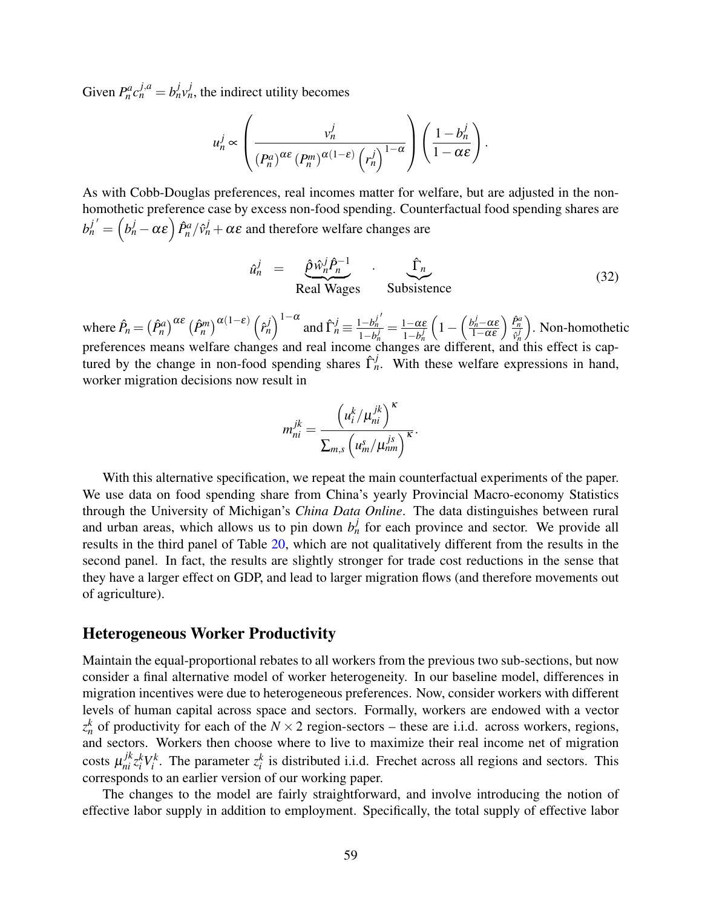Given  $P_n^a c_n^{j,a} = b_n^j v_n^j$ , the indirect utility becomes

$$
u_n^j \propto \left(\frac{v_n^j}{\left(P_n^a\right)^{\alpha\epsilon}\left(P_n^m\right)^{\alpha(1-\epsilon)}\left(r_n^j\right)^{1-\alpha}}\right)\left(\frac{1-b_n^j}{1-\alpha\epsilon}\right).
$$

As with Cobb-Douglas preferences, real incomes matter for welfare, but are adjusted in the nonhomothetic preference case by excess non-food spending. Counterfactual food spending shares are  $b_n^{j'} = \left(b_n^j - \alpha \varepsilon \right) \hat{P}_n^a / \hat{v}_n^j + \alpha \varepsilon$  and therefore welfare changes are

$$
\hat{u}_n^j = \underbrace{\hat{p}\hat{w}_n^j \hat{P}_n^{-1}}_{\text{Real Wages}} \cdot \underbrace{\hat{\Gamma}_n}_{\text{Subsistence}} \tag{32}
$$

where  $\hat{P}_n = (\hat{P}_n^a) \alpha \epsilon (\hat{P}_n^m) \alpha(1-\epsilon) (\hat{P}_n^j)^{1-\alpha}$  and  $\hat{\Gamma}_n^j \equiv \frac{1-b_n^j}{1-b_n^j}$ *n*  $\frac{1-b_n^j}{1-b_n^j} = \frac{1-\alpha\varepsilon}{1-b_n^j}$  $1-b_n^j$  $\left(1 - \left(\frac{b_n^j - \alpha \varepsilon}{1 - \alpha \varepsilon}\right) \frac{\hat{P}_n^a}{\hat{v}_n^j}\right)$  $\overline{\hat{v}_n^j}$  . Non-homothetic preferences means welfare changes and real income changes are different, and this effect is captured by the change in non-food spending shares  $\hat{\Gamma}_n^j$ . With these welfare expressions in hand, worker migration decisions now result in

$$
m_{ni}^{jk} = \frac{\left(u_i^k / \mu_{ni}^{jk}\right)^{\kappa}}{\sum_{m,s} \left(u_m^s / \mu_{nm}^{js}\right)^{\kappa}}.
$$

With this alternative specification, we repeat the main counterfactual experiments of the paper. We use data on food spending share from China's yearly Provincial Macro-economy Statistics through the University of Michigan's *China Data Online*. The data distinguishes between rural and urban areas, which allows us to pin down  $b_n^j$  for each province and sector. We provide all results in the third panel of Table [20,](#page-60-0) which are not qualitatively different from the results in the second panel. In fact, the results are slightly stronger for trade cost reductions in the sense that they have a larger effect on GDP, and lead to larger migration flows (and therefore movements out of agriculture).

#### Heterogeneous Worker Productivity

Maintain the equal-proportional rebates to all workers from the previous two sub-sections, but now consider a final alternative model of worker heterogeneity. In our baseline model, differences in migration incentives were due to heterogeneous preferences. Now, consider workers with different levels of human capital across space and sectors. Formally, workers are endowed with a vector  $z_n^k$  of productivity for each of the *N* × 2 region-sectors – these are i.i.d. across workers, regions, and sectors. Workers then choose where to live to maximize their real income net of migration costs  $\mu_{ni}^{jk} z_i^k V_i^k$ . The parameter  $z_i^k$  is distributed i.i.d. Frechet across all regions and sectors. This corresponds to an earlier version of our working paper.

The changes to the model are fairly straightforward, and involve introducing the notion of effective labor supply in addition to employment. Specifically, the total supply of effective labor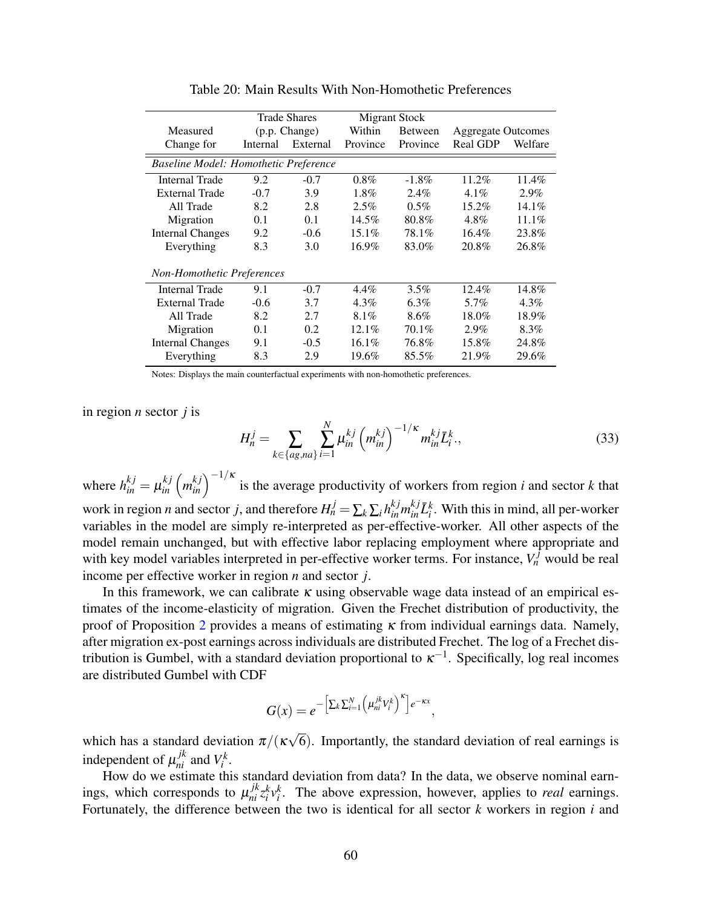<span id="page-60-0"></span>

|                                       | <b>Trade Shares</b> |                      |          | <b>Migrant Stock</b> |          |                           |
|---------------------------------------|---------------------|----------------------|----------|----------------------|----------|---------------------------|
| Measured                              | (p.p. Change)       |                      | Within   | <b>Between</b>       |          | <b>Aggregate Outcomes</b> |
| Change for                            | Internal            | External<br>Province |          | Province             | Real GDP | Welfare                   |
| Baseline Model: Homothetic Preference |                     |                      |          |                      |          |                           |
| <b>Internal Trade</b>                 | 9.2                 | $-0.7$               | $0.8\%$  | $-1.8\%$             | $11.2\%$ | $11.4\%$                  |
| <b>External Trade</b>                 | $-0.7$              | 3.9                  | $1.8\%$  | $2.4\%$              | $4.1\%$  | $2.9\%$                   |
| All Trade                             | 8.2                 | 2.8                  | 2.5%     | $0.5\%$              | $15.2\%$ | $14.1\%$                  |
| Migration                             | 0.1                 | 0.1                  | $14.5\%$ | 80.8%                | $4.8\%$  | $11.1\%$                  |
| <b>Internal Changes</b>               | 9.2                 | $-0.6$               | $15.1\%$ | 78.1%                | $16.4\%$ | 23.8%                     |
| Everything                            | 8.3                 | 3.0                  | $16.9\%$ | 83.0%                | 20.8%    | 26.8%                     |
| Non-Homothetic Preferences            |                     |                      |          |                      |          |                           |
| <b>Internal Trade</b>                 | 9.1                 | $-0.7$               | $4.4\%$  | $3.5\%$              | $12.4\%$ | 14.8%                     |
| External Trade                        | $-0.6$              | 3.7                  | $4.3\%$  | $6.3\%$              | 5.7%     | $4.3\%$                   |
| All Trade                             | 8.2                 | 2.7                  | $8.1\%$  | 8.6%                 | 18.0%    | 18.9%                     |
| Migration                             | 0.1                 | 0.2                  | $12.1\%$ | 70.1%                | 2.9%     | 8.3%                      |
| <b>Internal Changes</b>               | 9.1                 | $-0.5$               | $16.1\%$ | 76.8%                | 15.8%    | 24.8%                     |
| Everything                            | 8.3                 | 2.9                  | $19.6\%$ | 85.5%                | 21.9%    | 29.6%                     |

Table 20: Main Results With Non-Homothetic Preferences

Notes: Displays the main counterfactual experiments with non-homothetic preferences.

in region *n* sector *j* is

$$
H_n^j = \sum_{k \in \{ag, na\}} \sum_{i=1}^N \mu_{in}^{kj} \left( m_{in}^{kj} \right)^{-1/\kappa} m_{in}^{kj} \bar{L}_i^k,
$$
 (33)

where  $h_{in}^{kj} = \mu_{in}^{kj} (m_{in}^{kj})^{-1/k}$  is the average productivity of workers from region *i* and sector *k* that work in region *n* and sector *j*, and therefore  $H_n^j = \sum_k \sum_i h_{in}^{kj} m_{in}^{kj} \bar{L}_i^k$ . With this in mind, all per-worker variables in the model are simply re-interpreted as per-effective-worker. All other aspects of the model remain unchanged, but with effective labor replacing employment where appropriate and with key model variables interpreted in per-effective worker terms. For instance,  $V_n^f$  would be real income per effective worker in region *n* and sector *j*.

In this framework, we can calibrate  $\kappa$  using observable wage data instead of an empirical estimates of the income-elasticity of migration. Given the Frechet distribution of productivity, the proof of Proposition [2](#page-18-0) provides a means of estimating  $\kappa$  from individual earnings data. Namely, after migration ex-post earnings across individuals are distributed Frechet. The log of a Frechet distribution is Gumbel, with a standard deviation proportional to  $\kappa^{-1}$ . Specifically, log real incomes are distributed Gumbel with CDF

$$
G(x) = e^{-\left[\sum_k \sum_{i=1}^N \left(\mu_{ni}^{jk} V_i^k\right)^{\kappa}\right]e^{-\kappa x}},
$$

which has a standard deviation  $\pi/(\kappa)$ √ 6). Importantly, the standard deviation of real earnings is independent of  $\mu_{ni}^{jk}$  and  $V_i^k$ .

How do we estimate this standard deviation from data? In the data, we observe nominal earnings, which corresponds to  $\mu_{ni}^{jk} z_i^k v_i^k$ . The above expression, however, applies to *real* earnings. Fortunately, the difference between the two is identical for all sector *k* workers in region *i* and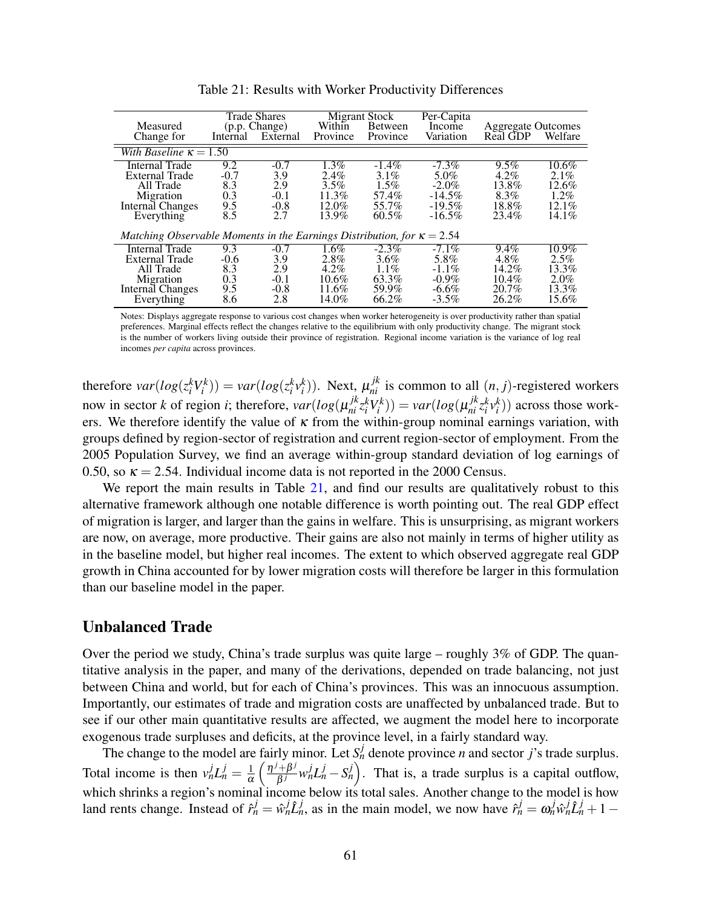<span id="page-61-0"></span>

| Measured<br>Change for                                                                              | Internal                                  | <b>Trade Shares</b><br>(p.p. Change)<br>External | Within<br>Province                                          | <b>Migrant Stock</b><br>Between<br>Province                  | Per-Capita<br>Income<br>Variation                                 | <b>Aggregate Outcomes</b><br>Real GDP                           | Welfare                                                   |
|-----------------------------------------------------------------------------------------------------|-------------------------------------------|--------------------------------------------------|-------------------------------------------------------------|--------------------------------------------------------------|-------------------------------------------------------------------|-----------------------------------------------------------------|-----------------------------------------------------------|
| With Baseline $\kappa = 1.50$                                                                       |                                           |                                                  |                                                             |                                                              |                                                                   |                                                                 |                                                           |
| Internal Trade<br>External Trade<br>All Trade<br>Migration<br>Internal Changes<br>Everything        | 9.2<br>$-0.7$<br>8.3<br>0.3<br>9.5<br>8.5 | $-0.7$<br>3.9<br>2.9<br>$-0.1$<br>$-0.8$<br>2.7  | $1.3\%$<br>$2.4\%$<br>3.5%<br>$11.3\%$<br>$12.0\%$<br>13.9% | $-1.4\%$<br>$3.1\%$<br>$1.5\%$<br>57.4%<br>55.7%<br>$60.5\%$ | $-7.3\%$<br>5.0%<br>$-2.0\%$<br>$-14.5%$<br>$-19.5%$<br>$-16.5\%$ | 9.5%<br>$4.2\%$<br>13.8%<br>8.3%<br>18.8%<br>23.4%              | $10.6\%$<br>2.1%<br>12.6%<br>1.2%<br>$12.1\%$<br>$14.1\%$ |
| Matching Observable Moments in the Earnings Distribution, for $\kappa = 2.54$                       |                                           |                                                  |                                                             |                                                              |                                                                   |                                                                 |                                                           |
| <b>Internal Trade</b><br>External Trade<br>All Trade<br>Migration<br>Internal Changes<br>Everything | 9.3<br>$-0.6$<br>8.3<br>0.3<br>9.5<br>8.6 | $-0.7$<br>3.9<br>2.9<br>$-0.1$<br>$-0.8$<br>2.8  | $1.6\%$<br>2.8%<br>$4.2\%$<br>$10.6\%$<br>11.6%<br>14.0%    | $-2.3\%$<br>$3.6\%$<br>1.1%<br>63.3%<br>59.9%<br>66.2%       | $-7.1\%$<br>5.8%<br>$-1.1\%$<br>$-0.9\%$<br>$-6.6\%$<br>$-3.5\%$  | $9.4\%$<br>$4.8\%$<br>14.2%<br>$10.4\%$<br>$20.7\%$<br>$26.2\%$ | $10.9\%$<br>2.5%<br>13.3%<br>$2.0\%$<br>13.3%<br>15.6%    |

Table 21: Results with Worker Productivity Differences

Notes: Displays aggregate response to various cost changes when worker heterogeneity is over productivity rather than spatial preferences. Marginal effects reflect the changes relative to the equilibrium with only productivity change. The migrant stock is the number of workers living outside their province of registration. Regional income variation is the variance of log real incomes *per capita* across provinces.

therefore  $var(log(z_i^k V_i^k)) = var(log(z_i^k V_i^k))$ . Next,  $\mu_{ni}^{jk}$  is common to all  $(n, j)$ -registered workers now in sector k of region *i*; therefore,  $var(log(\mu_{ni}^{jk} z_i^k V_i^k)) = var(log(\mu_{ni}^{jk} z_i^k V_i^k))$  across those workers. We therefore identify the value of  $\kappa$  from the within-group nominal earnings variation, with groups defined by region-sector of registration and current region-sector of employment. From the 2005 Population Survey, we find an average within-group standard deviation of log earnings of 0.50, so  $\kappa = 2.54$ . Individual income data is not reported in the 2000 Census.

We report the main results in Table [21,](#page-61-0) and find our results are qualitatively robust to this alternative framework although one notable difference is worth pointing out. The real GDP effect of migration is larger, and larger than the gains in welfare. This is unsurprising, as migrant workers are now, on average, more productive. Their gains are also not mainly in terms of higher utility as in the baseline model, but higher real incomes. The extent to which observed aggregate real GDP growth in China accounted for by lower migration costs will therefore be larger in this formulation than our baseline model in the paper.

### Unbalanced Trade

Over the period we study, China's trade surplus was quite large – roughly 3% of GDP. The quantitative analysis in the paper, and many of the derivations, depended on trade balancing, not just between China and world, but for each of China's provinces. This was an innocuous assumption. Importantly, our estimates of trade and migration costs are unaffected by unbalanced trade. But to see if our other main quantitative results are affected, we augment the model here to incorporate exogenous trade surpluses and deficits, at the province level, in a fairly standard way.

The change to the model are fairly minor. Let  $S_n^j$  denote province *n* and sector *j*'s trade surplus. Total income is then  $v_n^j L_n^j = \frac{1}{\alpha}$ α  $\int$   $\frac{\eta^j+\beta^j}{j}$  $\left(\frac{\partial^i + \beta^j}{\beta^j} w_n^j L_n^j - S_n^j\right)$ . That is, a trade surplus is a capital outflow, which shrinks a region's nominal income below its total sales. Another change to the model is how land rents change. Instead of  $\hat{r}_n^j = \hat{w}_n^j \hat{L}_n^j$ , as in the main model, we now have  $\hat{r}_n^j = \omega_n^j \hat{w}_n^j \hat{L}_n^j + 1 -$